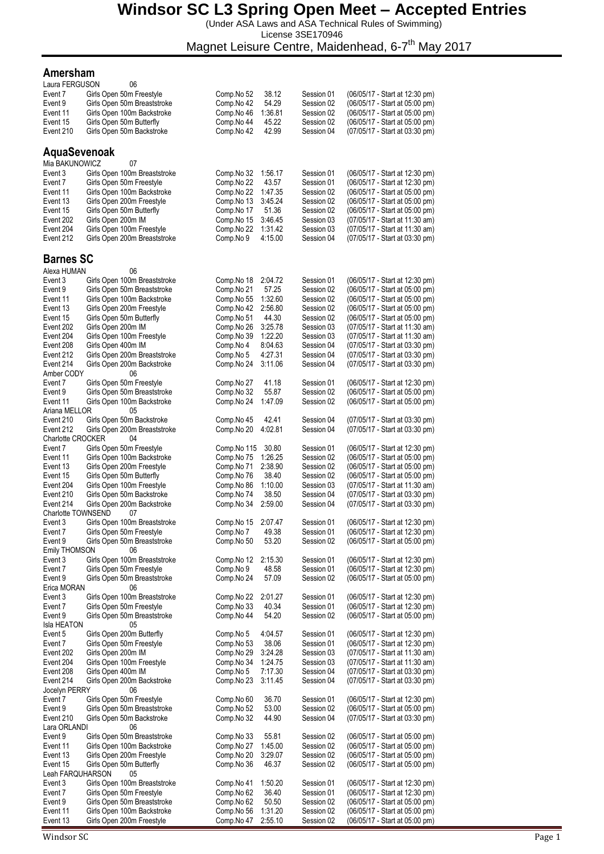(Under ASA Laws and ASA Technical Rules of Swimming) License 3SE170946

Magnet Leisure Centre, Maidenhead, 6-7<sup>th</sup> May 2017

#### **Amersham**

| Laura FERGUSON             | 06                                                          |                          |                    |                          |                                                                  |
|----------------------------|-------------------------------------------------------------|--------------------------|--------------------|--------------------------|------------------------------------------------------------------|
| Event 7                    | Girls Open 50m Freestyle                                    | Comp.No 52               | 38.12              | Session 01               | (06/05/17 - Start at 12:30 pm)                                   |
| Event 9                    | Girls Open 50m Breaststroke                                 | Comp.No 42               | 54.29              | Session 02               | (06/05/17 - Start at 05:00 pm)                                   |
| Event 11                   | Girls Open 100m Backstroke                                  | Comp.No 46               | 1:36.81            | Session 02               | (06/05/17 - Start at 05:00 pm)                                   |
| Event 15                   | Girls Open 50m Butterfly                                    | Comp.No 44               | 45.22              | Session 02               | (06/05/17 - Start at 05:00 pm)                                   |
| Event 210                  | Girls Open 50m Backstroke                                   | Comp.No 42               | 42.99              | Session 04               | (07/05/17 - Start at 03:30 pm)                                   |
|                            |                                                             |                          |                    |                          |                                                                  |
| AquaSevenoak               |                                                             |                          |                    |                          |                                                                  |
| Mia BAKUNOWICZ             | 07                                                          |                          |                    |                          |                                                                  |
| Event 3                    | Girls Open 100m Breaststroke                                | Comp.No 32               | 1:56.17            | Session 01               | (06/05/17 - Start at 12:30 pm)                                   |
| Event 7                    | Girls Open 50m Freestyle                                    | Comp.No 22               | 43.57              | Session 01               | (06/05/17 - Start at 12:30 pm)                                   |
| Event 11                   | Girls Open 100m Backstroke                                  | Comp.No 22               | 1:47.35            | Session 02               | (06/05/17 - Start at 05:00 pm)                                   |
| Event 13                   | Girls Open 200m Freestyle                                   | Comp.No 13               | 3:45.24<br>51.36   | Session 02               | (06/05/17 - Start at 05:00 pm)                                   |
| Event 15                   | Girls Open 50m Butterfly<br>Girls Open 200m IM              | Comp.No 17               |                    | Session 02               | (06/05/17 - Start at 05:00 pm)<br>(07/05/17 - Start at 11:30 am) |
| Event 202<br>Event 204     | Girls Open 100m Freestyle                                   | Comp.No 15<br>Comp.No 22 | 3:46.45<br>1:31.42 | Session 03<br>Session 03 | (07/05/17 - Start at 11:30 am)                                   |
| Event 212                  | Girls Open 200m Breaststroke                                | Comp.No 9                | 4:15.00            | Session 04               | (07/05/17 - Start at 03:30 pm)                                   |
|                            |                                                             |                          |                    |                          |                                                                  |
| <b>Barnes SC</b>           |                                                             |                          |                    |                          |                                                                  |
|                            |                                                             |                          |                    |                          |                                                                  |
| Alexa HUMAN<br>Event 3     | 06                                                          |                          | 2:04.72            | Session 01               |                                                                  |
| Event 9                    | Girls Open 100m Breaststroke<br>Girls Open 50m Breaststroke | Comp.No 18<br>Comp.No 21 | 57.25              | Session 02               | (06/05/17 - Start at 12:30 pm)<br>(06/05/17 - Start at 05:00 pm) |
| Event 11                   | Girls Open 100m Backstroke                                  | Comp.No 55               | 1:32.60            | Session 02               | (06/05/17 - Start at 05:00 pm)                                   |
| Event 13                   | Girls Open 200m Freestyle                                   | Comp.No 42               | 2:56.80            | Session 02               | (06/05/17 - Start at 05:00 pm)                                   |
| Event 15                   | Girls Open 50m Butterfly                                    | Comp.No 51               | 44.30              | Session 02               | (06/05/17 - Start at 05:00 pm)                                   |
| Event 202                  | Girls Open 200m IM                                          | Comp.No 26               | 3:25.78            | Session 03               | (07/05/17 - Start at 11:30 am)                                   |
| Event 204                  | Girls Open 100m Freestyle                                   | Comp.No 39               | 1:22.20            | Session 03               | (07/05/17 - Start at 11:30 am)                                   |
| Event 208                  | Girls Open 400m IM                                          | Comp.No 4                | 8:04.63            | Session 04               | (07/05/17 - Start at 03:30 pm)                                   |
| Event 212                  | Girls Open 200m Breaststroke                                | Comp.No 5                | 4:27.31            | Session 04               | (07/05/17 - Start at 03:30 pm)                                   |
| Event 214                  | Girls Open 200m Backstroke                                  | Comp.No 24               | 3:11.06            | Session 04               | (07/05/17 - Start at 03:30 pm)                                   |
| Amber CODY                 | 06                                                          |                          |                    |                          |                                                                  |
| Event 7                    | Girls Open 50m Freestyle                                    | Comp.No 27               | 41.18              | Session 01               | (06/05/17 - Start at 12:30 pm)                                   |
| Event 9                    | Girls Open 50m Breaststroke                                 | Comp.No 32               | 55.87              | Session 02               | (06/05/17 - Start at 05:00 pm)                                   |
| Event 11                   | Girls Open 100m Backstroke                                  | Comp.No 24               | 1:47.09            | Session 02               | (06/05/17 - Start at 05:00 pm)                                   |
| Ariana MELLOR              | 05                                                          |                          |                    |                          |                                                                  |
| Event 210                  | Girls Open 50m Backstroke                                   | Comp.No 45               | 42.41              | Session 04               | (07/05/17 - Start at 03:30 pm)                                   |
| Event 212                  | Girls Open 200m Breaststroke                                | Comp.No 20               | 4:02.81            | Session 04               | (07/05/17 - Start at 03:30 pm)                                   |
| <b>Charlotte CROCKER</b>   | 04                                                          |                          |                    |                          |                                                                  |
| Event 7                    | Girls Open 50m Freestyle                                    | Comp.No 115              | 30.80              | Session 01               | (06/05/17 - Start at 12:30 pm)                                   |
| Event 11                   | Girls Open 100m Backstroke                                  | Comp.No 75               | 1:26.25            | Session 02               | (06/05/17 - Start at 05:00 pm)                                   |
| Event 13                   | Girls Open 200m Freestyle                                   | Comp.No 71               | 2:38.90            | Session 02               | (06/05/17 - Start at 05:00 pm)                                   |
| Event 15                   | Girls Open 50m Butterfly                                    | Comp.No 76               | 38.40              | Session 02               | (06/05/17 - Start at 05:00 pm)                                   |
| Event 204<br>Event 210     | Girls Open 100m Freestyle<br>Girls Open 50m Backstroke      | Comp.No 86<br>Comp.No 74 | 1:10.00<br>38.50   | Session 03<br>Session 04 | (07/05/17 - Start at 11:30 am)<br>(07/05/17 - Start at 03:30 pm) |
| Event 214                  | Girls Open 200m Backstroke                                  | Comp.No 34               | 2:59.00            | Session 04               | (07/05/17 - Start at 03:30 pm)                                   |
| Charlotte TOWNSEND         | 07                                                          |                          |                    |                          |                                                                  |
| Event 3                    | Girls Open 100m Breaststroke                                | Comp.No 15               | 2:07.47            | Session 01               | (06/05/17 - Start at 12:30 pm)                                   |
| Event 7                    | Girls Open 50m Freestyle                                    | Comp.No 7                | 49.38              | Session 01               | (06/05/17 - Start at 12:30 pm)                                   |
| Event 9                    | Girls Open 50m Breaststroke                                 | Comp.No 50               | 53.20              | Session 02               | (06/05/17 - Start at 05:00 pm)                                   |
| <b>Emily THOMSON</b>       | 06                                                          |                          |                    |                          |                                                                  |
| Event 3                    | Girls Open 100m Breaststroke                                | Comp.No 12               | 2:15.30            | Session 01               | (06/05/17 - Start at 12:30 pm)                                   |
| Event 7                    | Girls Open 50m Freestyle                                    | Comp.No 9                | 48.58              | Session 01               | (06/05/17 - Start at 12:30 pm)                                   |
| Event 9                    | Girls Open 50m Breaststroke                                 | Comp.No 24               | 57.09              | Session 02               | (06/05/17 - Start at 05:00 pm)                                   |
| Erica MORAN                | 06                                                          |                          |                    |                          |                                                                  |
| Event 3                    | Girls Open 100m Breaststroke                                | Comp.No 22               | 2:01.27            | Session 01               | (06/05/17 - Start at 12:30 pm)                                   |
| Event 7                    | Girls Open 50m Freestyle                                    | Comp.No 33               | 40.34              | Session 01               | (06/05/17 - Start at 12:30 pm)                                   |
| Event 9                    | Girls Open 50m Breaststroke                                 | Comp.No 44               | 54.20              | Session 02               | (06/05/17 - Start at 05:00 pm)                                   |
| Isla HEATON                | 05                                                          |                          |                    |                          |                                                                  |
| Event 5                    | Girls Open 200m Butterfly                                   | Comp.No 5                | 4:04.57            | Session 01               | (06/05/17 - Start at 12:30 pm)                                   |
| Event 7                    | Girls Open 50m Freestyle                                    | Comp.No 53               | 38.06              | Session 01               | (06/05/17 - Start at 12:30 pm)                                   |
| Event 202                  | Girls Open 200m IM                                          | Comp.No 29               | 3:24.28            | Session 03               | (07/05/17 - Start at 11:30 am)                                   |
| Event 204                  | Girls Open 100m Freestyle                                   | Comp.No 34               | 1:24.75            | Session 03               | (07/05/17 - Start at 11:30 am)                                   |
| Event 208                  | Girls Open 400m IM                                          | Comp.No 5                | 7:17.30            | Session 04               | (07/05/17 - Start at 03:30 pm)                                   |
| Event 214<br>Jocelyn PERRY | Girls Open 200m Backstroke<br>06                            | Comp.No 23               | 3:11.45            | Session 04               | (07/05/17 - Start at 03:30 pm)                                   |
| Event 7                    | Girls Open 50m Freestyle                                    | Comp.No 60               | 36.70              | Session 01               | (06/05/17 - Start at 12:30 pm)                                   |
| Event 9                    | Girls Open 50m Breaststroke                                 | Comp.No 52               | 53.00              | Session 02               | (06/05/17 - Start at 05:00 pm)                                   |
| Event 210                  | Girls Open 50m Backstroke                                   | Comp.No 32               | 44.90              | Session 04               | (07/05/17 - Start at 03:30 pm)                                   |
| Lara ORLANDI               | 06                                                          |                          |                    |                          |                                                                  |
| Event 9                    | Girls Open 50m Breaststroke                                 | Comp.No 33               | 55.81              | Session 02               | (06/05/17 - Start at 05:00 pm)                                   |
| Event 11                   | Girls Open 100m Backstroke                                  | Comp.No 27               | 1:45.00            | Session 02               | (06/05/17 - Start at 05:00 pm)                                   |
| Event 13                   | Girls Open 200m Freestyle                                   | Comp.No 20               | 3:29.07            | Session 02               | (06/05/17 - Start at 05:00 pm)                                   |
| Event 15                   | Girls Open 50m Butterfly                                    | Comp.No 36               | 46.37              | Session 02               | (06/05/17 - Start at 05:00 pm)                                   |
| Leah FARQUHARSON           | 05                                                          |                          |                    |                          |                                                                  |
| Event 3                    | Girls Open 100m Breaststroke                                | Comp.No 41               | 1:50.20            | Session 01               | (06/05/17 - Start at 12:30 pm)                                   |
| Event 7                    | Girls Open 50m Freestyle                                    | Comp.No 62               | 36.40              | Session 01               | (06/05/17 - Start at 12:30 pm)                                   |
| Event 9                    | Girls Open 50m Breaststroke                                 | Comp.No 62               | 50.50              | Session 02               | (06/05/17 - Start at 05:00 pm)                                   |
| Event 11                   | Girls Open 100m Backstroke                                  | Comp.No 56               | 1:31.20            | Session 02               | (06/05/17 - Start at 05:00 pm)                                   |
| Event 13                   | Girls Open 200m Freestyle                                   | Comp.No 47               | 2:55.10            | Session 02               | (06/05/17 - Start at 05:00 pm)                                   |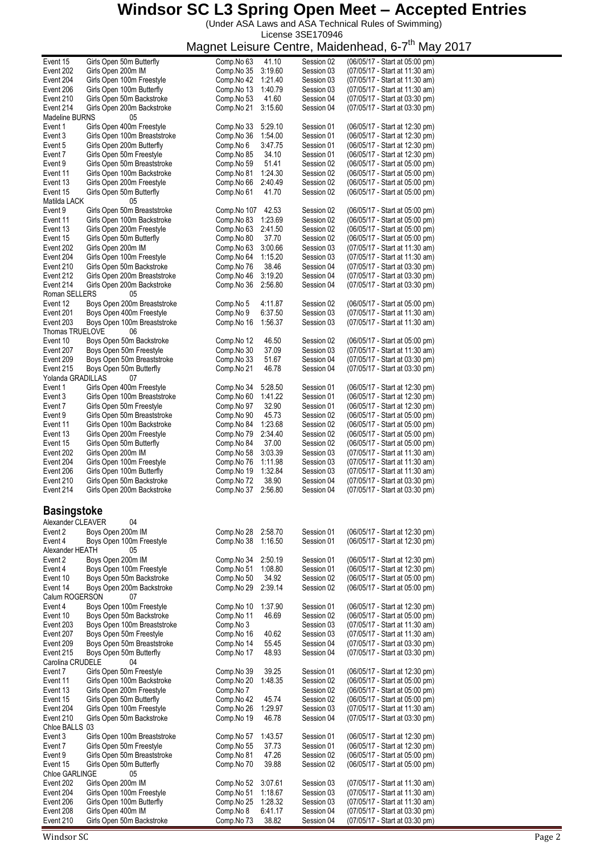(Under ASA Laws and ASA Technical Rules of Swimming) License 3SE170946

Magnet Leisure Centre, Maidenhead, 6-7<sup>th</sup> May 2017

| Event 15               | Girls Open 50m Butterfly                        | Comp.No 63              | $\overline{41.10}$ | Session 02               | (06/05/17 - Start at 05:00 pm)                                   |
|------------------------|-------------------------------------------------|-------------------------|--------------------|--------------------------|------------------------------------------------------------------|
| Event 202              | Girls Open 200m IM                              | Comp.No 35              | 3:19.60            |                          | (07/05/17 - Start at 11:30 am)                                   |
|                        |                                                 |                         |                    | Session 03               |                                                                  |
| Event 204              | Girls Open 100m Freestyle                       | Comp.No 42              | 1:21.40            | Session 03               | (07/05/17 - Start at 11:30 am)                                   |
| Event 206              | Girls Open 100m Butterfly                       | Comp.No 13              | 1:40.79            | Session 03               | (07/05/17 - Start at 11:30 am)                                   |
|                        |                                                 |                         |                    |                          |                                                                  |
| Event 210              | Girls Open 50m Backstroke                       | Comp.No 53              | 41.60              | Session 04               | (07/05/17 - Start at 03:30 pm)                                   |
| Event 214              | Girls Open 200m Backstroke                      | Comp.No 21              | 3:15.60            | Session 04               | (07/05/17 - Start at 03:30 pm)                                   |
| Madeline BURNS         | 05                                              |                         |                    |                          |                                                                  |
|                        |                                                 |                         |                    |                          |                                                                  |
| Event 1                | Girls Open 400m Freestyle                       | Comp.No 33              | 5:29.10            | Session 01               | (06/05/17 - Start at 12:30 pm)                                   |
| Event 3                | Girls Open 100m Breaststroke                    | Comp.No 36              | 1:54.00            | Session 01               | (06/05/17 - Start at 12:30 pm)                                   |
| Event 5                | Girls Open 200m Butterfly                       | Comp.No 6               | 3:47.75            | Session 01               | (06/05/17 - Start at 12:30 pm)                                   |
|                        |                                                 |                         |                    |                          |                                                                  |
| Event 7                | Girls Open 50m Freestyle                        | Comp.No 85              | 34.10              | Session 01               | (06/05/17 - Start at 12:30 pm)                                   |
| Event 9                | Girls Open 50m Breaststroke                     | Comp.No 59              | 51.41              | Session 02               | (06/05/17 - Start at 05:00 pm)                                   |
|                        |                                                 |                         |                    |                          |                                                                  |
| Event 11               | Girls Open 100m Backstroke                      | Comp.No 81              | 1:24.30            | Session 02               | (06/05/17 - Start at 05:00 pm)                                   |
| Event 13               | Girls Open 200m Freestyle                       | Comp.No 66              | 2:40.49            | Session 02               | (06/05/17 - Start at 05:00 pm)                                   |
|                        |                                                 |                         |                    |                          |                                                                  |
| Event 15               | Girls Open 50m Butterfly                        | Comp.No 61              | 41.70              | Session 02               | (06/05/17 - Start at 05:00 pm)                                   |
| Matilda LACK           | 05                                              |                         |                    |                          |                                                                  |
| Event 9                | Girls Open 50m Breaststroke                     | Comp.No 107             | 42.53              | Session 02               | (06/05/17 - Start at 05:00 pm)                                   |
|                        |                                                 |                         |                    |                          |                                                                  |
| Event 11               | Girls Open 100m Backstroke                      | Comp.No 83              | 1:23.69            | Session 02               | (06/05/17 - Start at 05:00 pm)                                   |
| Event 13               | Girls Open 200m Freestyle                       | Comp.No 63              | 2:41.50            | Session 02               | (06/05/17 - Start at 05:00 pm)                                   |
|                        |                                                 |                         |                    |                          |                                                                  |
| Event 15               | Girls Open 50m Butterfly                        | Comp.No 80              | 37.70              | Session 02               | (06/05/17 - Start at 05:00 pm)                                   |
| Event 202              | Girls Open 200m IM                              | Comp.No 63              | 3:00.66            | Session 03               | (07/05/17 - Start at 11:30 am)                                   |
|                        |                                                 |                         | 1:15.20            |                          |                                                                  |
| Event 204              | Girls Open 100m Freestyle                       | Comp.No 64              |                    | Session 03               | (07/05/17 - Start at 11:30 am)                                   |
| Event 210              | Girls Open 50m Backstroke                       | Comp.No 76              | 38.46              | Session 04               | (07/05/17 - Start at 03:30 pm)                                   |
| Event 212              | Girls Open 200m Breaststroke                    | Comp.No 46              | 3:19.20            | Session 04               | (07/05/17 - Start at 03:30 pm)                                   |
|                        |                                                 |                         |                    |                          |                                                                  |
| Event 214              | Girls Open 200m Backstroke                      | Comp.No 36              | 2:56.80            | Session 04               | (07/05/17 - Start at 03:30 pm)                                   |
| Roman SELLERS          | 05                                              |                         |                    |                          |                                                                  |
|                        | Boys Open 200m Breaststroke                     |                         |                    |                          |                                                                  |
| Event 12               |                                                 | Comp.No 5               | 4:11.87            | Session 02               | (06/05/17 - Start at 05:00 pm)                                   |
| Event 201              | Boys Open 400m Freestyle                        | Comp.No 9               | 6:37.50            | Session 03               | (07/05/17 - Start at 11:30 am)                                   |
| Event 203              | Boys Open 100m Breaststroke                     | Comp.No 16              | 1:56.37            | Session 03               | (07/05/17 - Start at 11:30 am)                                   |
|                        |                                                 |                         |                    |                          |                                                                  |
| Thomas TRUELOVE        | 06                                              |                         |                    |                          |                                                                  |
| Event 10               | Boys Open 50m Backstroke                        | Comp.No 12              | 46.50              | Session 02               | (06/05/17 - Start at 05:00 pm)                                   |
|                        |                                                 |                         |                    |                          |                                                                  |
| Event 207              | Boys Open 50m Freestyle                         | Comp.No 30              | 37.09              | Session 03               | (07/05/17 - Start at 11:30 am)                                   |
| Event 209              | Boys Open 50m Breaststroke                      | Comp.No 33              | 51.67              | Session 04               | (07/05/17 - Start at 03:30 pm)                                   |
| Event 215              |                                                 | Comp.No 21              | 46.78              | Session 04               |                                                                  |
|                        | Boys Open 50m Butterfly                         |                         |                    |                          | (07/05/17 - Start at 03:30 pm)                                   |
| Yolanda GRADILLAS      | 07                                              |                         |                    |                          |                                                                  |
| Event 1                | Girls Open 400m Freestyle                       | Comp.No 34              | 5:28.50            | Session 01               | (06/05/17 - Start at 12:30 pm)                                   |
|                        |                                                 |                         |                    |                          |                                                                  |
| Event 3                | Girls Open 100m Breaststroke                    | Comp.No 60              | 1:41.22            | Session 01               | (06/05/17 - Start at 12:30 pm)                                   |
| Event 7                | Girls Open 50m Freestyle                        | Comp.No 97              | 32.90              | Session 01               | (06/05/17 - Start at 12:30 pm)                                   |
| Event 9                | Girls Open 50m Breaststroke                     | Comp.No 90              | 45.73              | Session 02               | (06/05/17 - Start at 05:00 pm)                                   |
|                        |                                                 |                         |                    |                          |                                                                  |
| Event 11               | Girls Open 100m Backstroke                      | Comp.No 84              | 1:23.68            | Session 02               | (06/05/17 - Start at 05:00 pm)                                   |
| Event 13               | Girls Open 200m Freestyle                       | Comp.No 79              | 2:34.40            | Session 02               | (06/05/17 - Start at 05:00 pm)                                   |
|                        |                                                 |                         |                    |                          |                                                                  |
|                        |                                                 |                         |                    |                          |                                                                  |
| Event 15               | Girls Open 50m Butterfly                        | Comp.No 84              | 37.00              | Session 02               | (06/05/17 - Start at 05:00 pm)                                   |
| Event 202              | Girls Open 200m IM                              |                         | 3:03.39            | Session 03               |                                                                  |
|                        |                                                 | Comp.No 58              |                    |                          | (07/05/17 - Start at 11:30 am)                                   |
| Event 204              | Girls Open 100m Freestyle                       | Comp.No 76              | 1:11.98            | Session 03               | (07/05/17 - Start at 11:30 am)                                   |
| Event 206              | Girls Open 100m Butterfly                       | Comp.No 19              | 1:32.84            | Session 03               | (07/05/17 - Start at 11:30 am)                                   |
|                        |                                                 |                         |                    |                          |                                                                  |
| Event 210              | Girls Open 50m Backstroke                       | Comp.No 72              | 38.90              | Session 04               | (07/05/17 - Start at 03:30 pm)                                   |
| Event 214              | Girls Open 200m Backstroke                      | Comp.No 37              | 2:56.80            | Session 04               | (07/05/17 - Start at 03:30 pm)                                   |
|                        |                                                 |                         |                    |                          |                                                                  |
|                        |                                                 |                         |                    |                          |                                                                  |
|                        |                                                 |                         |                    |                          |                                                                  |
| <b>Basingstoke</b>     |                                                 |                         |                    |                          |                                                                  |
| Alexander CLEAVER      | 04                                              |                         |                    |                          |                                                                  |
| Event 2                | Boys Open 200m IM                               | Comp.No 28              | 2:58.70            | Session 01               | (06/05/17 - Start at 12:30 pm)                                   |
|                        |                                                 |                         |                    |                          |                                                                  |
| Event 4                | Boys Open 100m Freestyle                        | Comp.No 38              | 1:16.50            | Session 01               | (06/05/17 - Start at 12:30 pm)                                   |
| Alexander HEATH        | 05                                              |                         |                    |                          |                                                                  |
| Event 2                | Boys Open 200m IM                               | Comp.No 34              | 2:50.19            | Session 01               | (06/05/17 - Start at 12:30 pm)                                   |
|                        |                                                 |                         |                    |                          |                                                                  |
| Event 4                | Boys Open 100m Freestyle                        | Comp.No 51              | 1:08.80            | Session 01               | (06/05/17 - Start at 12:30 pm)                                   |
| Event 10               | Boys Open 50m Backstroke                        | Comp.No 50              | 34.92              | Session 02               | (06/05/17 - Start at 05:00 pm)                                   |
|                        |                                                 |                         |                    |                          |                                                                  |
| Event 14               | Boys Open 200m Backstroke                       | Comp.No 29              | 2:39.14            | Session 02               | (06/05/17 - Start at 05:00 pm)                                   |
| Calum ROGERSON         | 07                                              |                         |                    |                          |                                                                  |
| Event 4                | Boys Open 100m Freestyle                        | Comp.No 10              | 1:37.90            | Session 01               | (06/05/17 - Start at 12:30 pm)                                   |
|                        |                                                 |                         |                    |                          |                                                                  |
| Event 10               | Boys Open 50m Backstroke                        | Comp.No 11              | 46.69              | Session 02               | (06/05/17 - Start at 05:00 pm)                                   |
| Event 203              | Boys Open 100m Breaststroke                     | Comp.No 3               |                    | Session 03               | (07/05/17 - Start at 11:30 am)                                   |
|                        |                                                 |                         |                    |                          | (07/05/17 - Start at 11:30 am)                                   |
| Event 207              | Boys Open 50m Freestyle                         | Comp.No 16              | 40.62              | Session 03               |                                                                  |
| Event 209              | Boys Open 50m Breaststroke                      | Comp.No 14              | 55.45              | Session 04               | (07/05/17 - Start at 03:30 pm)                                   |
| Event 215              |                                                 | Comp.No 17              | 48.93              | Session 04               | (07/05/17 - Start at 03:30 pm)                                   |
|                        | Boys Open 50m Butterfly                         |                         |                    |                          |                                                                  |
| Carolina CRUDELE       | 04                                              |                         |                    |                          |                                                                  |
| Event 7                | Girls Open 50m Freestyle                        | Comp.No 39              | 39.25              | Session 01               | (06/05/17 - Start at 12:30 pm)                                   |
| Event 11               | Girls Open 100m Backstroke                      | Comp.No 20              | 1:48.35            | Session 02               | (06/05/17 - Start at 05:00 pm)                                   |
|                        |                                                 |                         |                    |                          |                                                                  |
| Event 13               | Girls Open 200m Freestyle                       | Comp.No 7               |                    | Session 02               | (06/05/17 - Start at 05:00 pm)                                   |
| Event 15               | Girls Open 50m Butterfly                        | Comp.No 42              | 45.74              | Session 02               | (06/05/17 - Start at 05:00 pm)                                   |
|                        |                                                 |                         |                    |                          |                                                                  |
| Event 204              | Girls Open 100m Freestyle                       | Comp.No 26              | 1:29.97            | Session 03               | (07/05/17 - Start at 11:30 am)                                   |
| Event 210              | Girls Open 50m Backstroke                       | Comp.No 19              | 46.78              | Session 04               | (07/05/17 - Start at 03:30 pm)                                   |
|                        |                                                 |                         |                    |                          |                                                                  |
| Chloe BALLS 03         |                                                 |                         |                    |                          |                                                                  |
| Event 3                | Girls Open 100m Breaststroke                    | Comp.No 57              | 1:43.57            | Session 01               | (06/05/17 - Start at 12:30 pm)                                   |
| Event 7                | Girls Open 50m Freestyle                        | Comp.No 55              | 37.73              | Session 01               |                                                                  |
|                        |                                                 |                         |                    |                          | (06/05/17 - Start at 12:30 pm)                                   |
| Event 9                | Girls Open 50m Breaststroke                     | Comp.No 81              | 47.26              | Session 02               | (06/05/17 - Start at 05:00 pm)                                   |
| Event 15               | Girls Open 50m Butterfly                        | Comp.No 70              | 39.88              | Session 02               | (06/05/17 - Start at 05:00 pm)                                   |
|                        |                                                 |                         |                    |                          |                                                                  |
| Chloe GARLINGE         | 05                                              |                         |                    |                          |                                                                  |
| Event 202              | Girls Open 200m IM                              | Comp.No 52              | 3:07.61            | Session 03               | (07/05/17 - Start at 11:30 am)                                   |
| Event 204              | Girls Open 100m Freestyle                       | Comp.No 51              | 1:18.67            | Session 03               | (07/05/17 - Start at 11:30 am)                                   |
|                        |                                                 |                         |                    |                          |                                                                  |
| Event 206              | Girls Open 100m Butterfly                       | Comp.No 25              | 1:28.32            | Session 03               | (07/05/17 - Start at 11:30 am)                                   |
| Event 208<br>Event 210 | Girls Open 400m IM<br>Girls Open 50m Backstroke | Comp.No 8<br>Comp.No 73 | 6:41.17<br>38.82   | Session 04<br>Session 04 | (07/05/17 - Start at 03:30 pm)<br>(07/05/17 - Start at 03:30 pm) |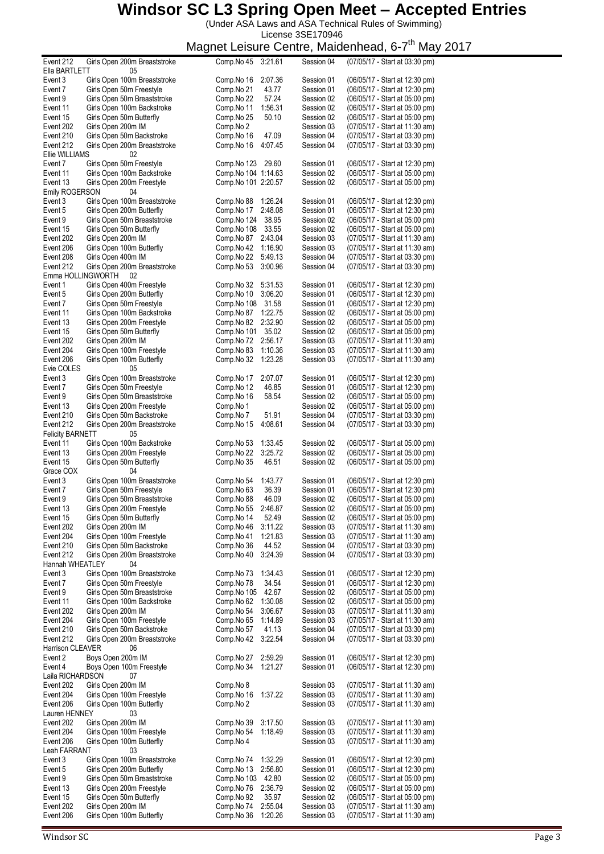(Under ASA Laws and ASA Technical Rules of Swimming) License 3SE170946

| Event 212                  |                    | Girls Open 200m Breaststroke                              | Comp.No 45               | 3:21.61            | Session 04               | (07/05/17 - Start at 03:30 pm)                                   |
|----------------------------|--------------------|-----------------------------------------------------------|--------------------------|--------------------|--------------------------|------------------------------------------------------------------|
| Ella BARTLETT              |                    | 05                                                        |                          |                    |                          |                                                                  |
| Event 3                    |                    | Girls Open 100m Breaststroke                              | Comp.No 16               | 2:07.36            | Session 01               | (06/05/17 - Start at 12:30 pm)                                   |
| Event 7                    |                    | Girls Open 50m Freestyle                                  | Comp.No 21               | 43.77<br>57.24     | Session 01               | (06/05/17 - Start at 12:30 pm)                                   |
| Event 9<br>Event 11        |                    | Girls Open 50m Breaststroke<br>Girls Open 100m Backstroke | Comp.No 22<br>Comp.No 11 | 1:56.31            | Session 02<br>Session 02 | (06/05/17 - Start at 05:00 pm)<br>(06/05/17 - Start at 05:00 pm) |
| Event 15                   |                    | Girls Open 50m Butterfly                                  | Comp.No 25               | 50.10              | Session 02               | (06/05/17 - Start at 05:00 pm)                                   |
| Event 202                  | Girls Open 200m IM |                                                           | Comp.No 2                |                    | Session 03               | (07/05/17 - Start at 11:30 am)                                   |
| Event 210                  |                    | Girls Open 50m Backstroke                                 | Comp.No 16               | 47.09              | Session 04               | (07/05/17 - Start at 03:30 pm)                                   |
| Event 212                  |                    | Girls Open 200m Breaststroke                              | Comp.No 16               | 4:07.45            | Session 04               | (07/05/17 - Start at 03:30 pm)                                   |
| Ellie WILLIAMS             |                    | 02                                                        |                          |                    |                          |                                                                  |
| Event 7                    |                    | Girls Open 50m Freestyle                                  | Comp. No 123 29.60       |                    | Session 01               | (06/05/17 - Start at 12:30 pm)                                   |
| Event 11                   |                    | Girls Open 100m Backstroke                                | Comp. No 104 1:14.63     |                    | Session 02               | (06/05/17 - Start at 05:00 pm)                                   |
| Event 13                   |                    | Girls Open 200m Freestyle                                 | Comp.No 101 2:20.57      |                    | Session 02               | (06/05/17 - Start at 05:00 pm)                                   |
| Emily ROGERSON             |                    | 04                                                        |                          |                    |                          |                                                                  |
| Event 3                    |                    | Girls Open 100m Breaststroke                              | Comp.No 88               | 1:26.24            | Session 01               | (06/05/17 - Start at 12:30 pm)                                   |
| Event 5                    |                    | Girls Open 200m Butterfly                                 | Comp.No 17               | 2:48.08            | Session 01               | (06/05/17 - Start at 12:30 pm)                                   |
| Event 9                    |                    | Girls Open 50m Breaststroke                               | Comp.No 124              | 38.95              | Session 02               | (06/05/17 - Start at 05:00 pm)                                   |
| Event 15                   |                    | Girls Open 50m Butterfly                                  | Comp.No 108 33.55        |                    | Session 02               | (06/05/17 - Start at 05:00 pm)                                   |
| Event 202                  | Girls Open 200m IM |                                                           | Comp.No 87               | 2:43.04            | Session 03               | (07/05/17 - Start at 11:30 am)                                   |
| Event 206                  |                    | Girls Open 100m Butterfly                                 | Comp.No 42               | 1:16.90            | Session 03               | (07/05/17 - Start at 11:30 am)                                   |
| Event 208<br>Event 212     | Girls Open 400m IM | Girls Open 200m Breaststroke                              | Comp.No 22<br>Comp.No 53 | 5:49.13<br>3:00.96 | Session 04<br>Session 04 | (07/05/17 - Start at 03:30 pm)<br>(07/05/17 - Start at 03:30 pm) |
| Emma HOLLINGWORTH          |                    | - 02                                                      |                          |                    |                          |                                                                  |
| Event 1                    |                    | Girls Open 400m Freestyle                                 | Comp.No 32               | 5:31.53            | Session 01               | (06/05/17 - Start at 12:30 pm)                                   |
| Event 5                    |                    | Girls Open 200m Butterfly                                 | Comp.No 10               | 3:06.20            | Session 01               | (06/05/17 - Start at 12:30 pm)                                   |
| Event 7                    |                    | Girls Open 50m Freestyle                                  | Comp.No 108 31.58        |                    | Session 01               | (06/05/17 - Start at 12:30 pm)                                   |
| Event 11                   |                    | Girls Open 100m Backstroke                                | Comp.No 87               | 1:22.75            | Session 02               | (06/05/17 - Start at 05:00 pm)                                   |
| Event 13                   |                    | Girls Open 200m Freestyle                                 | Comp.No 82               | 2:32.90            | Session 02               | (06/05/17 - Start at 05:00 pm)                                   |
| Event 15                   |                    | Girls Open 50m Butterfly                                  | Comp.No 101              | 35.02              | Session 02               | (06/05/17 - Start at 05:00 pm)                                   |
| Event 202                  | Girls Open 200m IM |                                                           | Comp.No 72 2:56.17       |                    | Session 03               | (07/05/17 - Start at 11:30 am)                                   |
| Event 204                  |                    | Girls Open 100m Freestyle                                 | Comp.No 83               | 1:10.36            | Session 03               | (07/05/17 - Start at 11:30 am)                                   |
| Event 206                  |                    | Girls Open 100m Butterfly                                 | Comp.No 32               | 1:23.28            | Session 03               | (07/05/17 - Start at 11:30 am)                                   |
| Evie COLES                 |                    | 05                                                        |                          |                    |                          |                                                                  |
| Event 3                    |                    | Girls Open 100m Breaststroke                              | Comp.No 17               | 2:07.07            | Session 01               | (06/05/17 - Start at 12:30 pm)                                   |
| Event 7                    |                    | Girls Open 50m Freestyle                                  | Comp.No 12               | 46.85              | Session 01               | (06/05/17 - Start at 12:30 pm)                                   |
| Event 9                    |                    | Girls Open 50m Breaststroke                               | Comp.No 16               | 58.54              | Session 02               | (06/05/17 - Start at 05:00 pm)                                   |
| Event 13                   |                    | Girls Open 200m Freestyle                                 | Comp.No 1                |                    | Session 02               | (06/05/17 - Start at 05:00 pm)                                   |
| Event 210                  |                    | Girls Open 50m Backstroke                                 | Comp.No 7                | 51.91              | Session 04               | (07/05/17 - Start at 03:30 pm)                                   |
| Event 212                  |                    | Girls Open 200m Breaststroke                              | Comp.No 15               | 4:08.61            | Session 04               | (07/05/17 - Start at 03:30 pm)                                   |
| <b>Felicity BARNETT</b>    |                    | 05                                                        |                          |                    |                          |                                                                  |
| Event 11                   |                    | Girls Open 100m Backstroke                                | Comp.No 53               | 1:33.45            | Session 02               | (06/05/17 - Start at 05:00 pm)                                   |
| Event 13                   |                    | Girls Open 200m Freestyle                                 | Comp.No 22               | 3:25.72            | Session 02               | (06/05/17 - Start at 05:00 pm)                                   |
| Event 15                   |                    | Girls Open 50m Butterfly                                  | Comp.No 35               | 46.51              | Session 02               | (06/05/17 - Start at 05:00 pm)                                   |
| Grace COX                  |                    | 04                                                        |                          |                    |                          |                                                                  |
| Event 3                    |                    | Girls Open 100m Breaststroke                              | Comp.No 54               | 1:43.77            | Session 01               | (06/05/17 - Start at 12:30 pm)                                   |
| Event 7                    |                    | Girls Open 50m Freestyle                                  | Comp.No 63               | 36.39              | Session 01               | (06/05/17 - Start at 12:30 pm)                                   |
| Event 9                    |                    | Girls Open 50m Breaststroke                               | Comp.No 88               | 46.09              | Session 02               | (06/05/17 - Start at 05:00 pm)                                   |
| Event 13                   |                    | Girls Open 200m Freestyle                                 | Comp.No 55               | 2.46.87            | Session 02               | (06/05/17 - Start at 05:00 pm)                                   |
| Event 15                   |                    | Girls Open 50m Butterfly                                  | Comp.No 14               | 52.49              | Session 02               | (06/05/17 - Start at 05:00 pm)                                   |
| Event 202                  | Girls Open 200m IM |                                                           | Comp.No 46               | 3:11.22            | Session 03               | (07/05/17 - Start at 11:30 am)                                   |
| Event 204                  |                    | Girls Open 100m Freestyle                                 | Comp.No 41               | 1:21.83            | Session 03               | (07/05/17 - Start at 11:30 am)                                   |
| Event 210                  |                    | Girls Open 50m Backstroke                                 | Comp.No 36               | 44.52              | Session 04               | (07/05/17 - Start at 03:30 pm)                                   |
| Event 212                  |                    | Girls Open 200m Breaststroke                              | Comp.No 40               | 3:24.39            | Session 04               | (07/05/17 - Start at 03:30 pm)                                   |
| Hannah WHEATLEY<br>Event 3 |                    | 04<br>Girls Open 100m Breaststroke                        | Comp.No 73               | 1:34.43            | Session 01               | (06/05/17 - Start at 12:30 pm)                                   |
| Event 7                    |                    | Girls Open 50m Freestyle                                  | Comp.No 78               | 34.54              | Session 01               | (06/05/17 - Start at 12:30 pm)                                   |
| Event 9                    |                    | Girls Open 50m Breaststroke                               | Comp.No 105              | 42.67              | Session 02               | (06/05/17 - Start at 05:00 pm)                                   |
| Event 11                   |                    | Girls Open 100m Backstroke                                | Comp.No 62               | 1:30.08            | Session 02               | (06/05/17 - Start at 05:00 pm)                                   |
| Event 202                  | Girls Open 200m IM |                                                           | Comp.No 54               | 3:06.67            | Session 03               | (07/05/17 - Start at 11:30 am)                                   |
| Event 204                  |                    | Girls Open 100m Freestyle                                 | Comp.No 65               | 1:14.89            | Session 03               | (07/05/17 - Start at 11:30 am)                                   |
| Event 210                  |                    | Girls Open 50m Backstroke                                 | Comp.No 57               | 41.13              | Session 04               | (07/05/17 - Start at 03:30 pm)                                   |
| Event 212                  |                    | Girls Open 200m Breaststroke                              | Comp.No 42               | 3:22.54            | Session 04               | (07/05/17 - Start at 03:30 pm)                                   |
| Harrison CLEAVER           |                    | 06                                                        |                          |                    |                          |                                                                  |
| Event 2                    | Boys Open 200m IM  |                                                           | Comp.No 27               | 2:59.29            | Session 01               | (06/05/17 - Start at 12:30 pm)                                   |
| Event 4                    |                    | Boys Open 100m Freestyle                                  | Comp.No 34               | 1:21.27            | Session 01               | (06/05/17 - Start at 12:30 pm)                                   |
| Laila RICHARDSON           |                    | 07                                                        |                          |                    |                          |                                                                  |
| Event 202                  | Girls Open 200m IM |                                                           | Comp.No 8                |                    | Session 03               | (07/05/17 - Start at 11:30 am)                                   |
| Event 204                  |                    | Girls Open 100m Freestyle                                 | Comp.No 16               | 1:37.22            | Session 03               | (07/05/17 - Start at 11:30 am)                                   |
| Event 206                  |                    | Girls Open 100m Butterfly                                 | Comp.No 2                |                    | Session 03               | (07/05/17 - Start at 11:30 am)                                   |
| Lauren HENNEY              |                    | 03                                                        |                          |                    |                          |                                                                  |
| Event 202                  | Girls Open 200m IM |                                                           | Comp.No 39               | 3:17.50            | Session 03               | (07/05/17 - Start at 11:30 am)                                   |
| Event 204                  |                    | Girls Open 100m Freestyle                                 | Comp.No 54               | 1:18.49            | Session 03               | (07/05/17 - Start at 11:30 am)                                   |
| Event 206                  |                    | Girls Open 100m Butterfly                                 | Comp.No 4                |                    | Session 03               | (07/05/17 - Start at 11:30 am)                                   |
| Leah FARRANT               |                    | 03                                                        |                          |                    |                          |                                                                  |
| Event 3                    |                    | Girls Open 100m Breaststroke                              | Comp.No 74               | 1:32.29            | Session 01               | (06/05/17 - Start at 12:30 pm)                                   |
| Event 5                    |                    | Girls Open 200m Butterfly                                 | Comp.No 13               | 2:56.80            | Session 01               | (06/05/17 - Start at 12:30 pm)                                   |
| Event 9                    |                    | Girls Open 50m Breaststroke                               | Comp.No 103              | 42.80              | Session 02               | (06/05/17 - Start at 05:00 pm)                                   |
| Event 13                   |                    | Girls Open 200m Freestyle                                 | Comp.No 76               | 2:36.79            | Session 02               | (06/05/17 - Start at 05:00 pm)                                   |
| Event 15                   |                    | Girls Open 50m Butterfly                                  | Comp.No 92               | 35.97              | Session 02               | (06/05/17 - Start at 05:00 pm)                                   |
| Event 202                  | Girls Open 200m IM |                                                           | Comp.No 74               | 2:55.04            | Session 03               | (07/05/17 - Start at 11:30 am)                                   |
| Event 206                  |                    | Girls Open 100m Butterfly                                 | Comp.No 36               | 1:20.26            | Session 03               | (07/05/17 - Start at 11:30 am)                                   |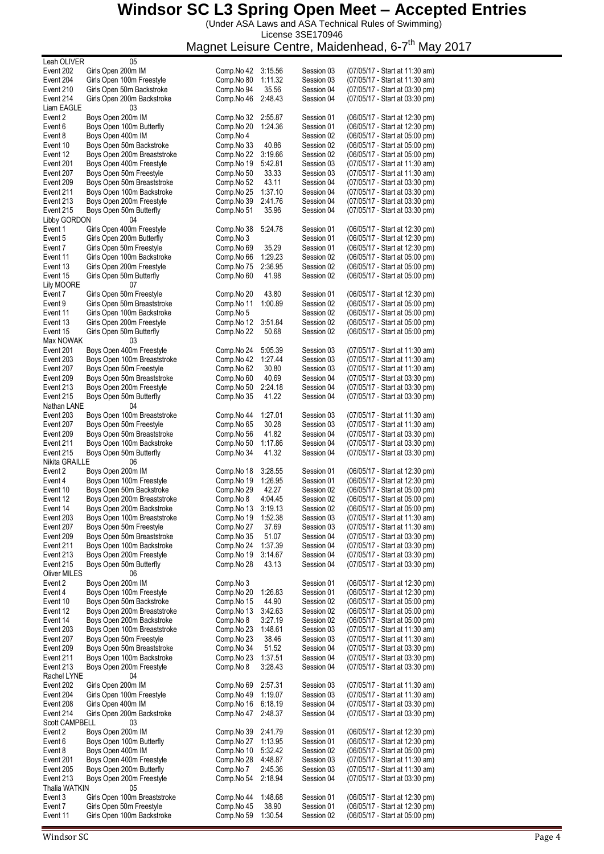(Under ASA Laws and ASA Technical Rules of Swimming)

License 3SE170946 Magnet Leisure Centre, Maidenhead, 6-7<sup>th</sup> May 2017

| Leah OLIVER              | 05                                                      |                          |                    |                          |                                                                  |
|--------------------------|---------------------------------------------------------|--------------------------|--------------------|--------------------------|------------------------------------------------------------------|
| Event 202                | Girls Open 200m IM                                      | Comp.No 42               | 3:15.56            | Session 03               | (07/05/17 - Start at 11:30 am)                                   |
| Event 204                | Girls Open 100m Freestyle                               | Comp.No 80               | 1:11.32            | Session 03               | (07/05/17 - Start at 11:30 am)                                   |
| Event 210                | Girls Open 50m Backstroke                               | Comp.No 94               | 35.56              | Session 04               | (07/05/17 - Start at 03:30 pm)                                   |
| Event 214<br>Liam EAGLE  | Girls Open 200m Backstroke                              | Comp.No 46               | 2:48.43            | Session 04               | (07/05/17 - Start at 03:30 pm)                                   |
| Event 2                  | 03<br>Boys Open 200m IM                                 | Comp.No 32               | 2:55.87            | Session 01               | (06/05/17 - Start at 12:30 pm)                                   |
| Event 6                  | Boys Open 100m Butterfly                                | Comp.No 20               | 1:24.36            | Session 01               | (06/05/17 - Start at 12:30 pm)                                   |
| Event 8                  | Boys Open 400m IM                                       | Comp.No 4                |                    | Session 02               | (06/05/17 - Start at 05:00 pm)                                   |
| Event 10                 | Boys Open 50m Backstroke                                | Comp.No 33               | 40.86              | Session 02               | (06/05/17 - Start at 05:00 pm)                                   |
| Event 12                 | Boys Open 200m Breaststroke                             | Comp.No 22               | 3:19.66            | Session 02               | (06/05/17 - Start at 05:00 pm)                                   |
| Event 201                | Boys Open 400m Freestyle                                | Comp.No 19               | 5:42.81            | Session 03               | (07/05/17 - Start at 11:30 am)                                   |
| Event 207                | Boys Open 50m Freestyle                                 | Comp.No 50               | 33.33              | Session 03               | (07/05/17 - Start at 11:30 am)                                   |
| Event 209                | Boys Open 50m Breaststroke                              | Comp.No 52               | 43.11              | Session 04               | (07/05/17 - Start at 03:30 pm)                                   |
| Event 211                | Boys Open 100m Backstroke                               | Comp.No 25               | 1:37.10            | Session 04               | (07/05/17 - Start at 03:30 pm)                                   |
| Event 213                | Boys Open 200m Freestyle                                | Comp.No 39               | 2:41.76            | Session 04               | (07/05/17 - Start at 03:30 pm)                                   |
| Event 215                | Boys Open 50m Butterfly                                 | Comp.No 51               | 35.96              | Session 04               | (07/05/17 - Start at 03:30 pm)                                   |
| Libby GORDON             | 04                                                      |                          |                    |                          |                                                                  |
| Event 1                  | Girls Open 400m Freestyle                               | Comp.No 38               | 5:24.78            | Session 01               | (06/05/17 - Start at 12:30 pm)                                   |
| Event 5                  | Girls Open 200m Butterfly                               | Comp.No 3                |                    | Session 01               | (06/05/17 - Start at 12:30 pm)                                   |
| Event 7                  | Girls Open 50m Freestyle                                | Comp.No 69               | 35.29              | Session 01               | (06/05/17 - Start at 12:30 pm)                                   |
| Event 11                 | Girls Open 100m Backstroke                              | Comp.No 66               | 1:29.23            | Session 02               | (06/05/17 - Start at 05:00 pm)                                   |
| Event 13                 | Girls Open 200m Freestyle                               | Comp.No 75               | 2:36.95            | Session 02               | (06/05/17 - Start at 05:00 pm)                                   |
| Event 15                 | Girls Open 50m Butterfly                                | Comp.No 60               | 41.98              | Session 02               | (06/05/17 - Start at 05:00 pm)                                   |
| Lily MOORE               | 07                                                      |                          |                    |                          |                                                                  |
| Event 7                  | Girls Open 50m Freestyle                                | Comp.No 20               | 43.80              | Session 01               | (06/05/17 - Start at 12:30 pm)                                   |
| Event 9                  | Girls Open 50m Breaststroke                             | Comp.No 11               | 1:00.89            | Session 02               | (06/05/17 - Start at 05:00 pm)                                   |
| Event 11                 | Girls Open 100m Backstroke                              | Comp.No 5                |                    | Session 02               | (06/05/17 - Start at 05:00 pm)                                   |
| Event 13                 | Girls Open 200m Freestyle                               | Comp.No 12               | 3:51.84            | Session 02               | (06/05/17 - Start at 05:00 pm)                                   |
| Event 15                 | Girls Open 50m Butterfly                                | Comp.No 22               | 50.68              | Session 02               | (06/05/17 - Start at 05:00 pm)                                   |
| Max NOWAK                | 03                                                      |                          |                    |                          |                                                                  |
| Event 201                | Boys Open 400m Freestyle                                | Comp.No 24               | 5:05.39            | Session 03               | (07/05/17 - Start at 11:30 am)                                   |
| Event 203                | Boys Open 100m Breaststroke                             | Comp.No 42               | 1:27.44            | Session 03               | (07/05/17 - Start at 11:30 am)                                   |
| Event 207                | Boys Open 50m Freestyle                                 | Comp.No 62               | 30.80              | Session 03               | (07/05/17 - Start at 11:30 am)                                   |
| Event 209                | Boys Open 50m Breaststroke                              | Comp.No 60               | 40.69              | Session 04               | (07/05/17 - Start at 03:30 pm)                                   |
| Event 213                | Boys Open 200m Freestyle                                | Comp.No 50               | 2:24.18            | Session 04               | (07/05/17 - Start at 03:30 pm)                                   |
| Event 215                | Boys Open 50m Butterfly                                 | Comp.No 35               | 41.22              | Session 04               | (07/05/17 - Start at 03:30 pm)                                   |
| Nathan LANE              | 04                                                      |                          |                    |                          |                                                                  |
| Event 203                | Boys Open 100m Breaststroke                             | Comp.No 44               | 1:27.01            | Session 03               | (07/05/17 - Start at 11:30 am)                                   |
| Event 207                | Boys Open 50m Freestyle                                 | Comp.No 65               | 30.28              | Session 03               | (07/05/17 - Start at 11:30 am)                                   |
| Event 209                | Boys Open 50m Breaststroke                              | Comp.No 56               | 41.82              | Session 04               | (07/05/17 - Start at 03:30 pm)                                   |
| Event 211                | Boys Open 100m Backstroke                               | Comp.No 50               | 1:17.86            | Session 04               | (07/05/17 - Start at 03:30 pm)                                   |
| Event 215                | Boys Open 50m Butterfly                                 | Comp.No 34               | 41.32              | Session 04               | (07/05/17 - Start at 03:30 pm)                                   |
| Nikita GRAILLE           | 06                                                      |                          |                    |                          |                                                                  |
| Event 2                  | Boys Open 200m IM                                       | Comp.No 18               | 3:28.55            | Session 01               | (06/05/17 - Start at 12:30 pm)                                   |
| Event 4                  | Boys Open 100m Freestyle                                | Comp.No 19               | 1:26.95            | Session 01               | (06/05/17 - Start at 12:30 pm)                                   |
| Event 10                 | Boys Open 50m Backstroke                                | Comp.No 29               | 42.27              | Session 02               | (06/05/17 - Start at 05:00 pm)                                   |
| Event 12                 | Boys Open 200m Breaststroke                             | Comp.No 8                | 4:04.45            | Session 02               | (06/05/17 - Start at 05:00 pm)                                   |
| Event 14                 | Boys Open 200m Backstroke                               | Comp. No 13 3:19.13      |                    | Session 02               | (06/05/17 - Start at 05:00 pm)                                   |
| Event 203                | Boys Open 100m Breaststroke                             | Comp.No 19               | 1:52.38            | Session 03               | (07/05/17 - Start at 11:30 am)                                   |
| Event 207                | Boys Open 50m Freestyle                                 | Comp.No 27               | 37.69              | Session 03               | (07/05/17 - Start at 11:30 am)                                   |
| Event 209                | Boys Open 50m Breaststroke                              | Comp.No 35               | 51.07              | Session 04               | (07/05/17 - Start at 03:30 pm)                                   |
| Event 211                | Boys Open 100m Backstroke                               | Comp.No 24               | 1:37.39            | Session 04               | (07/05/17 - Start at 03:30 pm)                                   |
| Event 213                | Boys Open 200m Freestyle                                | Comp.No 19               | 3:14.67            | Session 04               | (07/05/17 - Start at 03:30 pm)                                   |
| Event 215                | Boys Open 50m Butterfly                                 | Comp.No 28               | 43.13              | Session 04               | (07/05/17 - Start at 03:30 pm)                                   |
| Oliver MILES             | 06                                                      |                          |                    |                          |                                                                  |
| Event 2                  | Boys Open 200m IM                                       | Comp.No 3                | 1:26.83            | Session 01               | (06/05/17 - Start at 12:30 pm)                                   |
| Event 4                  | Boys Open 100m Freestyle                                | Comp.No 20               |                    | Session 01<br>Session 02 | (06/05/17 - Start at 12:30 pm)                                   |
| Event 10                 | Boys Open 50m Backstroke<br>Boys Open 200m Breaststroke | Comp.No 15               | 44.90              |                          | (06/05/17 - Start at 05:00 pm)<br>(06/05/17 - Start at 05:00 pm) |
| Event 12                 | Boys Open 200m Backstroke                               | Comp.No 13               | 3:42.63            | Session 02<br>Session 02 |                                                                  |
| Event 14                 | Boys Open 100m Breaststroke                             | Comp.No 8                | 3:27.19<br>1:48.61 |                          | (06/05/17 - Start at 05:00 pm)                                   |
| Event 203                | Boys Open 50m Freestyle                                 | Comp.No 23               | 38.46              | Session 03               | (07/05/17 - Start at 11:30 am)<br>(07/05/17 - Start at 11:30 am) |
| Event 207                | Boys Open 50m Breaststroke                              | Comp.No 23               | 51.52              | Session 03               | (07/05/17 - Start at 03:30 pm)                                   |
| Event 209<br>Event 211   | Boys Open 100m Backstroke                               | Comp.No 34<br>Comp.No 23 | 1:37.51            | Session 04               | (07/05/17 - Start at 03:30 pm)                                   |
|                          |                                                         |                          |                    | Session 04               | (07/05/17 - Start at 03:30 pm)                                   |
| Event 213<br>Rachel LYNE | Boys Open 200m Freestyle<br>04                          | Comp.No 8                | 3:28.43            | Session 04               |                                                                  |
| Event 202                | Girls Open 200m IM                                      |                          |                    |                          |                                                                  |
| Event 204                | Girls Open 100m Freestyle                               | Comp.No 69<br>Comp.No 49 | 2:57.31<br>1:19.07 | Session 03<br>Session 03 | (07/05/17 - Start at 11:30 am)<br>(07/05/17 - Start at 11:30 am) |
| Event 208                | Girls Open 400m IM                                      | Comp.No 16               | 6:18.19            | Session 04               | (07/05/17 - Start at 03:30 pm)                                   |
| Event 214                | Girls Open 200m Backstroke                              | Comp.No 47               | 2:48.37            | Session 04               | (07/05/17 - Start at 03:30 pm)                                   |
| Scott CAMPBELL           | 03                                                      |                          |                    |                          |                                                                  |
| Event 2                  | Boys Open 200m IM                                       | Comp.No 39               | 2:41.79            | Session 01               | (06/05/17 - Start at 12:30 pm)                                   |
| Event 6                  | Boys Open 100m Butterfly                                | Comp.No 27               | 1:13.95            | Session 01               | (06/05/17 - Start at 12:30 pm)                                   |
| Event 8                  | Boys Open 400m IM                                       | Comp.No 10               | 5:32.42            | Session 02               | (06/05/17 - Start at 05:00 pm)                                   |
| Event 201                | Boys Open 400m Freestyle                                | Comp.No 28               | 4:48.87            | Session 03               | (07/05/17 - Start at 11:30 am)                                   |
| Event 205                | Boys Open 200m Butterfly                                | Comp.No 7                | 2:45.36            | Session 03               | (07/05/17 - Start at 11:30 am)                                   |
| Event 213                | Boys Open 200m Freestyle                                | Comp.No 54               | 2:18.94            | Session 04               | (07/05/17 - Start at 03:30 pm)                                   |
| Thalia WATKIN            | 05                                                      |                          |                    |                          |                                                                  |
| Event 3                  | Girls Open 100m Breaststroke                            | Comp.No 44               | 1:48.68            | Session 01               | (06/05/17 - Start at 12:30 pm)                                   |
|                          |                                                         |                          |                    |                          |                                                                  |
|                          |                                                         |                          |                    |                          |                                                                  |
| Event 7<br>Event 11      | Girls Open 50m Freestyle<br>Girls Open 100m Backstroke  | Comp.No 45<br>Comp.No 59 | 38.90<br>1:30.54   | Session 01<br>Session 02 | (06/05/17 - Start at 12:30 pm)<br>(06/05/17 - Start at 05:00 pm) |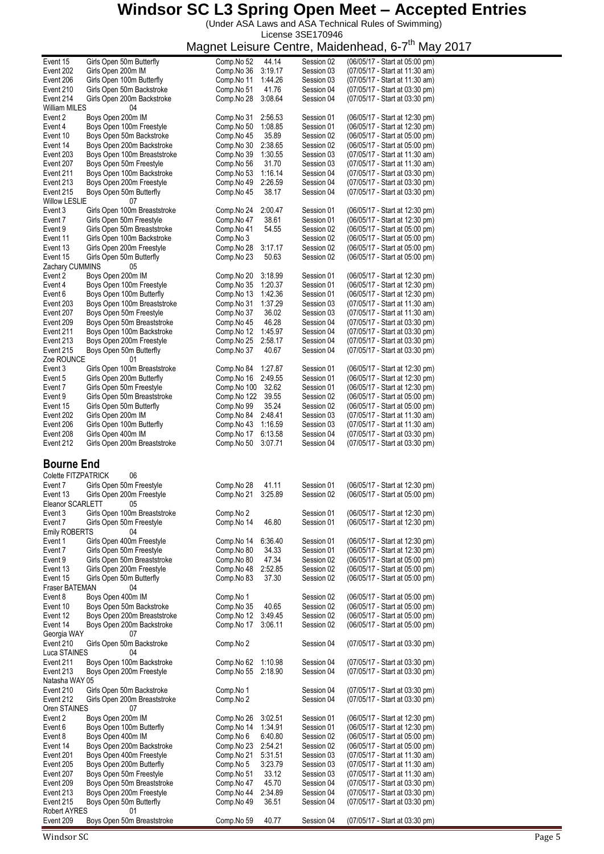(Under ASA Laws and ASA Technical Rules of Swimming) License 3SE170946

Magnet Leisure Centre, Maidenhead, 6-7<sup>th</sup> May 2017

| Event 15                  | Girls Open 50m Butterfly         | 44.14<br>Comp.No 52   | Session 02 | (06/05/17 - Start at 05:00 pm) |
|---------------------------|----------------------------------|-----------------------|------------|--------------------------------|
| Event 202                 | Girls Open 200m IM               | Comp.No 36<br>3:19.17 | Session 03 | (07/05/17 - Start at 11:30 am) |
| Event 206                 | Girls Open 100m Butterfly        | Comp.No 11<br>1:44.26 | Session 03 | (07/05/17 - Start at 11:30 am) |
|                           |                                  |                       |            |                                |
| Event 210                 | Girls Open 50m Backstroke        | 41.76<br>Comp.No 51   | Session 04 | (07/05/17 - Start at 03:30 pm) |
| Event 214                 | Girls Open 200m Backstroke       | 3:08.64<br>Comp.No 28 | Session 04 | (07/05/17 - Start at 03:30 pm) |
| William MILES             | 04                               |                       |            |                                |
|                           |                                  |                       |            |                                |
| Event 2                   | Boys Open 200m IM                | 2:56.53<br>Comp.No 31 | Session 01 | (06/05/17 - Start at 12:30 pm) |
| Event 4                   | Boys Open 100m Freestyle         | 1:08.85<br>Comp.No 50 | Session 01 | (06/05/17 - Start at 12:30 pm) |
|                           |                                  | 35.89                 |            |                                |
| Event 10                  | Boys Open 50m Backstroke         | Comp.No 45            | Session 02 | (06/05/17 - Start at 05:00 pm) |
| Event 14                  | Boys Open 200m Backstroke        | Comp.No 30<br>2:38.65 | Session 02 | (06/05/17 - Start at 05:00 pm) |
| Event 203                 | Boys Open 100m Breaststroke      | Comp.No 39<br>1:30.55 | Session 03 | (07/05/17 - Start at 11:30 am) |
|                           |                                  |                       |            |                                |
| Event 207                 | Boys Open 50m Freestyle          | 31.70<br>Comp.No 56   | Session 03 | (07/05/17 - Start at 11:30 am) |
| Event 211                 | Boys Open 100m Backstroke        | 1:16.14<br>Comp.No 53 | Session 04 | (07/05/17 - Start at 03:30 pm) |
| Event 213                 | Boys Open 200m Freestyle         | 2:26.59<br>Comp.No 49 | Session 04 | (07/05/17 - Start at 03:30 pm) |
|                           |                                  |                       |            |                                |
| Event 215                 | Boys Open 50m Butterfly          | 38.17<br>Comp.No 45   | Session 04 | (07/05/17 - Start at 03:30 pm) |
| <b>Willow LESLIE</b>      | 07                               |                       |            |                                |
| Event 3                   | Girls Open 100m Breaststroke     | 2:00.47<br>Comp.No 24 | Session 01 | (06/05/17 - Start at 12:30 pm) |
|                           |                                  |                       |            |                                |
| Event 7                   | Girls Open 50m Freestyle         | Comp.No 47<br>38.61   | Session 01 | (06/05/17 - Start at 12:30 pm) |
| Event 9                   | Girls Open 50m Breaststroke      | Comp.No 41<br>54.55   | Session 02 | (06/05/17 - Start at 05:00 pm) |
|                           |                                  |                       |            |                                |
| Event 11                  | Girls Open 100m Backstroke       | Comp.No 3             | Session 02 | (06/05/17 - Start at 05:00 pm) |
| Event 13                  | Girls Open 200m Freestyle        | Comp.No 28<br>3:17.17 | Session 02 | (06/05/17 - Start at 05:00 pm) |
| Event 15                  | Girls Open 50m Butterfly         | 50.63<br>Comp.No 23   | Session 02 | (06/05/17 - Start at 05:00 pm) |
|                           |                                  |                       |            |                                |
| Zachary CUMMINS           | 05                               |                       |            |                                |
| Event 2                   | Boys Open 200m IM                | Comp.No 20<br>3:18.99 | Session 01 | (06/05/17 - Start at 12:30 pm) |
| Event 4                   | Boys Open 100m Freestyle         | Comp.No 35<br>1:20.37 | Session 01 | (06/05/17 - Start at 12:30 pm) |
|                           |                                  |                       |            |                                |
| Event 6                   | Boys Open 100m Butterfly         | Comp.No 13<br>1:42.36 | Session 01 | (06/05/17 - Start at 12:30 pm) |
| Event 203                 | Boys Open 100m Breaststroke      | Comp.No 31<br>1:37.29 | Session 03 | (07/05/17 - Start at 11:30 am) |
| Event 207                 | Boys Open 50m Freestyle          | 36.02<br>Comp.No 37   | Session 03 | (07/05/17 - Start at 11:30 am) |
|                           |                                  |                       |            |                                |
| Event 209                 | Boys Open 50m Breaststroke       | 46.28<br>Comp.No 45   | Session 04 | (07/05/17 - Start at 03:30 pm) |
| Event 211                 | Boys Open 100m Backstroke        | Comp.No 12<br>1:45.97 | Session 04 | (07/05/17 - Start at 03:30 pm) |
|                           |                                  |                       |            |                                |
| Event 213                 | Boys Open 200m Freestyle         | 2:58.17<br>Comp.No 25 | Session 04 | (07/05/17 - Start at 03:30 pm) |
| Event 215                 | Boys Open 50m Butterfly          | 40.67<br>Comp.No 37   | Session 04 | (07/05/17 - Start at 03:30 pm) |
| Zoe ROUNCE                | 01                               |                       |            |                                |
|                           |                                  |                       |            |                                |
| Event 3                   | Girls Open 100m Breaststroke     | Comp.No 84<br>1:27.87 | Session 01 | (06/05/17 - Start at 12:30 pm) |
| Event 5                   | Girls Open 200m Butterfly        | 2:49.55<br>Comp.No 16 | Session 01 | (06/05/17 - Start at 12:30 pm) |
| Event 7                   | Girls Open 50m Freestyle         | 32.62<br>Comp.No 100  | Session 01 | (06/05/17 - Start at 12:30 pm) |
|                           |                                  |                       |            |                                |
| Event 9                   | Girls Open 50m Breaststroke      | 39.55<br>Comp.No 122  | Session 02 | (06/05/17 - Start at 05:00 pm) |
| Event 15                  | Girls Open 50m Butterfly         | 35.24<br>Comp.No 99   | Session 02 | (06/05/17 - Start at 05:00 pm) |
|                           |                                  |                       |            |                                |
| Event 202                 | Girls Open 200m IM               | 2:48.41<br>Comp.No 84 | Session 03 | (07/05/17 - Start at 11:30 am) |
| Event 206                 | Girls Open 100m Butterfly        | 1:16.59<br>Comp.No 43 | Session 03 | (07/05/17 - Start at 11:30 am) |
| Event 208                 | Girls Open 400m IM               | 6:13.58<br>Comp.No 17 | Session 04 | (07/05/17 - Start at 03:30 pm) |
|                           |                                  |                       |            |                                |
|                           |                                  |                       |            |                                |
| Event 212                 | Girls Open 200m Breaststroke     | Comp.No 50<br>3:07.71 | Session 04 | (07/05/17 - Start at 03:30 pm) |
|                           |                                  |                       |            |                                |
|                           |                                  |                       |            |                                |
| <b>Bourne End</b>         |                                  |                       |            |                                |
|                           |                                  |                       |            |                                |
| Colette FITZPATRICK       | 06                               |                       |            |                                |
| Event 7                   | Girls Open 50m Freestyle         | Comp.No 28<br>41.11   | Session 01 | (06/05/17 - Start at 12:30 pm) |
|                           |                                  |                       |            |                                |
| Event 13                  | Girls Open 200m Freestyle        | 3:25.89<br>Comp.No 21 | Session 02 | (06/05/17 - Start at 05:00 pm) |
| Eleanor SCARLETT          | 05                               |                       |            |                                |
| Event 3                   | Girls Open 100m Breaststroke     | Comp.No 2             | Session 01 |                                |
|                           |                                  |                       |            | (06/05/17 - Start at 12:30 pm) |
| Event 7                   | Girls Open 50m Freestyle         | Comp.No 14<br>46.80   | Session 01 | (06/05/17 - Start at 12:30 pm) |
| <b>Emily ROBERTS</b>      | 04                               |                       |            |                                |
|                           |                                  |                       |            |                                |
| Event 1                   | Girls Open 400m Freestyle        | Comp.No 14<br>6:36.40 | Session 01 | (06/05/17 - Start at 12:30 pm) |
| Event 7                   | Girls Open 50m Freestyle         | 34.33<br>Comp.No 80   | Session 01 | (06/05/17 - Start at 12:30 pm) |
| Event 9                   |                                  | 47.34<br>Comp.No 80   | Session 02 | (06/05/17 - Start at 05:00 pm) |
|                           | Girls Open 50m Breaststroke      |                       |            |                                |
| Event 13                  | Girls Open 200m Freestyle        | 2:52.85<br>Comp.No 48 | Session 02 | (06/05/17 - Start at 05:00 pm) |
| Event 15                  | Girls Open 50m Butterfly         | 37.30<br>Comp.No 83   | Session 02 | (06/05/17 - Start at 05:00 pm) |
| Fraser BATEMAN            | 04                               |                       |            |                                |
|                           |                                  |                       |            |                                |
| Event 8                   | Boys Open 400m IM                | Comp.No 1             | Session 02 | (06/05/17 - Start at 05:00 pm) |
| Event 10                  | Boys Open 50m Backstroke         | Comp.No 35<br>40.65   | Session 02 | (06/05/17 - Start at 05:00 pm) |
| Event 12                  |                                  |                       | Session 02 |                                |
|                           | Boys Open 200m Breaststroke      | 3:49.45<br>Comp.No 12 |            | (06/05/17 - Start at 05:00 pm) |
| Event 14                  | Boys Open 200m Backstroke        | Comp.No 17<br>3:06.11 | Session 02 | (06/05/17 - Start at 05:00 pm) |
| Georgia WAY               | 07                               |                       |            |                                |
| Event 210                 |                                  |                       |            |                                |
|                           | Girls Open 50m Backstroke        | Comp.No 2             | Session 04 | (07/05/17 - Start at 03:30 pm) |
| Luca STAINES              | 04                               |                       |            |                                |
| Event 211                 | Boys Open 100m Backstroke        | 1:10.98<br>Comp.No 62 | Session 04 | (07/05/17 - Start at 03:30 pm) |
|                           |                                  |                       |            |                                |
| Event 213                 | Boys Open 200m Freestyle         | 2:18.90<br>Comp.No 55 | Session 04 | (07/05/17 - Start at 03:30 pm) |
| Natasha WAY 05            |                                  |                       |            |                                |
| Event 210                 | Girls Open 50m Backstroke        | Comp.No 1             | Session 04 | (07/05/17 - Start at 03:30 pm) |
|                           |                                  |                       |            |                                |
| Event 212                 | Girls Open 200m Breaststroke     | Comp.No 2             | Session 04 | (07/05/17 - Start at 03:30 pm) |
| Oren STAINES              | 07                               |                       |            |                                |
|                           |                                  |                       |            |                                |
| Event 2                   | Boys Open 200m IM                | 3:02.51<br>Comp.No 26 | Session 01 | (06/05/17 - Start at 12:30 pm) |
| Event 6                   | Boys Open 100m Butterfly         | 1:34.91<br>Comp.No 14 | Session 01 | (06/05/17 - Start at 12:30 pm) |
|                           |                                  | 6:40.80               |            |                                |
| Event 8                   | Boys Open 400m IM                | Comp.No 6             | Session 02 | (06/05/17 - Start at 05:00 pm) |
| Event 14                  | Boys Open 200m Backstroke        | 2:54.21<br>Comp.No 23 | Session 02 | (06/05/17 - Start at 05:00 pm) |
| Event 201                 | Boys Open 400m Freestyle         | Comp.No 21<br>5:31.51 | Session 03 | (07/05/17 - Start at 11:30 am) |
|                           |                                  |                       |            |                                |
| Event 205                 | Boys Open 200m Butterfly         | 3:23.79<br>Comp.No 5  | Session 03 | (07/05/17 - Start at 11:30 am) |
| Event 207                 | Boys Open 50m Freestyle          | 33.12<br>Comp.No 51   | Session 03 | (07/05/17 - Start at 11:30 am) |
|                           |                                  |                       |            |                                |
| Event 209                 | Boys Open 50m Breaststroke       | 45.70<br>Comp.No 47   | Session 04 | (07/05/17 - Start at 03:30 pm) |
| Event 213                 | Boys Open 200m Freestyle         | 2:34.89<br>Comp.No 44 | Session 04 | (07/05/17 - Start at 03:30 pm) |
| Event 215                 | Boys Open 50m Butterfly          | 36.51<br>Comp.No 49   | Session 04 | (07/05/17 - Start at 03:30 pm) |
|                           |                                  |                       |            |                                |
| Robert AYRES<br>Event 209 | 01<br>Boys Open 50m Breaststroke | Comp.No 59<br>40.77   | Session 04 | (07/05/17 - Start at 03:30 pm) |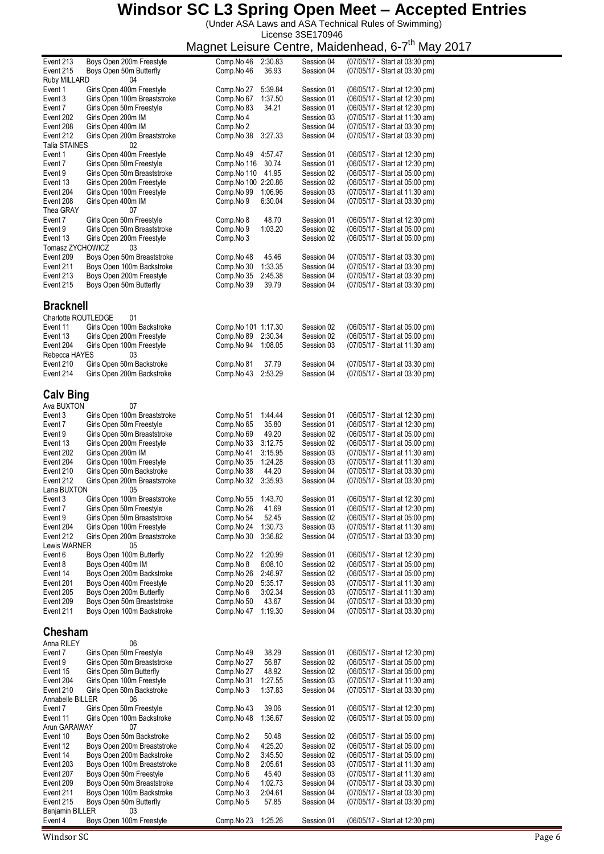(Under ASA Laws and ASA Technical Rules of Swimming) License 3SE170946

#### Magnet Leisure Centre, Maidenhead, 6-7<sup>th</sup> May 2017

|                                   |                                                          |                                   |                    |                          | magnet Leisare Ochte, maidemicau, o <i>r</i><br>ivici y          |
|-----------------------------------|----------------------------------------------------------|-----------------------------------|--------------------|--------------------------|------------------------------------------------------------------|
| Event 213<br>Event 215            | Boys Open 200m Freestyle<br>Boys Open 50m Butterfly      | Comp.No 46<br>Comp.No 46          | 2:30.83<br>36.93   | Session 04<br>Session 04 | (07/05/17 - Start at 03:30 pm)<br>(07/05/17 - Start at 03:30 pm) |
| Ruby MILLARD                      | 04                                                       |                                   |                    |                          |                                                                  |
| Event 1                           | Girls Open 400m Freestyle                                | Comp.No 27                        | 5:39.84            | Session 01               | (06/05/17 - Start at 12:30 pm)                                   |
| Event 3<br>Event 7                | Girls Open 100m Breaststroke<br>Girls Open 50m Freestyle | Comp.No 67<br>Comp.No 83          | 1:37.50<br>34.21   | Session 01<br>Session 01 | (06/05/17 - Start at 12:30 pm)<br>(06/05/17 - Start at 12:30 pm) |
| Event 202                         | Girls Open 200m IM                                       | Comp.No 4                         |                    | Session 03               | (07/05/17 - Start at 11:30 am)                                   |
| Event 208                         | Girls Open 400m IM                                       | Comp.No 2                         |                    | Session 04               | (07/05/17 - Start at 03:30 pm)                                   |
| Event 212<br><b>Talia STAINES</b> | Girls Open 200m Breaststroke<br>02                       | Comp.No 38                        | 3:27.33            | Session 04               | (07/05/17 - Start at 03:30 pm)                                   |
| Event 1                           | Girls Open 400m Freestyle                                | Comp.No 49                        | 4:57.47            | Session 01               | (06/05/17 - Start at 12:30 pm)                                   |
| Event 7                           | Girls Open 50m Freestyle                                 | Comp.No 116                       | 30.74              | Session 01               | (06/05/17 - Start at 12:30 pm)                                   |
| Event 9                           | Girls Open 50m Breaststroke                              | Comp.No 110                       | 41.95              | Session 02               | (06/05/17 - Start at 05:00 pm)                                   |
| Event 13<br>Event 204             | Girls Open 200m Freestyle<br>Girls Open 100m Freestyle   | Comp.No 100 2:20.86<br>Comp.No 99 | 1:06.96            | Session 02<br>Session 03 | (06/05/17 - Start at 05:00 pm)<br>(07/05/17 - Start at 11:30 am) |
| Event 208                         | Girls Open 400m IM                                       | Comp.No 9                         | 6:30.04            | Session 04               | (07/05/17 - Start at 03:30 pm)                                   |
| Thea GRAY                         | 07                                                       |                                   |                    |                          |                                                                  |
| Event 7<br>Event 9                | Girls Open 50m Freestyle<br>Girls Open 50m Breaststroke  | Comp.No 8<br>Comp.No 9            | 48.70<br>1:03.20   | Session 01<br>Session 02 | (06/05/17 - Start at 12:30 pm)<br>(06/05/17 - Start at 05:00 pm) |
| Event 13                          | Girls Open 200m Freestyle                                | Comp.No 3                         |                    | Session 02               | (06/05/17 - Start at 05:00 pm)                                   |
| Tomasz ZYCHOWICZ                  | 03                                                       |                                   |                    |                          |                                                                  |
| Event 209<br>Event 211            | Boys Open 50m Breaststroke<br>Boys Open 100m Backstroke  | Comp.No 48<br>Comp.No 30          | 45.46<br>1:33.35   | Session 04<br>Session 04 | (07/05/17 - Start at 03:30 pm)<br>(07/05/17 - Start at 03:30 pm) |
| Event 213                         | Boys Open 200m Freestyle                                 | Comp.No 35                        | 2:45.38            | Session 04               | (07/05/17 - Start at 03:30 pm)                                   |
| Event 215                         | Boys Open 50m Butterfly                                  | Comp.No 39                        | 39.79              | Session 04               | (07/05/17 - Start at 03:30 pm)                                   |
|                                   |                                                          |                                   |                    |                          |                                                                  |
| <b>Bracknell</b>                  |                                                          |                                   |                    |                          |                                                                  |
| Charlotte ROUTLEDGE<br>Event 11   | 01<br>Girls Open 100m Backstroke                         | Comp. No 101 1:17.30              |                    | Session 02               | (06/05/17 - Start at 05:00 pm)                                   |
| Event 13                          | Girls Open 200m Freestyle                                | Comp.No 89                        | 2:30.34            | Session 02               | (06/05/17 - Start at 05:00 pm)                                   |
| Event 204                         | Girls Open 100m Freestyle                                | Comp.No 94                        | 1:08.05            | Session 03               | (07/05/17 - Start at 11:30 am)                                   |
| Rebecca HAYES                     | 03                                                       |                                   |                    |                          |                                                                  |
| Event 210<br>Event 214            | Girls Open 50m Backstroke<br>Girls Open 200m Backstroke  | Comp.No 81<br>Comp.No 43          | 37.79<br>2:53.29   | Session 04<br>Session 04 | (07/05/17 - Start at 03:30 pm)<br>(07/05/17 - Start at 03:30 pm) |
|                                   |                                                          |                                   |                    |                          |                                                                  |
| <b>Calv Bing</b>                  |                                                          |                                   |                    |                          |                                                                  |
| Ava BUXTON                        | 07                                                       |                                   |                    |                          |                                                                  |
| Event 3<br>Event 7                | Girls Open 100m Breaststroke<br>Girls Open 50m Freestyle | Comp.No 51<br>Comp.No 65          | 1.44.44<br>35.80   | Session 01<br>Session 01 | (06/05/17 - Start at 12:30 pm)<br>(06/05/17 - Start at 12:30 pm) |
| Event 9                           | Girls Open 50m Breaststroke                              | Comp.No 69                        | 49.20              | Session 02               | (06/05/17 - Start at 05:00 pm)                                   |
| Event 13                          | Girls Open 200m Freestyle                                | Comp.No 33                        | 3:12.75            | Session 02               | (06/05/17 - Start at 05:00 pm)                                   |
| Event 202                         | Girls Open 200m IM                                       | Comp.No 41                        | 3:15.95            | Session 03               | (07/05/17 - Start at 11:30 am)                                   |
| Event 204<br>Event 210            | Girls Open 100m Freestyle<br>Girls Open 50m Backstroke   | Comp.No 35<br>Comp.No 38          | 1:24.28<br>44.20   | Session 03<br>Session 04 | (07/05/17 - Start at 11:30 am)<br>(07/05/17 - Start at 03:30 pm) |
| Event 212                         | Girls Open 200m Breaststroke                             | Comp.No 32                        | 3:35.93            | Session 04               | (07/05/17 - Start at 03:30 pm)                                   |
| Lana BUXTON                       | 05                                                       |                                   |                    |                          |                                                                  |
| Event 3<br>Event 7                | Girls Open 100m Breaststroke<br>Girls Open 50m Freestyle | Comp.No 55<br>Comp.No 26          | 1:43.70<br>41.69   | Session 01<br>Session 01 | (06/05/17 - Start at 12:30 pm)<br>(06/05/17 - Start at 12:30 pm) |
| Event 9                           | Girls Open 50m Breaststroke                              | Comp.No 54                        | 52.45              | Session 02               | (06/05/17 - Start at 05:00 pm)                                   |
| Event 204                         | Girls Open 100m Freestyle                                | Comp.No 24                        | 1:30.73            | Session 03               | (07/05/17 - Start at 11:30 am)                                   |
| Event 212<br>Lewis WARNER         | Girls Open 200m Breaststroke<br>05                       | Comp.No 30                        | 3:36.82            | Session 04               | (07/05/17 - Start at 03:30 pm)                                   |
| Event 6                           | Boys Open 100m Butterfly                                 | Comp.No 22                        | 1:20.99            | Session 01               | (06/05/17 - Start at 12:30 pm)                                   |
| Event 8                           | Boys Open 400m IM                                        | Comp.No 8                         | 6:08.10            | Session 02               | (06/05/17 - Start at 05:00 pm)                                   |
| Event 14                          | Boys Open 200m Backstroke                                | Comp.No 26                        | 2:46.97            | Session 02               | (06/05/17 - Start at 05:00 pm)                                   |
| Event 201<br>Event 205            | Boys Open 400m Freestyle<br>Boys Open 200m Butterfly     | Comp.No 20<br>Comp.No 6           | 5:35.17<br>3:02.34 | Session 03<br>Session 03 | (07/05/17 - Start at 11:30 am)<br>(07/05/17 - Start at 11:30 am) |
| Event 209                         | Boys Open 50m Breaststroke                               | Comp.No 50                        | 43.67              | Session 04               | (07/05/17 - Start at 03:30 pm)                                   |
| Event 211                         | Boys Open 100m Backstroke                                | Comp.No 47                        | 1:19.30            | Session 04               | (07/05/17 - Start at 03:30 pm)                                   |
| <b>Chesham</b>                    |                                                          |                                   |                    |                          |                                                                  |
| Anna RILEY                        | 06                                                       |                                   |                    |                          |                                                                  |
| Event 7                           | Girls Open 50m Freestyle                                 | Comp.No 49                        | 38.29              | Session 01               | (06/05/17 - Start at 12:30 pm)                                   |
| Event 9                           | Girls Open 50m Breaststroke                              | Comp.No 27                        | 56.87              | Session 02               | (06/05/17 - Start at 05:00 pm)                                   |
| Event 15<br>Event 204             | Girls Open 50m Butterfly<br>Girls Open 100m Freestyle    | Comp.No 27                        | 48.92<br>1:27.55   | Session 02<br>Session 03 | (06/05/17 - Start at 05:00 pm)<br>(07/05/17 - Start at 11:30 am) |
| Event 210                         | Girls Open 50m Backstroke                                | Comp.No 31<br>Comp.No 3           | 1:37.83            | Session 04               | (07/05/17 - Start at 03:30 pm)                                   |
| Annabelle BILLER                  | 06                                                       |                                   |                    |                          |                                                                  |
| Event 7                           | Girls Open 50m Freestyle                                 | Comp.No 43                        | 39.06              | Session 01               | (06/05/17 - Start at 12:30 pm)                                   |
| Event 11<br>Arun GARAWAY          | Girls Open 100m Backstroke<br>07                         | Comp.No 48                        | 1:36.67            | Session 02               | (06/05/17 - Start at 05:00 pm)                                   |
| Event 10                          | Boys Open 50m Backstroke                                 | Comp.No 2                         | 50.48              | Session 02               | (06/05/17 - Start at 05:00 pm)                                   |
| Event 12                          | Boys Open 200m Breaststroke                              | Comp.No 4                         | 4:25.20            | Session 02               | (06/05/17 - Start at 05:00 pm)                                   |
| Event 14                          | Boys Open 200m Backstroke                                | Comp.No 2                         | 3:45.50<br>2:05.61 | Session 02               | (06/05/17 - Start at 05:00 pm)                                   |
| Event 203<br>Event 207            | Boys Open 100m Breaststroke<br>Boys Open 50m Freestyle   | Comp.No 8<br>Comp.No 6            | 45.40              | Session 03<br>Session 03 | (07/05/17 - Start at 11:30 am)<br>(07/05/17 - Start at 11:30 am) |
| Event 209                         | Boys Open 50m Breaststroke                               | Comp.No 4                         | 1:02.73            | Session 04               | (07/05/17 - Start at 03:30 pm)                                   |
| Event 211                         | Boys Open 100m Backstroke                                | Comp.No 3                         | 2:04.61            | Session 04               | (07/05/17 - Start at 03:30 pm)                                   |
| Event 215<br>Benjamin BILLER      | Boys Open 50m Butterfly<br>03                            | Comp.No 5                         | 57.85              | Session 04               | (07/05/17 - Start at 03:30 pm)                                   |
| Event 4                           | Boys Open 100m Freestyle                                 | Comp.No 23                        | 1:25.26            | Session 01               | (06/05/17 - Start at 12:30 pm)                                   |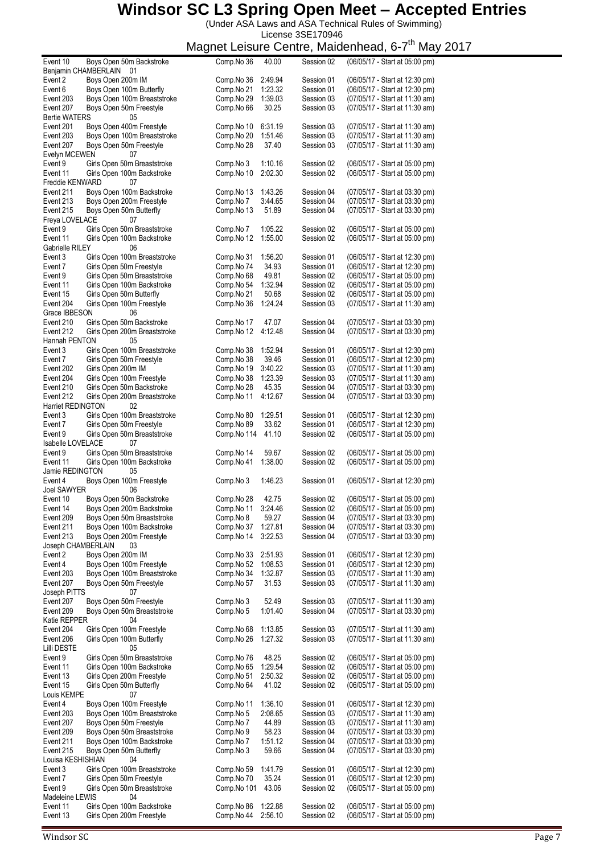(Under ASA Laws and ASA Technical Rules of Swimming) License 3SE170946

|                      |                              |             |         |            | iviagrici Leisure Oeritre, ivididenneau, 0-7<br>iviciy |
|----------------------|------------------------------|-------------|---------|------------|--------------------------------------------------------|
| Event 10             | Boys Open 50m Backstroke     | Comp.No 36  | 40.00   | Session 02 | (06/05/17 - Start at 05:00 pm)                         |
| Benjamin CHAMBERLAIN | 01                           |             |         |            |                                                        |
| Event 2              | Boys Open 200m IM            | Comp.No 36  | 2:49.94 | Session 01 | (06/05/17 - Start at 12:30 pm)                         |
| Event 6              | Boys Open 100m Butterfly     | Comp.No 21  | 1:23.32 | Session 01 | (06/05/17 - Start at 12:30 pm)                         |
| Event 203            | Boys Open 100m Breaststroke  | Comp.No 29  | 1:39.03 | Session 03 | (07/05/17 - Start at 11:30 am)                         |
| Event 207            | Boys Open 50m Freestyle      | Comp.No 66  | 30.25   | Session 03 | (07/05/17 - Start at 11:30 am)                         |
|                      |                              |             |         |            |                                                        |
| <b>Bertie WATERS</b> | 05                           |             |         |            |                                                        |
| Event 201            | Boys Open 400m Freestyle     | Comp.No 10  | 6:31.19 | Session 03 | (07/05/17 - Start at 11:30 am)                         |
| Event 203            | Boys Open 100m Breaststroke  | Comp.No 20  | 1:51.46 | Session 03 | (07/05/17 - Start at 11:30 am)                         |
| Event 207            | Boys Open 50m Freestyle      | Comp.No 28  | 37.40   | Session 03 | (07/05/17 - Start at 11:30 am)                         |
| Evelyn MCEWEN        | 07                           |             |         |            |                                                        |
| Event 9              | Girls Open 50m Breaststroke  | Comp.No 3   | 1:10.16 | Session 02 | (06/05/17 - Start at 05:00 pm)                         |
| Event 11             |                              |             | 2:02.30 | Session 02 | (06/05/17 - Start at 05:00 pm)                         |
|                      | Girls Open 100m Backstroke   | Comp.No 10  |         |            |                                                        |
| Freddie KENWARD      | 07                           |             |         |            |                                                        |
| Event 211            | Boys Open 100m Backstroke    | Comp.No 13  | 1:43.26 | Session 04 | (07/05/17 - Start at 03:30 pm)                         |
| Event 213            | Boys Open 200m Freestyle     | Comp.No 7   | 3:44.65 | Session 04 | (07/05/17 - Start at 03:30 pm)                         |
| Event 215            | Boys Open 50m Butterfly      | Comp.No 13  | 51.89   | Session 04 | (07/05/17 - Start at 03:30 pm)                         |
| Freya LOVELACE       | 07                           |             |         |            |                                                        |
| Event 9              | Girls Open 50m Breaststroke  | Comp.No 7   | 1:05.22 | Session 02 | (06/05/17 - Start at 05:00 pm)                         |
|                      |                              |             |         |            |                                                        |
| Event 11             | Girls Open 100m Backstroke   | Comp.No 12  | 1:55.00 | Session 02 | (06/05/17 - Start at 05:00 pm)                         |
| Gabrielle RILEY      | 06                           |             |         |            |                                                        |
| Event 3              | Girls Open 100m Breaststroke | Comp.No 31  | 1:56.20 | Session 01 | (06/05/17 - Start at 12:30 pm)                         |
| Event 7              | Girls Open 50m Freestyle     | Comp.No 74  | 34.93   | Session 01 | (06/05/17 - Start at 12:30 pm)                         |
| Event 9              | Girls Open 50m Breaststroke  | Comp.No 68  | 49.81   | Session 02 | (06/05/17 - Start at 05:00 pm)                         |
| Event 11             | Girls Open 100m Backstroke   | Comp.No 54  | 1:32.94 | Session 02 | (06/05/17 - Start at 05:00 pm)                         |
| Event 15             | Girls Open 50m Butterfly     | Comp.No 21  | 50.68   | Session 02 | (06/05/17 - Start at 05:00 pm)                         |
|                      |                              |             |         |            |                                                        |
| Event 204            | Girls Open 100m Freestyle    | Comp.No 36  | 1:24.24 | Session 03 | (07/05/17 - Start at 11:30 am)                         |
| Grace IBBESON        | 06                           |             |         |            |                                                        |
| Event 210            | Girls Open 50m Backstroke    | Comp.No 17  | 47.07   | Session 04 | (07/05/17 - Start at 03:30 pm)                         |
| Event 212            | Girls Open 200m Breaststroke | Comp.No 12  | 4:12.48 | Session 04 | (07/05/17 - Start at 03:30 pm)                         |
| Hannah PENTON        | 05                           |             |         |            |                                                        |
| Event 3              |                              |             | 1:52.94 |            |                                                        |
|                      | Girls Open 100m Breaststroke | Comp.No 38  |         | Session 01 | (06/05/17 - Start at 12:30 pm)                         |
| Event 7              | Girls Open 50m Freestyle     | Comp.No 38  | 39.46   | Session 01 | (06/05/17 - Start at 12:30 pm)                         |
| Event 202            | Girls Open 200m IM           | Comp.No 19  | 3:40.22 | Session 03 | (07/05/17 - Start at 11:30 am)                         |
| Event 204            | Girls Open 100m Freestyle    | Comp.No 38  | 1:23.39 | Session 03 | (07/05/17 - Start at 11:30 am)                         |
| Event 210            | Girls Open 50m Backstroke    | Comp.No 28  | 45.35   | Session 04 | (07/05/17 - Start at 03:30 pm)                         |
| Event 212            | Girls Open 200m Breaststroke | Comp.No 11  | 4:12.67 | Session 04 | (07/05/17 - Start at 03:30 pm)                         |
| Harriet REDINGTON    | 02                           |             |         |            |                                                        |
|                      |                              |             |         |            |                                                        |
| Event 3              | Girls Open 100m Breaststroke | Comp.No 80  | 1:29.51 | Session 01 | (06/05/17 - Start at 12:30 pm)                         |
| Event 7              | Girls Open 50m Freestyle     | Comp.No 89  | 33.62   | Session 01 | (06/05/17 - Start at 12:30 pm)                         |
| Event 9              | Girls Open 50m Breaststroke  | Comp.No 114 | 41.10   | Session 02 | (06/05/17 - Start at 05:00 pm)                         |
| Isabelle LOVELACE    | 07                           |             |         |            |                                                        |
| Event 9              | Girls Open 50m Breaststroke  | Comp.No 14  | 59.67   | Session 02 | (06/05/17 - Start at 05:00 pm)                         |
| Event 11             | Girls Open 100m Backstroke   | Comp.No 41  | 1:38.00 | Session 02 | (06/05/17 - Start at 05:00 pm)                         |
|                      |                              |             |         |            |                                                        |
| Jamie REDINGTON      | 05                           |             |         |            |                                                        |
| Event 4              | Boys Open 100m Freestyle     | Comp.No 3   | 1:46.23 | Session 01 | (06/05/17 - Start at 12:30 pm)                         |
| Joel SAWYER          | 06                           |             |         |            |                                                        |
| Event 10             | Boys Open 50m Backstroke     | Comp.No 28  | 42.75   | Session 02 | (06/05/17 - Start at 05:00 pm)                         |
| Event 14             | Boys Open 200m Backstroke    | Comp.No 11  | 3:24.46 | Session 02 | (06/05/17 - Start at 05:00 pm)                         |
| Event 209            | Boys Open 50m Breaststroke   | Comp.No 8   | 59.27   | Session 04 | (07/05/17 - Start at 03:30 pm)                         |
| Event 211            | Boys Open 100m Backstroke    | Comp.No 37  | 1:27.81 | Session 04 | (07/05/17 - Start at 03:30 pm)                         |
|                      |                              |             |         |            |                                                        |
| Event 213            | Boys Open 200m Freestyle     | Comp.No 14  | 3:22.53 | Session 04 | (07/05/17 - Start at 03:30 pm)                         |
| Joseph CHAMBERLAIN   | 03                           |             |         |            |                                                        |
| Event 2              | Boys Open 200m IM            | Comp.No 33  | 2:51.93 | Session 01 | (06/05/17 - Start at 12:30 pm)                         |
| Event 4              | Boys Open 100m Freestyle     | Comp.No 52  | 1:08.53 | Session 01 | (06/05/17 - Start at 12:30 pm)                         |
| Event 203            | Boys Open 100m Breaststroke  | Comp.No 34  | 1:32.87 | Session 03 | (07/05/17 - Start at 11:30 am)                         |
| Event 207            | Boys Open 50m Freestyle      | Comp.No 57  | 31.53   | Session 03 | (07/05/17 - Start at 11:30 am)                         |
| Joseph PITTS         | 07                           |             |         |            |                                                        |
|                      |                              |             |         |            |                                                        |
| Event 207            | Boys Open 50m Freestyle      | Comp.No 3   | 52.49   | Session 03 | (07/05/17 - Start at 11:30 am)                         |
| Event 209            | Boys Open 50m Breaststroke   | Comp.No 5   | 1:01.40 | Session 04 | (07/05/17 - Start at 03:30 pm)                         |
| Katie REPPER         | 04                           |             |         |            |                                                        |
| Event 204            | Girls Open 100m Freestyle    | Comp.No 68  | 1:13.85 | Session 03 | (07/05/17 - Start at 11:30 am)                         |
| Event 206            | Girls Open 100m Butterfly    | Comp.No 26  | 1:27.32 | Session 03 | (07/05/17 - Start at 11:30 am)                         |
| Lilli DESTE          | 05                           |             |         |            |                                                        |
|                      |                              |             |         |            |                                                        |
| Event 9              | Girls Open 50m Breaststroke  | Comp.No 76  | 48.25   | Session 02 | (06/05/17 - Start at 05:00 pm)                         |
| Event 11             | Girls Open 100m Backstroke   | Comp.No 65  | 1:29.54 | Session 02 | (06/05/17 - Start at 05:00 pm)                         |
| Event 13             | Girls Open 200m Freestyle    | Comp.No 51  | 2:50.32 | Session 02 | (06/05/17 - Start at 05:00 pm)                         |
| Event 15             | Girls Open 50m Butterfly     | Comp.No 64  | 41.02   | Session 02 | (06/05/17 - Start at 05:00 pm)                         |
| Louis KEMPE          | 07                           |             |         |            |                                                        |
| Event 4              | Boys Open 100m Freestyle     | Comp.No 11  | 1:36.10 | Session 01 | (06/05/17 - Start at 12:30 pm)                         |
| Event 203            | Boys Open 100m Breaststroke  | Comp.No 5   | 2:08.65 | Session 03 | (07/05/17 - Start at 11:30 am)                         |
|                      |                              |             |         |            |                                                        |
| Event 207            | Boys Open 50m Freestyle      | Comp.No 7   | 44.89   | Session 03 | (07/05/17 - Start at 11:30 am)                         |
| Event 209            | Boys Open 50m Breaststroke   | Comp.No 9   | 58.23   | Session 04 | (07/05/17 - Start at 03:30 pm)                         |
| Event 211            | Boys Open 100m Backstroke    | Comp.No 7   | 1:51.12 | Session 04 | (07/05/17 - Start at 03:30 pm)                         |
| Event 215            | Boys Open 50m Butterfly      | Comp.No 3   | 59.66   | Session 04 | (07/05/17 - Start at 03:30 pm)                         |
| Louisa KESHISHIAN    | 04                           |             |         |            |                                                        |
| Event 3              | Girls Open 100m Breaststroke | Comp.No 59  | 1:41.79 | Session 01 | (06/05/17 - Start at 12:30 pm)                         |
|                      |                              |             | 35.24   |            |                                                        |
| Event 7              | Girls Open 50m Freestyle     | Comp.No 70  |         | Session 01 | (06/05/17 - Start at 12:30 pm)                         |
| Event 9              | Girls Open 50m Breaststroke  | Comp.No 101 | 43.06   | Session 02 | (06/05/17 - Start at 05:00 pm)                         |
| Madeleine LEWIS      | 04                           |             |         |            |                                                        |
| Event 11             | Girls Open 100m Backstroke   | Comp.No 86  | 1:22.88 | Session 02 | (06/05/17 - Start at 05:00 pm)                         |
| Event 13             | Girls Open 200m Freestyle    | Comp.No 44  | 2:56.10 | Session 02 | (06/05/17 - Start at 05:00 pm)                         |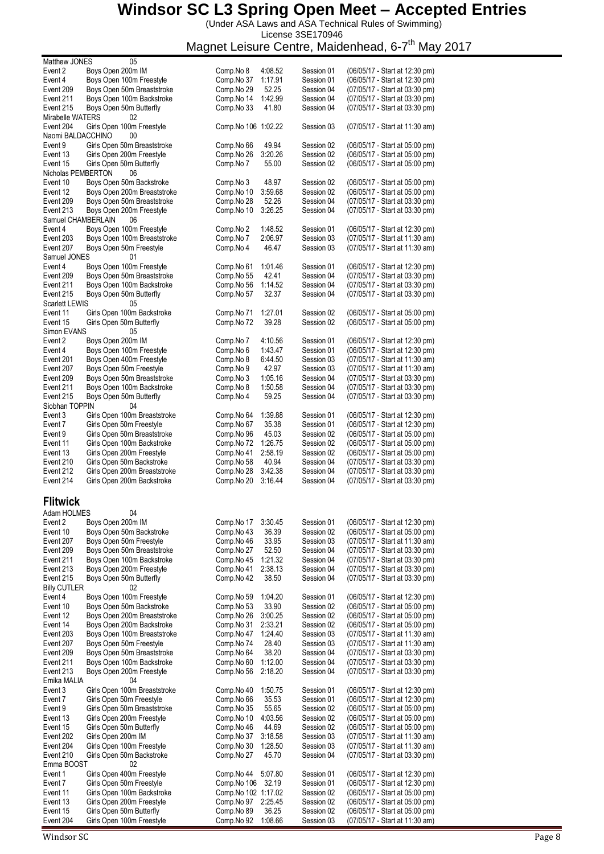(Under ASA Laws and ASA Technical Rules of Swimming)

License 3SE170946

Magnet Leisure Centre, Maidenhead, 6-7<sup>th</sup> May 2017

|                     | Matthew JONES<br>05                                   |                          |                  |            |                                                                  |
|---------------------|-------------------------------------------------------|--------------------------|------------------|------------|------------------------------------------------------------------|
| Event 2             | Boys Open 200m IM                                     | Comp.No 8                | 4:08.52          | Session 01 | (06/05/17 - Start at 12:30 pm)                                   |
| Event 4             | Boys Open 100m Freestyle                              | Comp.No 37               | 1:17.91          | Session 01 | (06/05/17 - Start at 12:30 pm)                                   |
| Event 209           | Boys Open 50m Breaststroke                            | Comp.No 29               | 52.25            | Session 04 | (07/05/17 - Start at 03:30 pm)                                   |
| Event 211           | Boys Open 100m Backstroke                             | Comp.No 14               | 1:42.99          | Session 04 | (07/05/17 - Start at 03:30 pm)                                   |
| Event 215           | Boys Open 50m Butterfly                               | Comp.No 33               | 41.80            | Session 04 | (07/05/17 - Start at 03:30 pm)                                   |
| Mirabelle WATERS    | 02                                                    |                          |                  |            |                                                                  |
| Event 204           | Girls Open 100m Freestyle                             | Comp. No 106 1:02.22     |                  | Session 03 | (07/05/17 - Start at 11:30 am)                                   |
| Naomi BALDACCHINO   | 00                                                    |                          |                  |            |                                                                  |
| Event 9             | Girls Open 50m Breaststroke                           | Comp.No 66               | 49.94            | Session 02 | (06/05/17 - Start at 05:00 pm)                                   |
| Event 13            | Girls Open 200m Freestyle                             | Comp.No 26               | 3:20.26          | Session 02 | (06/05/17 - Start at 05:00 pm)                                   |
| Event 15            | Girls Open 50m Butterfly                              | Comp.No 7                | 55.00            | Session 02 | (06/05/17 - Start at 05:00 pm)                                   |
| Nicholas PEMBERTON  | 06                                                    |                          |                  |            |                                                                  |
| Event 10            | Boys Open 50m Backstroke                              | Comp.No 3                | 48.97            | Session 02 | (06/05/17 - Start at 05:00 pm)                                   |
| Event 12            | Boys Open 200m Breaststroke                           | Comp.No 10               | 3:59.68          | Session 02 | (06/05/17 - Start at 05:00 pm)                                   |
|                     |                                                       |                          |                  |            |                                                                  |
| Event 209           | Boys Open 50m Breaststroke                            | Comp.No 28               | 52.26            | Session 04 | (07/05/17 - Start at 03:30 pm)                                   |
| Event 213           | Boys Open 200m Freestyle                              | Comp.No 10               | 3:26.25          | Session 04 | (07/05/17 - Start at 03:30 pm)                                   |
| Samuel CHAMBERLAIN  | 06                                                    |                          |                  |            |                                                                  |
| Event 4             | Boys Open 100m Freestyle                              | Comp.No 2                | 1:48.52          | Session 01 | (06/05/17 - Start at 12:30 pm)                                   |
| Event 203           | Boys Open 100m Breaststroke                           | Comp.No 7                | 2:06.97          | Session 03 | (07/05/17 - Start at 11:30 am)                                   |
| Event 207           | Boys Open 50m Freestyle                               | Comp.No 4                | 46.47            | Session 03 | (07/05/17 - Start at 11:30 am)                                   |
| Samuel JONES        | 01                                                    |                          |                  |            |                                                                  |
| Event 4             | Boys Open 100m Freestyle                              | Comp.No 61               | 1:01.46          | Session 01 | (06/05/17 - Start at 12:30 pm)                                   |
| Event 209           | Boys Open 50m Breaststroke                            | Comp.No 55               | 42.41            | Session 04 | (07/05/17 - Start at 03:30 pm)                                   |
| Event 211           | Boys Open 100m Backstroke                             | Comp.No 56               | 1:14.52          | Session 04 | (07/05/17 - Start at 03:30 pm)                                   |
| Event 215           | Boys Open 50m Butterfly                               | Comp.No 57               | 32.37            | Session 04 | (07/05/17 - Start at 03:30 pm)                                   |
| Scarlett LEWIS      | 05                                                    |                          |                  |            |                                                                  |
| Event 11            | Girls Open 100m Backstroke                            | Comp.No 71               | 1:27.01          | Session 02 | (06/05/17 - Start at 05:00 pm)                                   |
| Event 15            | Girls Open 50m Butterfly                              | Comp.No 72               | 39.28            | Session 02 | (06/05/17 - Start at 05:00 pm)                                   |
| Simon EVANS         | 05                                                    |                          |                  |            |                                                                  |
|                     |                                                       |                          |                  |            |                                                                  |
| Event 2             | Boys Open 200m IM                                     | Comp.No 7                | 4:10.56          | Session 01 | (06/05/17 - Start at 12:30 pm)                                   |
| Event 4             | Boys Open 100m Freestyle                              | Comp.No 6                | 1:43.47          | Session 01 | (06/05/17 - Start at 12:30 pm)                                   |
| Event 201           | Boys Open 400m Freestyle                              | Comp.No 8                | 6:44.50          | Session 03 | (07/05/17 - Start at 11:30 am)                                   |
| Event 207           | Boys Open 50m Freestyle                               | Comp.No 9                | 42.97            | Session 03 | (07/05/17 - Start at 11:30 am)                                   |
| Event 209           | Boys Open 50m Breaststroke                            | Comp.No 3                | 1:05.16          | Session 04 | (07/05/17 - Start at 03:30 pm)                                   |
| Event 211           | Boys Open 100m Backstroke                             | Comp.No 8                | 1:50.58          | Session 04 | (07/05/17 - Start at 03:30 pm)                                   |
| Event 215           | Boys Open 50m Butterfly                               | Comp.No 4                | 59.25            | Session 04 | (07/05/17 - Start at 03:30 pm)                                   |
| Siobhan TOPPIN      | 04                                                    |                          |                  |            |                                                                  |
| Event 3             | Girls Open 100m Breaststroke                          | Comp.No 64               | 1:39.88          | Session 01 | (06/05/17 - Start at 12:30 pm)                                   |
| Event 7             | Girls Open 50m Freestyle                              | Comp.No 67               | 35.38            | Session 01 | (06/05/17 - Start at 12:30 pm)                                   |
| Event 9             | Girls Open 50m Breaststroke                           | Comp.No 96               | 45.03            | Session 02 | (06/05/17 - Start at 05:00 pm)                                   |
| Event 11            | Girls Open 100m Backstroke                            | Comp.No 72               | 1:26.75          | Session 02 | (06/05/17 - Start at 05:00 pm)                                   |
|                     |                                                       |                          |                  |            |                                                                  |
|                     |                                                       |                          |                  |            |                                                                  |
| Event 13            | Girls Open 200m Freestyle                             | Comp.No 41               | 2:58.19          | Session 02 | (06/05/17 - Start at 05:00 pm)                                   |
| Event 210           | Girls Open 50m Backstroke                             | Comp.No 58               | 40.94            | Session 04 | (07/05/17 - Start at 03:30 pm)                                   |
| Event 212           | Girls Open 200m Breaststroke                          | Comp.No 28               | 3:42.38          | Session 04 | (07/05/17 - Start at 03:30 pm)                                   |
| Event 214           | Girls Open 200m Backstroke                            | Comp.No 20               | 3:16.44          | Session 04 | (07/05/17 - Start at 03:30 pm)                                   |
|                     |                                                       |                          |                  |            |                                                                  |
| <b>Flitwick</b>     |                                                       |                          |                  |            |                                                                  |
|                     |                                                       |                          |                  |            |                                                                  |
| Adam HOLMES         | 04                                                    |                          |                  |            |                                                                  |
| Event 2             | Boys Open 200m IM                                     | Comp.No 17               | 3:30.45          | Session 01 | (06/05/17 - Start at 12:30 pm)                                   |
| Event 10            | Boys Open 50m Backstroke                              | Comp.No 43               | 36.39            | Session 02 | (06/05/17 - Start at 05:00 pm)                                   |
| Event 207           | Boys Open 50m Freestyle                               | Comp.No 46               | 33.95            | Session 03 | (07/05/17 - Start at 11:30 am)                                   |
| Event 209           | Boys Open 50m Breaststroke                            | Comp.No 27               | 52.50            | Session 04 | (07/05/17 - Start at 03:30 pm)                                   |
| Event 211           | Boys Open 100m Backstroke                             | Comp.No 45               | 1:21.32          | Session 04 | (07/05/17 - Start at 03:30 pm)                                   |
| Event 213           | Boys Open 200m Freestyle                              | Comp.No 41               | 2:38.13          | Session 04 | (07/05/17 - Start at 03:30 pm)                                   |
| Event 215           | Boys Open 50m Butterfly                               | Comp.No 42               | 38.50            | Session 04 | (07/05/17 - Start at 03:30 pm)                                   |
| <b>Billy CUTLER</b> | 02                                                    |                          |                  |            |                                                                  |
| Event 4             | Boys Open 100m Freestyle                              | Comp.No 59               | 1:04.20          | Session 01 | (06/05/17 - Start at 12:30 pm)                                   |
| Event 10            | Boys Open 50m Backstroke                              | Comp.No 53               | 33.90            | Session 02 | (06/05/17 - Start at 05:00 pm)                                   |
| Event 12            | Boys Open 200m Breaststroke                           | Comp.No 26               | 3:00.25          | Session 02 | (06/05/17 - Start at 05:00 pm)                                   |
| Event 14            | Boys Open 200m Backstroke                             | Comp.No 31               | 2:33.21          | Session 02 | (06/05/17 - Start at 05:00 pm)                                   |
| Event 203           |                                                       | Comp.No 47               |                  | Session 03 |                                                                  |
|                     | Boys Open 100m Breaststroke                           |                          | 1:24.40          |            | (07/05/17 - Start at 11:30 am)                                   |
| Event 207           | Boys Open 50m Freestyle                               | Comp.No 74               | 28.40            | Session 03 | (07/05/17 - Start at 11:30 am)                                   |
| Event 209           | Boys Open 50m Breaststroke                            | Comp.No 64               | 38.20            | Session 04 | (07/05/17 - Start at 03:30 pm)                                   |
| Event 211           | Boys Open 100m Backstroke                             | Comp.No 60               | 1:12.00          | Session 04 | (07/05/17 - Start at 03:30 pm)                                   |
| Event 213           | Boys Open 200m Freestyle                              | Comp.No 56               | 2:18.20          | Session 04 | (07/05/17 - Start at 03:30 pm)                                   |
| Emika MALIA         | 04                                                    |                          |                  |            |                                                                  |
| Event 3             | Girls Open 100m Breaststroke                          | Comp.No 40               | 1:50.75          | Session 01 | (06/05/17 - Start at 12:30 pm)                                   |
| Event 7             | Girls Open 50m Freestyle                              | Comp.No 66               | 35.53            | Session 01 | (06/05/17 - Start at 12:30 pm)                                   |
| Event 9             | Girls Open 50m Breaststroke                           | Comp.No 35               | 55.65            | Session 02 | (06/05/17 - Start at 05:00 pm)                                   |
| Event 13            | Girls Open 200m Freestyle                             | Comp.No 10               | 4:03.56          | Session 02 | (06/05/17 - Start at 05:00 pm)                                   |
| Event 15            | Girls Open 50m Butterfly                              | Comp.No 46               | 44.69            | Session 02 | (06/05/17 - Start at 05:00 pm)                                   |
| Event 202           | Girls Open 200m IM                                    | Comp.No 37               | 3:18.58          | Session 03 | (07/05/17 - Start at 11:30 am)                                   |
| Event 204           | Girls Open 100m Freestyle                             | Comp.No 30               | 1:28.50          | Session 03 | (07/05/17 - Start at 11:30 am)                                   |
| Event 210           | Girls Open 50m Backstroke                             | Comp.No 27               | 45.70            | Session 04 | (07/05/17 - Start at 03:30 pm)                                   |
| Emma BOOST          | 02                                                    |                          |                  |            |                                                                  |
| Event 1             | Girls Open 400m Freestyle                             | Comp.No 44               | 5:07.80          | Session 01 | (06/05/17 - Start at 12:30 pm)                                   |
| Event 7             | Girls Open 50m Freestyle                              | Comp.No 106              | 32.19            | Session 01 | (06/05/17 - Start at 12:30 pm)                                   |
| Event 11            | Girls Open 100m Backstroke                            | Comp. No 102 1:17.02     |                  | Session 02 | (06/05/17 - Start at 05:00 pm)                                   |
| Event 13            |                                                       |                          |                  | Session 02 |                                                                  |
| Event 15            | Girls Open 200m Freestyle<br>Girls Open 50m Butterfly | Comp.No 97<br>Comp.No 89 | 2:25.45<br>36.25 | Session 02 | (06/05/17 - Start at 05:00 pm)<br>(06/05/17 - Start at 05:00 pm) |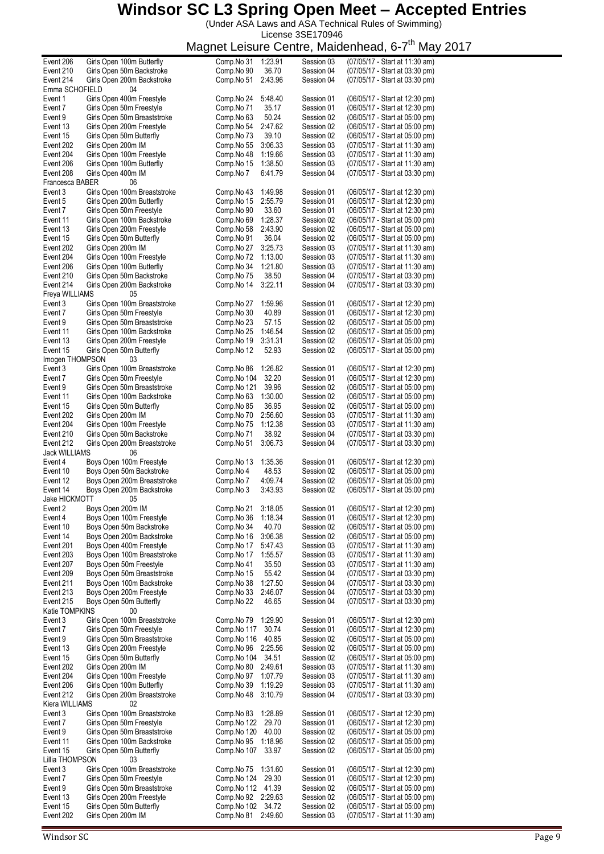(Under ASA Laws and ASA Technical Rules of Swimming) License 3SE170946

| Event 206             | Girls Open 100m Butterfly                      | Comp.No 31                | 1:23.91          | Session 03               | (07/05/17 - Start at 11:30 am)                                   |
|-----------------------|------------------------------------------------|---------------------------|------------------|--------------------------|------------------------------------------------------------------|
| Event 210             | Girls Open 50m Backstroke                      | Comp.No 90                | 36.70            | Session 04               | (07/05/17 - Start at 03:30 pm)                                   |
|                       |                                                |                           |                  |                          |                                                                  |
| Event 214             | Girls Open 200m Backstroke                     | Comp.No 51                | 2:43.96          | Session 04               | (07/05/17 - Start at 03:30 pm)                                   |
| Emma SCHOFIELD        | 04                                             |                           |                  |                          |                                                                  |
| Event 1               | Girls Open 400m Freestyle                      | Comp.No 24                | 5:48.40          | Session 01               | (06/05/17 - Start at 12:30 pm)                                   |
| Event 7               | Girls Open 50m Freestyle                       | Comp.No 71                | 35.17            | Session 01               | (06/05/17 - Start at 12:30 pm)                                   |
| Event 9               | Girls Open 50m Breaststroke                    | Comp.No 63                | 50.24            | Session 02               | (06/05/17 - Start at 05:00 pm)                                   |
| Event 13              | Girls Open 200m Freestyle                      | Comp.No 54                | 2:47.62          | Session 02               | (06/05/17 - Start at 05:00 pm)                                   |
| Event 15              | Girls Open 50m Butterfly                       | Comp.No 73                | 39.10            | Session 02               | (06/05/17 - Start at 05:00 pm)                                   |
|                       |                                                |                           |                  |                          |                                                                  |
| Event 202             | Girls Open 200m IM                             | Comp.No 55                | 3:06.33          | Session 03               | (07/05/17 - Start at 11:30 am)                                   |
| Event 204             | Girls Open 100m Freestyle                      | Comp.No 48                | 1:19.66          | Session 03               | (07/05/17 - Start at 11:30 am)                                   |
| Event 206             | Girls Open 100m Butterfly                      | Comp.No 15                | 1:38.50          | Session 03               | (07/05/17 - Start at 11:30 am)                                   |
| Event 208             | Girls Open 400m IM                             | Comp.No 7                 | 6:41.79          | Session 04               | (07/05/17 - Start at 03:30 pm)                                   |
| Francesca BABER       | 06                                             |                           |                  |                          |                                                                  |
| Event 3               | Girls Open 100m Breaststroke                   | Comp.No 43                | 1:49.98          | Session 01               | (06/05/17 - Start at 12:30 pm)                                   |
|                       |                                                |                           |                  |                          |                                                                  |
| Event 5               | Girls Open 200m Butterfly                      | Comp.No 15                | 2:55.79          | Session 01               | (06/05/17 - Start at 12:30 pm)                                   |
| Event 7               | Girls Open 50m Freestyle                       | Comp.No 90                | 33.60            | Session 01               | (06/05/17 - Start at 12:30 pm)                                   |
| Event 11              | Girls Open 100m Backstroke                     | Comp.No 69                | 1:28.37          | Session 02               | (06/05/17 - Start at 05:00 pm)                                   |
| Event 13              | Girls Open 200m Freestyle                      | Comp.No 58                | 2:43.90          | Session 02               | (06/05/17 - Start at 05:00 pm)                                   |
| Event 15              | Girls Open 50m Butterfly                       | Comp.No 91                | 36.04            | Session 02               | (06/05/17 - Start at 05:00 pm)                                   |
|                       |                                                |                           | 3:25.73          |                          |                                                                  |
| Event 202             | Girls Open 200m IM                             | Comp.No 27                |                  | Session 03               | (07/05/17 - Start at 11:30 am)                                   |
| Event 204             | Girls Open 100m Freestyle                      | Comp.No 72                | 1:13.00          | Session 03               | (07/05/17 - Start at 11:30 am)                                   |
| Event 206             | Girls Open 100m Butterfly                      | Comp.No 34                | 1:21.80          | Session 03               | (07/05/17 - Start at 11:30 am)                                   |
| Event 210             | Girls Open 50m Backstroke                      | Comp.No 75                | 38.50            | Session 04               | (07/05/17 - Start at 03:30 pm)                                   |
| Event 214             | Girls Open 200m Backstroke                     | Comp.No 14                | 3:22.11          | Session 04               | (07/05/17 - Start at 03:30 pm)                                   |
| Freya WILLIAMS        | 05                                             |                           |                  |                          |                                                                  |
|                       | Girls Open 100m Breaststroke                   |                           |                  |                          |                                                                  |
| Event 3               |                                                | Comp.No 27                | 1:59.96          | Session 01               | (06/05/17 - Start at 12:30 pm)                                   |
| Event 7               | Girls Open 50m Freestyle                       | Comp.No 30                | 40.89            | Session 01               | (06/05/17 - Start at 12:30 pm)                                   |
| Event 9               | Girls Open 50m Breaststroke                    | Comp.No 23                | 57.15            | Session 02               | (06/05/17 - Start at 05:00 pm)                                   |
| Event 11              | Girls Open 100m Backstroke                     | Comp.No 25                | 1:46.54          | Session 02               | (06/05/17 - Start at 05:00 pm)                                   |
| Event 13              | Girls Open 200m Freestyle                      | Comp.No 19                | 3:31.31          | Session 02               | (06/05/17 - Start at 05:00 pm)                                   |
|                       |                                                |                           |                  |                          |                                                                  |
| Event 15              | Girls Open 50m Butterfly                       | Comp.No 12                | 52.93            | Session 02               | (06/05/17 - Start at 05:00 pm)                                   |
| Imogen THOMPSON       | 03                                             |                           |                  |                          |                                                                  |
| Event 3               | Girls Open 100m Breaststroke                   | Comp.No 86                | 1:26.82          | Session 01               | (06/05/17 - Start at 12:30 pm)                                   |
| Event 7               | Girls Open 50m Freestyle                       | Comp.No 104               | 32.20            | Session 01               | (06/05/17 - Start at 12:30 pm)                                   |
| Event 9               | Girls Open 50m Breaststroke                    | Comp.No 121               | 39.96            | Session 02               | (06/05/17 - Start at 05:00 pm)                                   |
| Event 11              | Girls Open 100m Backstroke                     | Comp.No 63                | 1:30.00          | Session 02               | (06/05/17 - Start at 05:00 pm)                                   |
|                       |                                                |                           | 36.95            |                          |                                                                  |
| Event 15              | Girls Open 50m Butterfly                       | Comp.No 85                |                  | Session 02               | (06/05/17 - Start at 05:00 pm)                                   |
| Event 202             | Girls Open 200m IM                             | Comp.No 70                | 2:56.60          | Session 03               | (07/05/17 - Start at 11:30 am)                                   |
| Event 204             | Girls Open 100m Freestyle                      | Comp.No 75                | 1:12.38          | Session 03               | (07/05/17 - Start at 11:30 am)                                   |
| Event 210             | Girls Open 50m Backstroke                      | Comp.No 71                | 38.92            | Session 04               | (07/05/17 - Start at 03:30 pm)                                   |
| Event 212             | Girls Open 200m Breaststroke                   | Comp.No 51                | 3:06.73          | Session 04               | (07/05/17 - Start at 03:30 pm)                                   |
| <b>Jack WILLIAMS</b>  | 06                                             |                           |                  |                          |                                                                  |
|                       | Boys Open 100m Freestyle                       |                           |                  |                          |                                                                  |
| Event 4               |                                                | Comp.No 13                | 1:35.36          | Session 01               | (06/05/17 - Start at 12:30 pm)                                   |
| Event 10              | Boys Open 50m Backstroke                       | Comp.No 4                 | 48.53            | Session 02               | (06/05/17 - Start at 05:00 pm)                                   |
| Event 12              | Boys Open 200m Breaststroke                    | Comp.No 7                 | 4:09.74          | Session 02               | (06/05/17 - Start at 05:00 pm)                                   |
| Event 14              | Boys Open 200m Backstroke                      | Comp.No 3                 | 3:43.93          | Session 02               | (06/05/17 - Start at 05:00 pm)                                   |
| Jake HICKMOTT         | 05                                             |                           |                  |                          |                                                                  |
| Event 2               | Boys Open 200m IM                              | Comp.No 21                | 3:18.05          | Session 01               | (06/05/17 - Start at 12:30 pm)                                   |
|                       |                                                |                           |                  |                          |                                                                  |
| Event 4               | Boys Open 100m Freestyle                       | Comp.No 36                | 1:18.34          | Session 01               | (06/05/17 - Start at 12:30 pm)                                   |
| Event 10              | Boys Open 50m Backstroke                       | Comp.No 34                | 40.70            | Session 02               | (06/05/17 - Start at 05:00 pm)                                   |
| Event 14              | Boys Open 200m Backstroke                      | Comp.No 16                | 3:06.38          | Session 02               | (06/05/17 - Start at 05:00 pm)                                   |
| Event 201             | Boys Open 400m Freestyle                       | Comp.No 17                | 5:47.43          | Session 03               | (07/05/17 - Start at 11:30 am)                                   |
| Event 203             | Boys Open 100m Breaststroke                    | Comp.No 17                | 1:55.57          | Session 03               | (07/05/17 - Start at 11:30 am)                                   |
| Event 207             | Boys Open 50m Freestyle                        | Comp.No 41                | 35.50            | Session 03               | (07/05/17 - Start at 11:30 am)                                   |
|                       |                                                | Comp.No 15                |                  |                          |                                                                  |
| Event 209             | Boys Open 50m Breaststroke                     |                           | 55.42            | Session 04               | (07/05/17 - Start at 03:30 pm)                                   |
| Event 211             | Boys Open 100m Backstroke                      | Comp.No 38                | 1:27.50          | Session 04               | (07/05/17 - Start at 03:30 pm)                                   |
| Event 213             | Boys Open 200m Freestyle                       | Comp.No 33                | 2:46.07          | Session 04               | (07/05/17 - Start at 03:30 pm)                                   |
| Event 215             | Boys Open 50m Butterfly                        | Comp.No 22                | 46.65            | Session 04               | (07/05/17 - Start at 03:30 pm)                                   |
| Katie TOMPKINS        | 00                                             |                           |                  |                          |                                                                  |
| Event 3               | Girls Open 100m Breaststroke                   | Comp.No 79                | 1:29.90          | Session 01               | (06/05/17 - Start at 12:30 pm)                                   |
|                       |                                                | Comp.No 117               |                  |                          |                                                                  |
| Event 7               | Girls Open 50m Freestyle                       |                           | 30.74            | Session 01               | (06/05/17 - Start at 12:30 pm)                                   |
| Event 9               | Girls Open 50m Breaststroke                    | Comp.No 116               | 40.85            | Session 02               | (06/05/17 - Start at 05:00 pm)                                   |
| Event 13              | Girls Open 200m Freestyle                      | Comp.No 96                | 2:25.56          | Session 02               | (06/05/17 - Start at 05:00 pm)                                   |
| Event 15              | Girls Open 50m Butterfly                       | Comp.No 104               | 34.51            | Session 02               | (06/05/17 - Start at 05:00 pm)                                   |
| Event 202             | Girls Open 200m IM                             | Comp.No 80                | 2:49.61          | Session 03               | (07/05/17 - Start at 11:30 am)                                   |
| Event 204             | Girls Open 100m Freestyle                      | Comp.No 97                | 1:07.79          | Session 03               | (07/05/17 - Start at 11:30 am)                                   |
| Event 206             | Girls Open 100m Butterfly                      | Comp.No 39                | 1:19.29          | Session 03               | (07/05/17 - Start at 11:30 am)                                   |
|                       |                                                |                           |                  |                          |                                                                  |
| Event 212             | Girls Open 200m Breaststroke                   | Comp.No 48                | 3:10.79          | Session 04               | (07/05/17 - Start at 03:30 pm)                                   |
| Kiera WILLIAMS        | 02                                             |                           |                  |                          |                                                                  |
| Event 3               | Girls Open 100m Breaststroke                   | Comp.No 83                | 1:28.89          | Session 01               | (06/05/17 - Start at 12:30 pm)                                   |
| Event 7               | Girls Open 50m Freestyle                       | Comp.No 122               | 29.70            | Session 01               | (06/05/17 - Start at 12:30 pm)                                   |
| Event 9               | Girls Open 50m Breaststroke                    | Comp.No 120               | 40.00            | Session 02               | (06/05/17 - Start at 05:00 pm)                                   |
| Event 11              |                                                |                           | 1:18.96          | Session 02               | (06/05/17 - Start at 05:00 pm)                                   |
|                       |                                                |                           |                  |                          |                                                                  |
|                       | Girls Open 100m Backstroke                     | Comp.No 95                |                  |                          |                                                                  |
| Event 15              | Girls Open 50m Butterfly                       | Comp.No 107               | 33.97            | Session 02               | (06/05/17 - Start at 05:00 pm)                                   |
| Lillia THOMPSON       | 03                                             |                           |                  |                          |                                                                  |
| Event 3               | Girls Open 100m Breaststroke                   | Comp.No 75                | 1:31.60          | Session 01               | (06/05/17 - Start at 12:30 pm)                                   |
|                       |                                                |                           |                  |                          |                                                                  |
| Event 7               | Girls Open 50m Freestyle                       | Comp.No 124               | 29.30            | Session 01               | (06/05/17 - Start at 12:30 pm)                                   |
| Event 9               | Girls Open 50m Breaststroke                    | Comp. No 112 41.39        |                  | Session 02               | (06/05/17 - Start at 05:00 pm)                                   |
| Event 13              | Girls Open 200m Freestyle                      | Comp.No 92 2:29.63        |                  | Session 02               | (06/05/17 - Start at 05:00 pm)                                   |
| Event 15<br>Event 202 | Girls Open 50m Butterfly<br>Girls Open 200m IM | Comp.No 102<br>Comp.No 81 | 34.72<br>2:49.60 | Session 02<br>Session 03 | (06/05/17 - Start at 05:00 pm)<br>(07/05/17 - Start at 11:30 am) |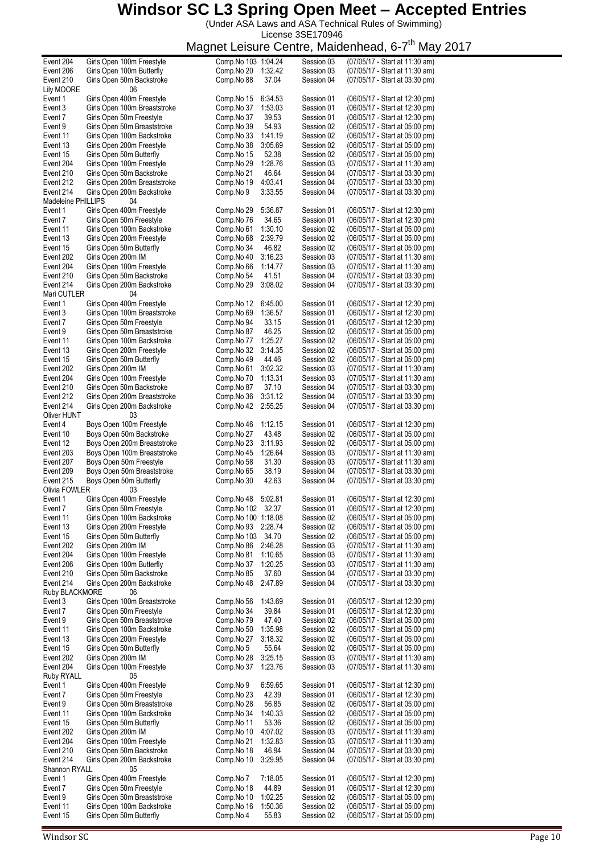(Under ASA Laws and ASA Technical Rules of Swimming) License 3SE170946

| Event 204          | Girls Open 100m Freestyle    | Comp. No 103 1:04.24  | Session 03 | (07/05/17 - Start at 11:30 am) |
|--------------------|------------------------------|-----------------------|------------|--------------------------------|
| Event 206          | Girls Open 100m Butterfly    | Comp.No 20<br>1:32.42 | Session 03 | (07/05/17 - Start at 11:30 am) |
| Event 210          | Girls Open 50m Backstroke    | Comp.No 88<br>37.04   | Session 04 | (07/05/17 - Start at 03:30 pm) |
| <b>Lily MOORE</b>  | 06                           |                       |            |                                |
| Event 1            | Girls Open 400m Freestyle    | 6:34.53<br>Comp.No 15 | Session 01 | (06/05/17 - Start at 12:30 pm) |
| Event 3            | Girls Open 100m Breaststroke | 1:53.03<br>Comp.No 37 | Session 01 | (06/05/17 - Start at 12:30 pm) |
| Event 7            | Girls Open 50m Freestyle     | Comp.No 37<br>39.53   | Session 01 | (06/05/17 - Start at 12:30 pm) |
| Event 9            | Girls Open 50m Breaststroke  | 54.93<br>Comp.No 39   | Session 02 | (06/05/17 - Start at 05:00 pm) |
| Event 11           | Girls Open 100m Backstroke   | Comp.No 33<br>1.41.19 | Session 02 | (06/05/17 - Start at 05:00 pm) |
| Event 13           | Girls Open 200m Freestyle    | Comp.No 38<br>3:05.69 | Session 02 | (06/05/17 - Start at 05:00 pm) |
| Event 15           | Girls Open 50m Butterfly     | Comp.No 15<br>52.38   | Session 02 | (06/05/17 - Start at 05:00 pm) |
| Event 204          | Girls Open 100m Freestyle    | 1:28.76<br>Comp.No 29 | Session 03 | (07/05/17 - Start at 11:30 am) |
| Event 210          | Girls Open 50m Backstroke    | 46.64<br>Comp.No 21   | Session 04 | (07/05/17 - Start at 03:30 pm) |
|                    |                              | 4:03.41               |            |                                |
| Event 212          | Girls Open 200m Breaststroke | Comp.No 19            | Session 04 | (07/05/17 - Start at 03:30 pm) |
| Event 214          | Girls Open 200m Backstroke   | 3:33.55<br>Comp.No 9  | Session 04 | (07/05/17 - Start at 03:30 pm) |
| Madeleine PHILLIPS | 04                           |                       |            |                                |
| Event 1            | Girls Open 400m Freestyle    | Comp.No 29<br>5:36.87 | Session 01 | (06/05/17 - Start at 12:30 pm) |
| Event 7            | Girls Open 50m Freestyle     | Comp.No 76<br>34.65   | Session 01 | (06/05/17 - Start at 12:30 pm) |
| Event 11           | Girls Open 100m Backstroke   | 1:30.10<br>Comp.No 61 | Session 02 | (06/05/17 - Start at 05:00 pm) |
| Event 13           | Girls Open 200m Freestyle    | Comp.No 68<br>2:39.79 | Session 02 | (06/05/17 - Start at 05:00 pm) |
| Event 15           | Girls Open 50m Butterfly     | 46.82<br>Comp.No 34   | Session 02 | (06/05/17 - Start at 05:00 pm) |
| Event 202          | Girls Open 200m IM           | Comp.No 40<br>3:16.23 | Session 03 | (07/05/17 - Start at 11:30 am) |
| Event 204          | Girls Open 100m Freestyle    | Comp.No 66<br>1:14.77 | Session 03 | (07/05/17 - Start at 11:30 am) |
| Event 210          | Girls Open 50m Backstroke    | 41.51<br>Comp.No 54   | Session 04 | (07/05/17 - Start at 03:30 pm) |
| Event 214          | Girls Open 200m Backstroke   | Comp.No 29<br>3:08.02 | Session 04 | (07/05/17 - Start at 03:30 pm) |
| Mari CUTLER        | 04                           |                       |            |                                |
| Event 1            | Girls Open 400m Freestyle    | 6:45.00               |            | (06/05/17 - Start at 12:30 pm) |
|                    |                              | Comp.No 12            | Session 01 |                                |
| Event 3            | Girls Open 100m Breaststroke | Comp.No 69<br>1:36.57 | Session 01 | (06/05/17 - Start at 12:30 pm) |
| Event 7            | Girls Open 50m Freestyle     | Comp.No 94<br>33.15   | Session 01 | (06/05/17 - Start at 12:30 pm) |
| Event 9            | Girls Open 50m Breaststroke  | Comp.No 87<br>46.25   | Session 02 | (06/05/17 - Start at 05:00 pm) |
| Event 11           | Girls Open 100m Backstroke   | Comp.No 77<br>1:25.27 | Session 02 | (06/05/17 - Start at 05:00 pm) |
| Event 13           | Girls Open 200m Freestyle    | Comp.No 32<br>3:14.35 | Session 02 | (06/05/17 - Start at 05:00 pm) |
| Event 15           | Girls Open 50m Butterfly     | 44.46<br>Comp.No 49   | Session 02 | (06/05/17 - Start at 05:00 pm) |
| Event 202          | Girls Open 200m IM           | 3:02.32<br>Comp.No 61 | Session 03 | (07/05/17 - Start at 11:30 am) |
| Event 204          | Girls Open 100m Freestyle    | 1:13.31<br>Comp.No 70 | Session 03 | (07/05/17 - Start at 11:30 am) |
| Event 210          | Girls Open 50m Backstroke    | 37.10<br>Comp.No 87   | Session 04 | (07/05/17 - Start at 03:30 pm) |
| Event 212          | Girls Open 200m Breaststroke | Comp.No 36<br>3:31.12 | Session 04 | (07/05/17 - Start at 03:30 pm) |
| Event 214          | Girls Open 200m Backstroke   | 2:55.25<br>Comp.No 42 | Session 04 | (07/05/17 - Start at 03:30 pm) |
| Oliver HUNT        | 03                           |                       |            |                                |
| Event 4            | Boys Open 100m Freestyle     | Comp.No 46<br>1:12.15 | Session 01 | (06/05/17 - Start at 12:30 pm) |
|                    | Boys Open 50m Backstroke     |                       |            | (06/05/17 - Start at 05:00 pm) |
| Event 10           |                              | Comp.No 27<br>43.48   | Session 02 |                                |
| Event 12           | Boys Open 200m Breaststroke  | Comp.No 23<br>3:11.93 | Session 02 | (06/05/17 - Start at 05:00 pm) |
| Event 203          | Boys Open 100m Breaststroke  | 1:26.64<br>Comp.No 45 | Session 03 | (07/05/17 - Start at 11:30 am) |
| Event 207          | Boys Open 50m Freestyle      | 31.30<br>Comp.No 58   | Session 03 | (07/05/17 - Start at 11:30 am) |
| Event 209          | Boys Open 50m Breaststroke   | 38.19<br>Comp.No 65   | Session 04 | (07/05/17 - Start at 03:30 pm) |
| Event 215          | Boys Open 50m Butterfly      | 42.63<br>Comp.No 30   | Session 04 | (07/05/17 - Start at 03:30 pm) |
| Olivia FOWLER      | 03                           |                       |            |                                |
| Event 1            | Girls Open 400m Freestyle    | Comp No 48 5:02.81    | Session 01 | (06/05/17 - Start at 12:30 pm) |
| Event 7            | Girls Open 50m Freestyle     | Comp.No 102 32.37     | Session 01 | (06/05/17 - Start at 12:30 pm) |
| Event 11           | Girls Open 100m Backstroke   | Comp.No 100 1:18.08   | Session 02 | (06/05/17 - Start at 05:00 pm) |
| Event 13           | Girls Open 200m Freestyle    | 2:28.74<br>Comp.No 93 | Session 02 | (06/05/17 - Start at 05:00 pm) |
| Event 15           | Girls Open 50m Butterfly     | Comp. No 103 34.70    | Session 02 | (06/05/17 - Start at 05:00 pm) |
| Event 202          | Girls Open 200m IM           | Comp.No 86<br>2:46.28 | Session 03 | (07/05/17 - Start at 11:30 am) |
| Event 204          | Girls Open 100m Freestyle    | Comp.No 81<br>1:10.65 | Session 03 | (07/05/17 - Start at 11:30 am) |
|                    |                              |                       | Session 03 |                                |
| Event 206          | Girls Open 100m Butterfly    | Comp.No 37<br>1:20.25 |            | (07/05/17 - Start at 11:30 am) |
| Event 210          | Girls Open 50m Backstroke    | Comp.No 85<br>37.60   | Session 04 | (07/05/17 - Start at 03:30 pm) |
| Event 214          | Girls Open 200m Backstroke   | Comp.No 48<br>2:47.89 | Session 04 | (07/05/17 - Start at 03:30 pm) |
| Ruby BLACKMORE     | 06                           |                       |            |                                |
| Event 3            | Girls Open 100m Breaststroke | Comp.No 56<br>1:43.69 | Session 01 | (06/05/17 - Start at 12:30 pm) |
| Event 7            | Girls Open 50m Freestyle     | Comp.No 34<br>39.84   | Session 01 | (06/05/17 - Start at 12:30 pm) |
| Event 9            | Girls Open 50m Breaststroke  | Comp.No 79<br>47.40   | Session 02 | (06/05/17 - Start at 05:00 pm) |
| Event 11           | Girls Open 100m Backstroke   | Comp.No 50<br>1:35.98 | Session 02 | (06/05/17 - Start at 05:00 pm) |
| Event 13           | Girls Open 200m Freestyle    | Comp.No 27<br>3:18.32 | Session 02 | (06/05/17 - Start at 05:00 pm) |
| Event 15           | Girls Open 50m Butterfly     | Comp.No 5<br>55.64    | Session 02 | (06/05/17 - Start at 05:00 pm) |
| Event 202          | Girls Open 200m IM           | 3:25.15<br>Comp.No 28 | Session 03 | (07/05/17 - Start at 11:30 am) |
| Event 204          | Girls Open 100m Freestyle    | Comp.No 37<br>1:23.76 | Session 03 | (07/05/17 - Start at 11:30 am) |
| Ruby RYALL         | 05                           |                       |            |                                |
| Event 1            | Girls Open 400m Freestyle    | Comp.No 9<br>6:59.65  | Session 01 | (06/05/17 - Start at 12:30 pm) |
| Event 7            | Girls Open 50m Freestyle     | Comp.No 23<br>42.39   | Session 01 | (06/05/17 - Start at 12:30 pm) |
| Event 9            | Girls Open 50m Breaststroke  | 56.85<br>Comp.No 28   | Session 02 | (06/05/17 - Start at 05:00 pm) |
| Event 11           | Girls Open 100m Backstroke   | Comp.No 34<br>1:40.33 | Session 02 | (06/05/17 - Start at 05:00 pm) |
|                    |                              |                       |            |                                |
| Event 15           | Girls Open 50m Butterfly     | Comp.No 11<br>53.36   | Session 02 | (06/05/17 - Start at 05:00 pm) |
| Event 202          | Girls Open 200m IM           | Comp.No 10<br>4:07.02 | Session 03 | (07/05/17 - Start at 11:30 am) |
| Event 204          | Girls Open 100m Freestyle    | Comp.No 21<br>1:32.83 | Session 03 | (07/05/17 - Start at 11:30 am) |
| Event 210          | Girls Open 50m Backstroke    | 46.94<br>Comp.No 18   | Session 04 | (07/05/17 - Start at 03:30 pm) |
| Event 214          | Girls Open 200m Backstroke   | Comp.No 10<br>3:29.95 | Session 04 | (07/05/17 - Start at 03:30 pm) |
| Shannon RYALL      | 05                           |                       |            |                                |
| Event 1            | Girls Open 400m Freestyle    | Comp.No 7<br>7:18.05  | Session 01 | (06/05/17 - Start at 12:30 pm) |
| Event 7            | Girls Open 50m Freestyle     | Comp.No 18<br>44.89   | Session 01 | (06/05/17 - Start at 12:30 pm) |
| Event 9            | Girls Open 50m Breaststroke  | Comp.No 10<br>1:02.25 | Session 02 | (06/05/17 - Start at 05:00 pm) |
| Event 11           | Girls Open 100m Backstroke   | Comp.No 16<br>1:50.36 | Session 02 | (06/05/17 - Start at 05:00 pm) |
| Event 15           | Girls Open 50m Butterfly     | Comp.No 4<br>55.83    | Session 02 | (06/05/17 - Start at 05:00 pm) |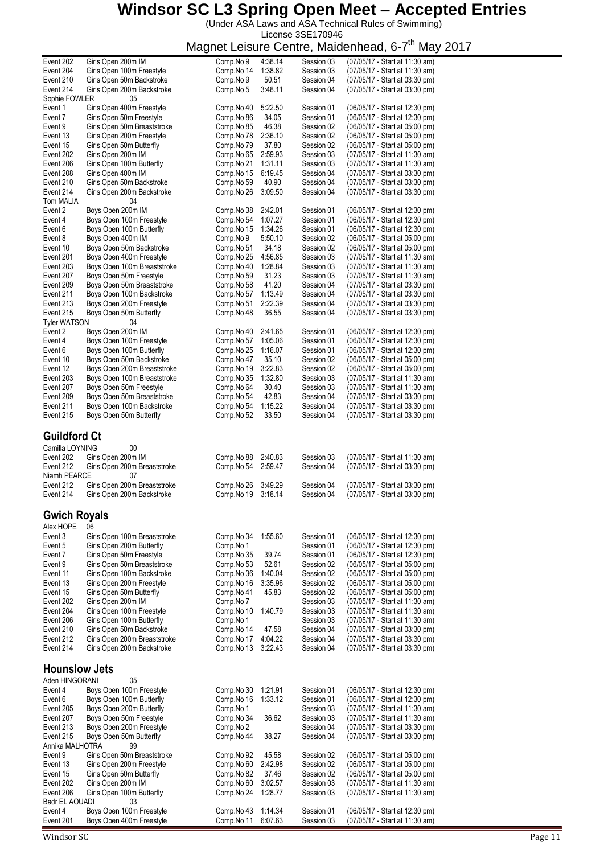(Under ASA Laws and ASA Technical Rules of Swimming) License 3SE170946

|                                        |                              | ວ |            |         |            |                                |
|----------------------------------------|------------------------------|---|------------|---------|------------|--------------------------------|
| Event 202                              | Girls Open 200m IM           |   | Comp.No 9  | 4:38.14 | Session 03 | (07/05/17 - Start at 11:30 am) |
| Event 204                              | Girls Open 100m Freestyle    |   | Comp.No 14 | 1:38.82 | Session 03 | (07/05/17 - Start at 11:30 am) |
|                                        |                              |   |            |         |            |                                |
| Event 210                              | Girls Open 50m Backstroke    |   | Comp.No 9  | 50.51   | Session 04 | (07/05/17 - Start at 03:30 pm) |
| Event 214                              | Girls Open 200m Backstroke   |   | Comp.No 5  | 3:48.11 | Session 04 | (07/05/17 - Start at 03:30 pm) |
| Sophie FOWLER                          | 05                           |   |            |         |            |                                |
|                                        |                              |   |            |         |            |                                |
| Event 1                                | Girls Open 400m Freestyle    |   | Comp.No 40 | 5:22.50 | Session 01 | (06/05/17 - Start at 12:30 pm) |
| Event 7                                | Girls Open 50m Freestyle     |   | Comp.No 86 | 34.05   | Session 01 | (06/05/17 - Start at 12:30 pm) |
| Event 9                                | Girls Open 50m Breaststroke  |   | Comp.No 85 | 46.38   | Session 02 | (06/05/17 - Start at 05:00 pm) |
|                                        |                              |   |            |         |            |                                |
| Event 13                               | Girls Open 200m Freestyle    |   | Comp.No 78 | 2:36.10 | Session 02 | (06/05/17 - Start at 05:00 pm) |
| Event 15                               | Girls Open 50m Butterfly     |   | Comp.No 79 | 37.80   | Session 02 | (06/05/17 - Start at 05:00 pm) |
| Event 202                              | Girls Open 200m IM           |   | Comp.No 65 | 2:59.93 | Session 03 | (07/05/17 - Start at 11:30 am) |
|                                        |                              |   |            |         |            |                                |
| Event 206                              | Girls Open 100m Butterfly    |   | Comp.No 21 | 1:31.11 | Session 03 | (07/05/17 - Start at 11:30 am) |
| Event 208                              | Girls Open 400m IM           |   | Comp.No 15 | 6:19.45 | Session 04 | (07/05/17 - Start at 03:30 pm) |
| Event 210                              | Girls Open 50m Backstroke    |   | Comp.No 59 | 40.90   | Session 04 | (07/05/17 - Start at 03:30 pm) |
|                                        |                              |   |            |         |            |                                |
| Event 214                              | Girls Open 200m Backstroke   |   | Comp.No 26 | 3:09.50 | Session 04 | (07/05/17 - Start at 03:30 pm) |
| Tom MALIA                              | 04                           |   |            |         |            |                                |
|                                        | Boys Open 200m IM            |   |            | 2:42.01 |            | (06/05/17 - Start at 12:30 pm) |
| Event 2                                |                              |   | Comp.No 38 |         | Session 01 |                                |
| Event 4                                | Boys Open 100m Freestyle     |   | Comp.No 54 | 1:07.27 | Session 01 | (06/05/17 - Start at 12:30 pm) |
| Event 6                                | Boys Open 100m Butterfly     |   | Comp.No 15 | 1:34.26 | Session 01 | (06/05/17 - Start at 12:30 pm) |
|                                        |                              |   |            |         |            |                                |
| Event 8                                | Boys Open 400m IM            |   | Comp.No 9  | 5:50.10 | Session 02 | (06/05/17 - Start at 05:00 pm) |
| Event 10                               | Boys Open 50m Backstroke     |   | Comp.No 51 | 34.18   | Session 02 | (06/05/17 - Start at 05:00 pm) |
| Event 201                              | Boys Open 400m Freestyle     |   | Comp.No 25 | 4:56.85 | Session 03 | (07/05/17 - Start at 11:30 am) |
|                                        |                              |   |            |         |            |                                |
| Event 203                              | Boys Open 100m Breaststroke  |   | Comp.No 40 | 1:28.84 | Session 03 | (07/05/17 - Start at 11:30 am) |
| Event 207                              | Boys Open 50m Freestyle      |   | Comp.No 59 | 31.23   | Session 03 | (07/05/17 - Start at 11:30 am) |
| Event 209                              | Boys Open 50m Breaststroke   |   | Comp.No 58 | 41.20   | Session 04 | (07/05/17 - Start at 03:30 pm) |
|                                        |                              |   |            |         |            |                                |
| Event 211                              | Boys Open 100m Backstroke    |   | Comp.No 57 | 1:13.49 | Session 04 | (07/05/17 - Start at 03:30 pm) |
| Event 213                              | Boys Open 200m Freestyle     |   | Comp.No 51 | 2:22.39 | Session 04 | (07/05/17 - Start at 03:30 pm) |
| Event 215                              |                              |   | Comp.No 48 | 36.55   | Session 04 | (07/05/17 - Start at 03:30 pm) |
|                                        | Boys Open 50m Butterfly      |   |            |         |            |                                |
| <b>Tyler WATSON</b>                    | 04                           |   |            |         |            |                                |
| Event 2                                | Boys Open 200m IM            |   | Comp.No 40 | 2:41.65 | Session 01 | (06/05/17 - Start at 12:30 pm) |
|                                        |                              |   |            |         |            |                                |
| Event 4                                | Boys Open 100m Freestyle     |   | Comp.No 57 | 1:05.06 | Session 01 | (06/05/17 - Start at 12:30 pm) |
| Event 6                                | Boys Open 100m Butterfly     |   | Comp.No 25 | 1:16.07 | Session 01 | (06/05/17 - Start at 12:30 pm) |
| Event 10                               | Boys Open 50m Backstroke     |   | Comp.No 47 | 35.10   | Session 02 | (06/05/17 - Start at 05:00 pm) |
|                                        |                              |   |            |         |            |                                |
| Event 12                               | Boys Open 200m Breaststroke  |   | Comp.No 19 | 3:22.83 | Session 02 | (06/05/17 - Start at 05:00 pm) |
| Event 203                              | Boys Open 100m Breaststroke  |   | Comp.No 35 | 1:32.80 | Session 03 | (07/05/17 - Start at 11:30 am) |
| Event 207                              | Boys Open 50m Freestyle      |   | Comp.No 64 | 30.40   | Session 03 | (07/05/17 - Start at 11:30 am) |
|                                        |                              |   |            |         |            |                                |
| Event 209                              | Boys Open 50m Breaststroke   |   | Comp.No 54 | 42.83   | Session 04 | (07/05/17 - Start at 03:30 pm) |
| Event 211                              | Boys Open 100m Backstroke    |   | Comp.No 54 | 1:15.22 | Session 04 | (07/05/17 - Start at 03:30 pm) |
| Event 215                              | Boys Open 50m Butterfly      |   | Comp.No 52 | 33.50   | Session 04 | (07/05/17 - Start at 03:30 pm) |
|                                        |                              |   |            |         |            |                                |
| <b>Guildford Ct</b><br>Camilla LOYNING | 00                           |   |            |         |            |                                |
| Event 202                              | Girls Open 200m IM           |   | Comp.No 88 | 2:40.83 | Session 03 | (07/05/17 - Start at 11:30 am) |
|                                        |                              |   |            |         |            | (07/05/17 - Start at 03:30 pm) |
| Event 212                              | Girls Open 200m Breaststroke |   | Comp.No 54 | 2:59.47 | Session 04 |                                |
| Niamh PEARCE                           | 07                           |   |            |         |            |                                |
| Event 212                              | Girls Open 200m Breaststroke |   | Comp.No 26 | 3:49.29 | Session 04 | (07/05/17 - Start at 03:30 pm) |
|                                        |                              |   |            |         |            |                                |
| Event 214                              | Girls Open 200m Backstroke   |   | Comp.No 19 | 3:18.14 | Session 04 | (07/05/17 - Start at 03:30 pm) |
| <b>Gwich Royals</b>                    |                              |   |            |         |            |                                |
| Alex HOPE                              | 06                           |   |            |         |            |                                |
| Event 3                                | Girls Open 100m Breaststroke |   | Comp.No 34 | 1:55.60 | Session 01 | (06/05/17 - Start at 12:30 pm) |
|                                        |                              |   |            |         |            |                                |
| Event 5                                | Girls Open 200m Butterfly    |   | Comp.No 1  |         | Session 01 | (06/05/17 - Start at 12:30 pm) |
| Event 7                                | Girls Open 50m Freestyle     |   | Comp.No 35 | 39.74   | Session 01 | (06/05/17 - Start at 12:30 pm) |
| Event 9                                | Girls Open 50m Breaststroke  |   | Comp.No 53 | 52.61   | Session 02 | (06/05/17 - Start at 05:00 pm) |
|                                        |                              |   |            |         |            |                                |
| Event 11                               | Girls Open 100m Backstroke   |   | Comp.No 36 | 1:40.04 | Session 02 | (06/05/17 - Start at 05:00 pm) |
| Event 13                               | Girls Open 200m Freestyle    |   | Comp.No 16 | 3:35.96 | Session 02 | (06/05/17 - Start at 05:00 pm) |
| Event 15                               | Girls Open 50m Butterfly     |   | Comp.No 41 | 45.83   | Session 02 | (06/05/17 - Start at 05:00 pm) |
|                                        |                              |   |            |         |            |                                |
| Event 202                              | Girls Open 200m IM           |   | Comp.No 7  |         | Session 03 | (07/05/17 - Start at 11:30 am) |
| Event 204                              | Girls Open 100m Freestyle    |   | Comp.No 10 | 1:40.79 | Session 03 | (07/05/17 - Start at 11:30 am) |
| Event 206                              | Girls Open 100m Butterfly    |   | Comp.No 1  |         | Session 03 | (07/05/17 - Start at 11:30 am) |
|                                        |                              |   |            |         |            | (07/05/17 - Start at 03:30 pm) |
| Event 210                              | Girls Open 50m Backstroke    |   | Comp.No 14 | 47.58   | Session 04 |                                |
| Event 212                              | Girls Open 200m Breaststroke |   | Comp.No 17 | 4:04.22 | Session 04 | (07/05/17 - Start at 03:30 pm) |
| Event 214                              | Girls Open 200m Backstroke   |   | Comp.No 13 | 3:22.43 | Session 04 | (07/05/17 - Start at 03:30 pm) |
|                                        |                              |   |            |         |            |                                |
| <b>Hounslow Jets</b>                   |                              |   |            |         |            |                                |
| Aden HINGORANI                         | 05                           |   |            |         |            |                                |
|                                        |                              |   |            |         |            |                                |
| Event 4                                | Boys Open 100m Freestyle     |   | Comp.No 30 | 1:21.91 | Session 01 | (06/05/17 - Start at 12:30 pm) |
| Event 6                                | Boys Open 100m Butterfly     |   | Comp.No 16 | 1:33.12 | Session 01 | (06/05/17 - Start at 12:30 pm) |
| Event 205                              | Boys Open 200m Butterfly     |   | Comp.No 1  |         | Session 03 | (07/05/17 - Start at 11:30 am) |
|                                        |                              |   |            |         |            |                                |
| Event 207                              | Boys Open 50m Freestyle      |   | Comp.No 34 | 36.62   | Session 03 | (07/05/17 - Start at 11:30 am) |
| Event 213                              | Boys Open 200m Freestyle     |   | Comp.No 2  |         | Session 04 | (07/05/17 - Start at 03:30 pm) |
| Event 215                              | Boys Open 50m Butterfly      |   | Comp.No 44 | 38.27   | Session 04 | (07/05/17 - Start at 03:30 pm) |
|                                        |                              |   |            |         |            |                                |
| Annika MALHOTRA                        | 99                           |   |            |         |            |                                |
| Event 9                                | Girls Open 50m Breaststroke  |   | Comp.No 92 | 45.58   | Session 02 | (06/05/17 - Start at 05:00 pm) |
| Event 13                               | Girls Open 200m Freestyle    |   | Comp.No 60 | 2:42.98 | Session 02 | (06/05/17 - Start at 05:00 pm) |
|                                        |                              |   |            |         |            |                                |
| Event 15                               | Girls Open 50m Butterfly     |   | Comp.No 82 | 37.46   | Session 02 | (06/05/17 - Start at 05:00 pm) |
| Event 202                              | Girls Open 200m IM           |   | Comp.No 60 | 3:02.57 | Session 03 | (07/05/17 - Start at 11:30 am) |
| Event 206                              | Girls Open 100m Butterfly    |   | Comp.No 24 | 1:28.77 | Session 03 | (07/05/17 - Start at 11:30 am) |
|                                        |                              |   |            |         |            |                                |
| Badr EL AOUADI                         | 03                           |   |            |         |            |                                |
| Event 4                                | Boys Open 100m Freestyle     |   | Comp.No 43 | 1:14.34 | Session 01 | (06/05/17 - Start at 12:30 pm) |
|                                        |                              |   |            |         | Session 03 |                                |
| Event 201                              | Boys Open 400m Freestyle     |   | Comp.No 11 | 6:07.63 |            | (07/05/17 - Start at 11:30 am) |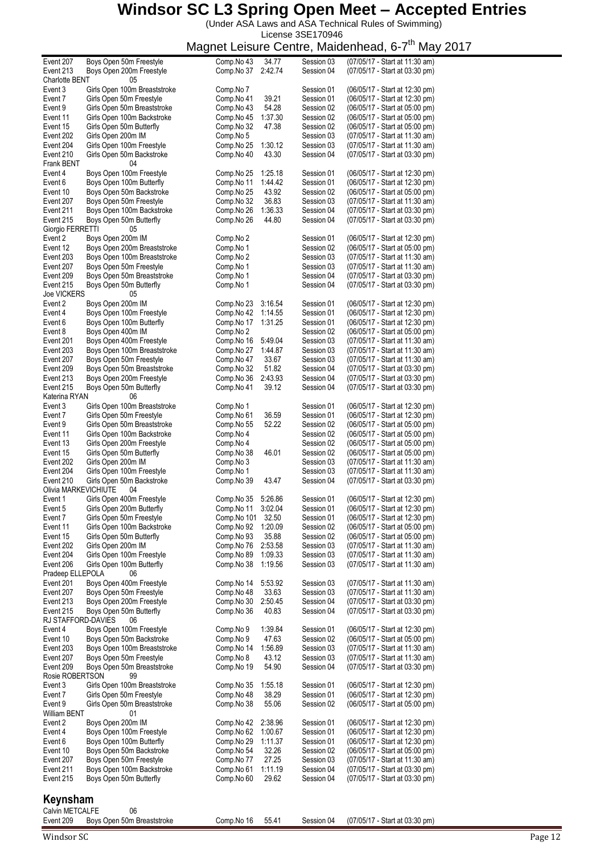(Under ASA Laws and ASA Technical Rules of Swimming) License 3SE170946

|                        |                              | magnet Leisard Ochte, maidemicau, o r |         |            | iviciy                         |
|------------------------|------------------------------|---------------------------------------|---------|------------|--------------------------------|
| Event 207              | Boys Open 50m Freestyle      | Comp.No 43                            | 34.77   | Session 03 | (07/05/17 - Start at 11:30 am) |
| Event 213              | Boys Open 200m Freestyle     | Comp.No 37                            | 2:42.74 | Session 04 | (07/05/17 - Start at 03:30 pm) |
| Charlotte BENT         | 05                           |                                       |         |            |                                |
| Event 3                | Girls Open 100m Breaststroke | Comp.No 7                             |         | Session 01 | (06/05/17 - Start at 12:30 pm) |
| Event 7                | Girls Open 50m Freestyle     | Comp.No 41                            | 39.21   | Session 01 | (06/05/17 - Start at 12:30 pm) |
| Event 9                | Girls Open 50m Breaststroke  | Comp.No 43                            | 54.28   | Session 02 | (06/05/17 - Start at 05:00 pm) |
| Event 11               | Girls Open 100m Backstroke   | Comp.No 45                            | 1:37.30 | Session 02 | (06/05/17 - Start at 05:00 pm) |
|                        |                              |                                       |         |            |                                |
| Event 15               | Girls Open 50m Butterfly     | Comp.No 32                            | 47.38   | Session 02 | (06/05/17 - Start at 05:00 pm) |
| Event 202              | Girls Open 200m IM           | Comp.No 5                             |         | Session 03 | (07/05/17 - Start at 11:30 am) |
| Event 204              | Girls Open 100m Freestyle    | Comp.No 25                            | 1:30.12 | Session 03 | (07/05/17 - Start at 11:30 am) |
| Event 210              | Girls Open 50m Backstroke    | Comp.No 40                            | 43.30   | Session 04 | (07/05/17 - Start at 03:30 pm) |
| Frank BENT             | 04                           |                                       |         |            |                                |
| Event 4                | Boys Open 100m Freestyle     | Comp.No 25                            | 1:25.18 | Session 01 | (06/05/17 - Start at 12:30 pm) |
| Event 6                | Boys Open 100m Butterfly     | Comp.No 11                            | 1:44.42 | Session 01 | (06/05/17 - Start at 12:30 pm) |
| Event 10               | Boys Open 50m Backstroke     | Comp.No 25                            | 43.92   | Session 02 | (06/05/17 - Start at 05:00 pm) |
| Event 207              | Boys Open 50m Freestyle      | Comp.No 32                            | 36.83   | Session 03 | (07/05/17 - Start at 11:30 am) |
|                        |                              |                                       |         |            |                                |
| Event 211              | Boys Open 100m Backstroke    | Comp.No 26                            | 1:36.33 | Session 04 | (07/05/17 - Start at 03:30 pm) |
| Event 215              | Boys Open 50m Butterfly      | Comp.No 26                            | 44.80   | Session 04 | (07/05/17 - Start at 03:30 pm) |
| Giorgio FERRETTI       | 05                           |                                       |         |            |                                |
| Event 2                | Boys Open 200m IM            | Comp.No 2                             |         | Session 01 | (06/05/17 - Start at 12:30 pm) |
| Event 12               | Boys Open 200m Breaststroke  | Comp.No 1                             |         | Session 02 | (06/05/17 - Start at 05:00 pm) |
| Event 203              | Boys Open 100m Breaststroke  | Comp.No 2                             |         | Session 03 | (07/05/17 - Start at 11:30 am) |
| Event 207              | Boys Open 50m Freestyle      | Comp.No 1                             |         | Session 03 | (07/05/17 - Start at 11:30 am) |
| Event 209              | Boys Open 50m Breaststroke   | Comp.No 1                             |         | Session 04 | (07/05/17 - Start at 03:30 pm) |
| Event 215              | Boys Open 50m Butterfly      | Comp.No 1                             |         | Session 04 | (07/05/17 - Start at 03:30 pm) |
| <b>Joe VICKERS</b>     | 05                           |                                       |         |            |                                |
|                        |                              |                                       |         |            |                                |
| Event 2                | Boys Open 200m IM            | Comp.No 23                            | 3:16.54 | Session 01 | (06/05/17 - Start at 12:30 pm) |
| Event 4                | Boys Open 100m Freestyle     | Comp.No 42                            | 1:14.55 | Session 01 | (06/05/17 - Start at 12:30 pm) |
| Event 6                | Boys Open 100m Butterfly     | Comp.No 17                            | 1:31.25 | Session 01 | (06/05/17 - Start at 12:30 pm) |
| Event 8                | Boys Open 400m IM            | Comp.No 2                             |         | Session 02 | (06/05/17 - Start at 05:00 pm) |
| Event 201              | Boys Open 400m Freestyle     | Comp.No 16                            | 5:49.04 | Session 03 | (07/05/17 - Start at 11:30 am) |
| Event 203              | Boys Open 100m Breaststroke  | Comp.No 27                            | 1:44.87 | Session 03 | (07/05/17 - Start at 11:30 am) |
| Event 207              | Boys Open 50m Freestyle      | Comp.No 47                            | 33.67   | Session 03 | (07/05/17 - Start at 11:30 am) |
| Event 209              | Boys Open 50m Breaststroke   | Comp.No 32                            | 51.82   | Session 04 | (07/05/17 - Start at 03:30 pm) |
| Event 213              | Boys Open 200m Freestyle     | Comp.No 36                            | 2:43.93 | Session 04 | (07/05/17 - Start at 03:30 pm) |
| Event 215              | Boys Open 50m Butterfly      | Comp.No 41                            | 39.12   | Session 04 | (07/05/17 - Start at 03:30 pm) |
| Katerina RYAN          | 06                           |                                       |         |            |                                |
|                        |                              |                                       |         |            |                                |
| Event 3                | Girls Open 100m Breaststroke | Comp.No 1                             |         | Session 01 | (06/05/17 - Start at 12:30 pm) |
| Event 7                | Girls Open 50m Freestyle     | Comp.No 61                            | 36.59   | Session 01 | (06/05/17 - Start at 12:30 pm) |
| Event 9                | Girls Open 50m Breaststroke  | Comp.No 55                            | 52.22   | Session 02 | (06/05/17 - Start at 05:00 pm) |
| Event 11               | Girls Open 100m Backstroke   | Comp.No 4                             |         | Session 02 | (06/05/17 - Start at 05:00 pm) |
| Event 13               | Girls Open 200m Freestyle    | Comp.No 4                             |         | Session 02 | (06/05/17 - Start at 05:00 pm) |
| Event 15               | Girls Open 50m Butterfly     | Comp.No 38                            | 46.01   | Session 02 | (06/05/17 - Start at 05:00 pm) |
| Event 202              | Girls Open 200m IM           | Comp.No 3                             |         | Session 03 | (07/05/17 - Start at 11:30 am) |
| Event 204              | Girls Open 100m Freestyle    | Comp.No 1                             |         | Session 03 | (07/05/17 - Start at 11:30 am) |
| Event 210              | Girls Open 50m Backstroke    | Comp.No 39                            | 43.47   | Session 04 | (07/05/17 - Start at 03:30 pm) |
| Olivia MARKEVICHIUTE   | 04                           |                                       |         |            |                                |
| Event 1                |                              |                                       | 5:26.86 | Session 01 |                                |
|                        | Girls Open 400m Freestyle    | Comp.No 35                            |         |            | (06/05/17 - Start at 12:30 pm) |
| Event 5                | Girls Open 200m Butterfly    | Comp.No 11                            | 3:02.04 | Session 01 | (06/05/17 - Start at 12:30 pm) |
| Event 7                | Girls Open 50m Freestyle     | Comp.No 101                           | 32.50   | Session 01 | (06/05/17 - Start at 12:30 pm) |
| Event 11               | Girls Open 100m Backstroke   | Comp.No 92                            | 1:20.09 | Session 02 | (06/05/17 - Start at 05:00 pm) |
| Event 15               | Girls Open 50m Butterfly     | Comp.No 93                            | 35.88   | Session 02 | (06/05/17 - Start at 05:00 pm) |
| Event 202              | Girls Open 200m IM           | Comp.No 76                            | 2:53.58 | Session 03 | (07/05/17 - Start at 11:30 am) |
| Event 204              | Girls Open 100m Freestyle    | Comp.No 89                            | 1:09.33 | Session 03 | (07/05/17 - Start at 11:30 am) |
| Event 206              | Girls Open 100m Butterfly    | Comp.No 38                            | 1:19.56 | Session 03 | (07/05/17 - Start at 11:30 am) |
| Pradeep ELLEPOLA       | 06                           |                                       |         |            |                                |
| Event 201              | Boys Open 400m Freestyle     | Comp.No 14                            | 5:53.92 | Session 03 | (07/05/17 - Start at 11:30 am) |
| Event 207              | Boys Open 50m Freestyle      | Comp.No 48                            | 33.63   | Session 03 | (07/05/17 - Start at 11:30 am) |
| Event 213              | Boys Open 200m Freestyle     | Comp.No 30                            | 2:50.45 | Session 04 | (07/05/17 - Start at 03:30 pm) |
|                        | Boys Open 50m Butterfly      | Comp.No 36                            | 40.83   |            |                                |
| Event 215              |                              |                                       |         | Session 04 | (07/05/17 - Start at 03:30 pm) |
| RJ STAFFORD-DAVIES     | 06                           |                                       |         |            |                                |
| Event 4                | Boys Open 100m Freestyle     | Comp.No 9                             | 1:39.84 | Session 01 | (06/05/17 - Start at 12:30 pm) |
| Event 10               | Boys Open 50m Backstroke     | Comp.No 9                             | 47.63   | Session 02 | (06/05/17 - Start at 05:00 pm) |
| Event 203              | Boys Open 100m Breaststroke  | Comp.No 14                            | 1:56.89 | Session 03 | (07/05/17 - Start at 11:30 am) |
| Event 207              | Boys Open 50m Freestyle      | Comp.No 8                             | 43.12   | Session 03 | (07/05/17 - Start at 11:30 am) |
| Event 209              | Boys Open 50m Breaststroke   | Comp.No 19                            | 54.90   | Session 04 | (07/05/17 - Start at 03:30 pm) |
| Rosie ROBERTSON        | 99                           |                                       |         |            |                                |
| Event 3                | Girls Open 100m Breaststroke | Comp.No 35                            | 1:55.18 | Session 01 | (06/05/17 - Start at 12:30 pm) |
| Event 7                | Girls Open 50m Freestyle     | Comp.No 48                            | 38.29   | Session 01 | (06/05/17 - Start at 12:30 pm) |
| Event 9                | Girls Open 50m Breaststroke  | Comp.No 38                            | 55.06   | Session 02 | (06/05/17 - Start at 05:00 pm) |
|                        |                              |                                       |         |            |                                |
| William BENT           | 01                           |                                       |         |            |                                |
| Event 2                | Boys Open 200m IM            | Comp.No 42                            | 2:38.96 | Session 01 | (06/05/17 - Start at 12:30 pm) |
| Event 4                | Boys Open 100m Freestyle     | Comp.No 62                            | 1:00.67 | Session 01 | (06/05/17 - Start at 12:30 pm) |
| Event 6                | Boys Open 100m Butterfly     | Comp.No 29                            | 1:11.37 | Session 01 | (06/05/17 - Start at 12:30 pm) |
| Event 10               | Boys Open 50m Backstroke     | Comp.No 54                            | 32.26   | Session 02 | (06/05/17 - Start at 05:00 pm) |
| Event 207              | Boys Open 50m Freestyle      | Comp.No 77                            | 27.25   | Session 03 | (07/05/17 - Start at 11:30 am) |
| Event 211              | Boys Open 100m Backstroke    | Comp.No 61                            | 1:11.19 | Session 04 | (07/05/17 - Start at 03:30 pm) |
| Event 215              | Boys Open 50m Butterfly      | Comp.No 60                            | 29.62   | Session 04 | (07/05/17 - Start at 03:30 pm) |
|                        |                              |                                       |         |            |                                |
|                        |                              |                                       |         |            |                                |
| Keynsham               |                              |                                       |         |            |                                |
| <b>Calvin METCALFE</b> | 06                           |                                       |         |            |                                |
| Event 209              | Boys Open 50m Breaststroke   | Comp.No 16                            | 55.41   | Session 04 | (07/05/17 - Start at 03:30 pm) |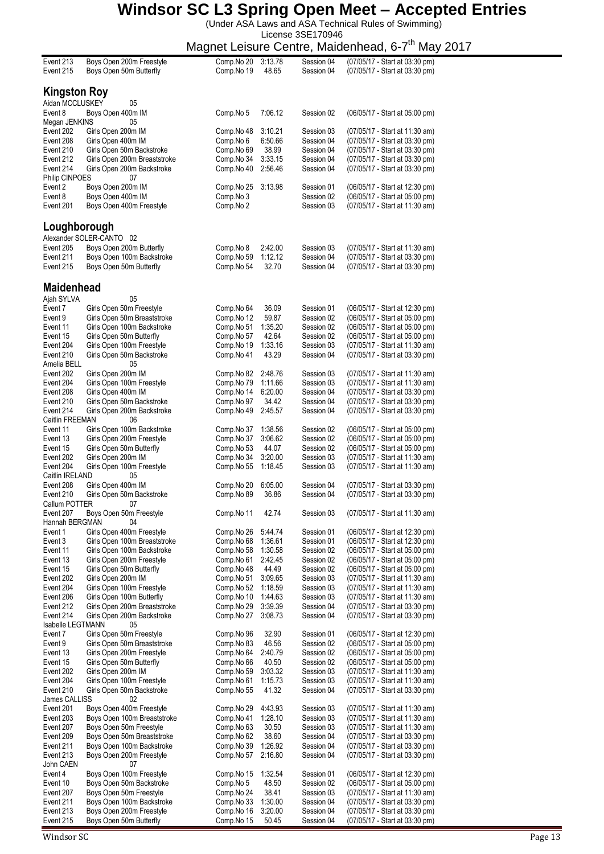(Under ASA Laws and ASA Technical Rules of Swimming)

License 3SE170946

Magnet Leisure Centre, Maidenhead, 6-7<sup>th</sup> May 2017

|                            |                                                         |                          |                  |                          | iviagriet Leisure Ceritie, ivialueririeau, o- <i>r</i><br>iviay  |
|----------------------------|---------------------------------------------------------|--------------------------|------------------|--------------------------|------------------------------------------------------------------|
| Event 213<br>Event 215     | Boys Open 200m Freestyle<br>Boys Open 50m Butterfly     | Comp.No 20<br>Comp.No 19 | 3:13.78<br>48.65 | Session 04<br>Session 04 | (07/05/17 - Start at 03:30 pm)<br>(07/05/17 - Start at 03:30 pm) |
| Kingston Roy               |                                                         |                          |                  |                          |                                                                  |
| Aidan MCCLUSKEY            | 05                                                      |                          |                  |                          |                                                                  |
| Event 8                    | Boys Open 400m IM                                       | Comp.No 5                | 7:06.12          | Session 02               | (06/05/17 - Start at 05:00 pm)                                   |
| Megan JENKINS              | 05                                                      |                          |                  |                          |                                                                  |
| Event 202                  | Girls Open 200m IM                                      | Comp.No 48               | 3:10.21          | Session 03               | (07/05/17 - Start at 11:30 am)                                   |
| Event 208                  | Girls Open 400m IM                                      | Comp.No 6                | 6:50.66          | Session 04               | (07/05/17 - Start at 03:30 pm)                                   |
| Event 210                  | Girls Open 50m Backstroke                               | Comp.No 69               | 38.99            | Session 04               | (07/05/17 - Start at 03:30 pm)                                   |
| Event 212                  | Girls Open 200m Breaststroke                            | Comp.No 34               | 3:33.15          | Session 04               | (07/05/17 - Start at 03:30 pm)                                   |
| Event 214                  | Girls Open 200m Backstroke                              | Comp.No 40               | 2:56.46          | Session 04               | (07/05/17 - Start at 03:30 pm)                                   |
| Philip CINPOES             | 07                                                      |                          |                  |                          |                                                                  |
| Event 2                    | Boys Open 200m IM                                       | Comp.No 25               | 3:13.98          | Session 01               | (06/05/17 - Start at 12:30 pm)                                   |
| Event 8                    | Boys Open 400m IM                                       | Comp.No 3                |                  | Session 02               | (06/05/17 - Start at 05:00 pm)                                   |
| Event 201                  | Boys Open 400m Freestyle                                | Comp.No 2                |                  | Session 03               | (07/05/17 - Start at 11:30 am)                                   |
| Loughborough               |                                                         |                          |                  |                          |                                                                  |
| Event 205                  | Alexander SOLER-CANTO 02<br>Boys Open 200m Butterfly    | Comp.No 8                | 2:42.00          | Session 03               | (07/05/17 - Start at 11:30 am)                                   |
| Event 211                  | Boys Open 100m Backstroke                               | Comp.No 59               | 1:12.12          | Session 04               | (07/05/17 - Start at 03:30 pm)                                   |
| Event 215                  | Boys Open 50m Butterfly                                 | Comp.No 54               | 32.70            | Session 04               | (07/05/17 - Start at 03:30 pm)                                   |
|                            |                                                         |                          |                  |                          |                                                                  |
| <b>Maidenhead</b>          |                                                         |                          |                  |                          |                                                                  |
| Ajah SYLVA                 | 05                                                      |                          |                  |                          |                                                                  |
| Event 7                    | Girls Open 50m Freestyle<br>Girls Open 50m Breaststroke | Comp.No 64<br>Comp.No 12 | 36.09<br>59.87   | Session 01               | (06/05/17 - Start at 12:30 pm)<br>(06/05/17 - Start at 05:00 pm) |
| Event 9<br>Event 11        | Girls Open 100m Backstroke                              | Comp.No 51               | 1:35.20          | Session 02<br>Session 02 | (06/05/17 - Start at 05:00 pm)                                   |
| Event 15                   | Girls Open 50m Butterfly                                | Comp.No 57               | 42.64            | Session 02               | (06/05/17 - Start at 05:00 pm)                                   |
| Event 204                  | Girls Open 100m Freestyle                               | Comp.No 19               | 1:33.16          | Session 03               | (07/05/17 - Start at 11:30 am)                                   |
| Event 210                  | Girls Open 50m Backstroke                               | Comp.No 41               | 43.29            | Session 04               | (07/05/17 - Start at 03:30 pm)                                   |
| Amelia BELL                | 05                                                      |                          |                  |                          |                                                                  |
| Event 202                  | Girls Open 200m IM                                      | Comp.No 82               | 2:48.76          | Session 03               | (07/05/17 - Start at 11:30 am)                                   |
| Event 204                  | Girls Open 100m Freestyle                               | Comp.No 79               | 1:11.66          | Session 03               | (07/05/17 - Start at 11:30 am)                                   |
| Event 208                  | Girls Open 400m IM                                      | Comp.No 14               | 6:20.00          | Session 04               | (07/05/17 - Start at 03:30 pm)                                   |
| Event 210                  | Girls Open 50m Backstroke                               | Comp.No 97               | 34.42            | Session 04               | (07/05/17 - Start at 03:30 pm)                                   |
| Event 214                  | Girls Open 200m Backstroke                              | Comp.No 49               | 2:45.57          | Session 04               | (07/05/17 - Start at 03:30 pm)                                   |
| Caitlin FREEMAN            | 06                                                      |                          |                  |                          |                                                                  |
| Event 11                   | Girls Open 100m Backstroke                              | Comp.No 37               | 1:38.56          | Session 02               | (06/05/17 - Start at 05:00 pm)                                   |
| Event 13<br>Event 15       | Girls Open 200m Freestyle<br>Girls Open 50m Butterfly   | Comp.No 37               | 3:06.62<br>44.07 | Session 02<br>Session 02 | (06/05/17 - Start at 05:00 pm)                                   |
| Event 202                  | Girls Open 200m IM                                      | Comp.No 53<br>Comp.No 34 | 3:20.00          | Session 03               | (06/05/17 - Start at 05:00 pm)<br>(07/05/17 - Start at 11:30 am) |
| Event 204                  | Girls Open 100m Freestyle                               | Comp.No 55               | 1:18.45          | Session 03               | (07/05/17 - Start at 11:30 am)                                   |
| Caitlin IRELAND            | 05                                                      |                          |                  |                          |                                                                  |
| Event 208                  | Girls Open 400m IM                                      | Comp.No 20               | 6:05.00          | Session 04               | (07/05/17 - Start at 03:30 pm)                                   |
| Event 210                  | Girls Open 50m Backstroke                               | Comp.No 89               | 36.86            | Session 04               | (07/05/17 - Start at 03:30 pm)                                   |
| Callum POTTER              | 07                                                      |                          |                  |                          |                                                                  |
| Event 207                  | Boys Open 50m Freestyle                                 | Comp.No 11               | 42.74            | Session 03               | (07/05/17 - Start at 11:30 am)                                   |
| Hannah BERGMAN             | 04                                                      |                          |                  |                          |                                                                  |
| Event 1                    | Girls Open 400m Freestyle                               | Comp.No 26               | 5:44.74          | Session 01               | (06/05/17 - Start at 12:30 pm)                                   |
| Event 3                    | Girls Open 100m Breaststroke                            | Comp.No 68               | 1:36.61          | Session 01               | (06/05/17 - Start at 12:30 pm)                                   |
| Event 11                   | Girls Open 100m Backstroke                              | Comp.No 58               | 1:30.58          | Session 02               | (06/05/17 - Start at 05:00 pm)                                   |
| Event 13<br>Event 15       | Girls Open 200m Freestyle<br>Girls Open 50m Butterfly   | Comp.No 61<br>Comp.No 48 | 2:42.45<br>44.49 | Session 02<br>Session 02 | (06/05/17 - Start at 05:00 pm)<br>(06/05/17 - Start at 05:00 pm) |
| Event 202                  | Girls Open 200m IM                                      | Comp.No 51               | 3:09.65          | Session 03               | (07/05/17 - Start at 11:30 am)                                   |
| Event 204                  | Girls Open 100m Freestyle                               | Comp.No 52               | 1:18.59          | Session 03               | (07/05/17 - Start at 11:30 am)                                   |
| Event 206                  | Girls Open 100m Butterfly                               | Comp.No 10               | 1:44.63          | Session 03               | (07/05/17 - Start at 11:30 am)                                   |
| Event 212                  | Girls Open 200m Breaststroke                            | Comp.No 29               | 3:39.39          | Session 04               | (07/05/17 - Start at 03:30 pm)                                   |
| Event 214                  | Girls Open 200m Backstroke                              | Comp.No 27               | 3:08.73          | Session 04               | (07/05/17 - Start at 03:30 pm)                                   |
| <b>Isabelle LEGTMANN</b>   | 05                                                      |                          |                  |                          |                                                                  |
| Event 7                    | Girls Open 50m Freestyle                                | Comp.No 96               | 32.90            | Session 01               | (06/05/17 - Start at 12:30 pm)                                   |
| Event 9                    | Girls Open 50m Breaststroke                             | Comp.No 83               | 46.56            | Session 02               | (06/05/17 - Start at 05:00 pm)                                   |
| Event 13                   | Girls Open 200m Freestyle                               | Comp.No 64               | 2:40.79          | Session 02               | (06/05/17 - Start at 05:00 pm)                                   |
| Event 15                   | Girls Open 50m Butterfly                                | Comp.No 66               | 40.50            | Session 02               | (06/05/17 - Start at 05:00 pm)                                   |
| Event 202                  | Girls Open 200m IM                                      | Comp.No 59               | 3:03.32          | Session 03               | (07/05/17 - Start at 11:30 am)                                   |
| Event 204                  | Girls Open 100m Freestyle                               | Comp.No 61               | 1:15.73          | Session 03               | (07/05/17 - Start at 11:30 am)                                   |
| Event 210<br>James CALLISS | Girls Open 50m Backstroke<br>02                         | Comp.No 55               | 41.32            | Session 04               | (07/05/17 - Start at 03:30 pm)                                   |
| Event 201                  | Boys Open 400m Freestyle                                | Comp.No 29               | 4:43.93          | Session 03               | (07/05/17 - Start at 11:30 am)                                   |
| Event 203                  | Boys Open 100m Breaststroke                             | Comp.No 41               | 1:28.10          | Session 03               | (07/05/17 - Start at 11:30 am)                                   |
| Event 207                  | Boys Open 50m Freestyle                                 | Comp.No 63               | 30.50            | Session 03               | (07/05/17 - Start at 11:30 am)                                   |
| Event 209                  | Boys Open 50m Breaststroke                              | Comp.No 62               | 38.60            | Session 04               | (07/05/17 - Start at 03:30 pm)                                   |
| Event 211                  | Boys Open 100m Backstroke                               | Comp.No 39               | 1:26.92          | Session 04               | (07/05/17 - Start at 03:30 pm)                                   |
| Event 213                  | Boys Open 200m Freestyle                                | Comp.No 57               | 2:16.80          | Session 04               | (07/05/17 - Start at 03:30 pm)                                   |
| John CAEN                  | 07                                                      |                          |                  |                          |                                                                  |
| Event 4                    | Boys Open 100m Freestyle                                | Comp.No 15               | 1:32.54          | Session 01               | (06/05/17 - Start at 12:30 pm)                                   |
| Event 10                   | Boys Open 50m Backstroke                                | Comp.No 5                | 48.50            | Session 02               | (06/05/17 - Start at 05:00 pm)                                   |
| Event 207                  | Boys Open 50m Freestyle                                 | Comp.No 24               | 38.41            | Session 03               | (07/05/17 - Start at 11:30 am)                                   |
| Event 211                  | Boys Open 100m Backstroke                               | Comp.No 33               | 1:30.00          | Session 04               | (07/05/17 - Start at 03:30 pm)                                   |
| Event 213<br>Event 215     | Boys Open 200m Freestyle<br>Boys Open 50m Butterfly     | Comp.No 16<br>Comp.No 15 | 3:20.00<br>50.45 | Session 04<br>Session 04 | (07/05/17 - Start at 03:30 pm)<br>(07/05/17 - Start at 03:30 pm) |
|                            |                                                         |                          |                  |                          |                                                                  |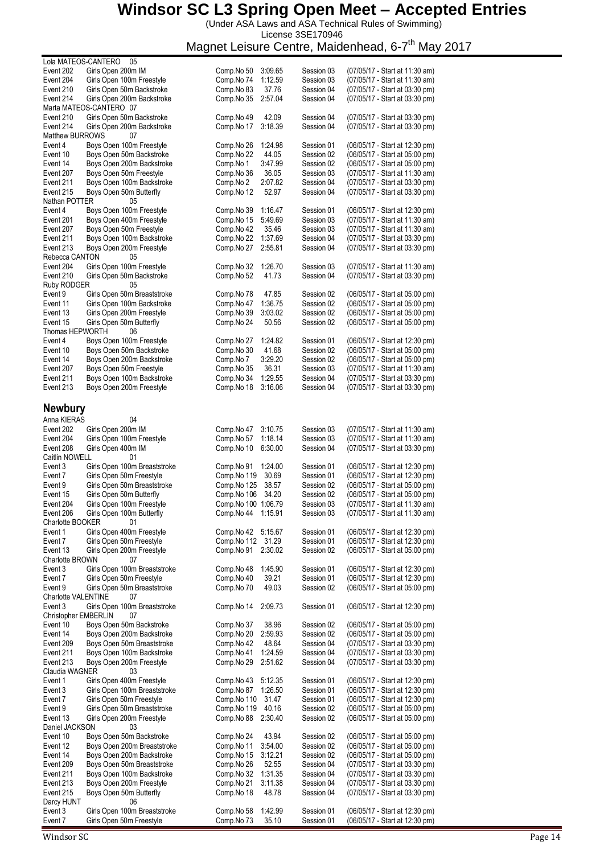(Under ASA Laws and ASA Technical Rules of Swimming) License 3SE170946

Magnet Leisure Centre, Maidenhead, 6-7<sup>th</sup> May 2017

| Lola MATEOS-CANTERO        | 05                                                      |                          |                    |                          |                                                                  |
|----------------------------|---------------------------------------------------------|--------------------------|--------------------|--------------------------|------------------------------------------------------------------|
| Event 202                  | Girls Open 200m IM                                      | Comp.No 50               | 3:09.65            | Session 03               | (07/05/17 - Start at 11:30 am)                                   |
| Event 204<br>Event 210     | Girls Open 100m Freestyle<br>Girls Open 50m Backstroke  | Comp.No 74<br>Comp.No 83 | 1:12.59<br>37.76   | Session 03<br>Session 04 | (07/05/17 - Start at 11:30 am)<br>(07/05/17 - Start at 03:30 pm) |
| Event 214                  | Girls Open 200m Backstroke                              | Comp.No 35               | 2:57.04            | Session 04               | (07/05/17 - Start at 03:30 pm)                                   |
|                            | Marta MATEOS-CANTERO 07                                 |                          |                    |                          |                                                                  |
| Event 210                  | Girls Open 50m Backstroke                               | Comp.No 49               | 42.09              | Session 04               | (07/05/17 - Start at 03:30 pm)                                   |
| Event 214                  | Girls Open 200m Backstroke                              | Comp.No 17               | 3:18.39            | Session 04               | (07/05/17 - Start at 03:30 pm)                                   |
| <b>Matthew BURROWS</b>     | 07                                                      |                          |                    |                          |                                                                  |
| Event 4                    | Boys Open 100m Freestyle                                | Comp.No 26               | 1:24.98            | Session 01               | (06/05/17 - Start at 12:30 pm)                                   |
| Event 10                   | Boys Open 50m Backstroke                                | Comp.No 22               | 44.05              | Session 02               | (06/05/17 - Start at 05:00 pm)                                   |
| Event 14                   | Boys Open 200m Backstroke                               | Comp.No 1                | 3:47.99            | Session 02               | (06/05/17 - Start at 05:00 pm)                                   |
| Event 207                  | Boys Open 50m Freestyle                                 | Comp.No 36               | 36.05              | Session 03               | (07/05/17 - Start at 11:30 am)                                   |
| Event 211                  | Boys Open 100m Backstroke                               | Comp.No 2                | 2:07.82            | Session 04               | (07/05/17 - Start at 03:30 pm)                                   |
| Event 215                  | Boys Open 50m Butterfly                                 | Comp.No 12               | 52.97              | Session 04               | (07/05/17 - Start at 03:30 pm)                                   |
| Nathan POTTER<br>Event 4   | 05<br>Boys Open 100m Freestyle                          |                          | 1:16.47            |                          |                                                                  |
| Event 201                  | Boys Open 400m Freestyle                                | Comp.No 39<br>Comp.No 15 | 5:49.69            | Session 01<br>Session 03 | (06/05/17 - Start at 12:30 pm)<br>(07/05/17 - Start at 11:30 am) |
| Event 207                  | Boys Open 50m Freestyle                                 | Comp.No 42               | 35.46              | Session 03               | (07/05/17 - Start at 11:30 am)                                   |
| Event 211                  | Boys Open 100m Backstroke                               | Comp.No 22               | 1:37.69            | Session 04               | (07/05/17 - Start at 03:30 pm)                                   |
| Event 213                  | Boys Open 200m Freestyle                                | Comp.No 27               | 2:55.81            | Session 04               | (07/05/17 - Start at 03:30 pm)                                   |
| Rebecca CANTON             | 05                                                      |                          |                    |                          |                                                                  |
| Event 204                  | Girls Open 100m Freestyle                               | Comp.No 32               | 1:26.70            | Session 03               | (07/05/17 - Start at 11:30 am)                                   |
| Event 210                  | Girls Open 50m Backstroke                               | Comp.No 52               | 41.73              | Session 04               | (07/05/17 - Start at 03:30 pm)                                   |
| Ruby RODGER                | 05                                                      |                          |                    |                          |                                                                  |
| Event 9                    | Girls Open 50m Breaststroke                             | Comp.No 78               | 47.85              | Session 02               | (06/05/17 - Start at 05:00 pm)                                   |
| Event 11                   | Girls Open 100m Backstroke                              | Comp.No 47               | 1:36.75            | Session 02               | (06/05/17 - Start at 05:00 pm)                                   |
| Event 13                   | Girls Open 200m Freestyle                               | Comp.No 39               | 3:03.02            | Session 02               | (06/05/17 - Start at 05:00 pm)                                   |
| Event 15                   | Girls Open 50m Butterfly                                | Comp.No 24               | 50.56              | Session 02               | (06/05/17 - Start at 05:00 pm)                                   |
| Thomas HEPWORTH            | 06                                                      |                          |                    |                          |                                                                  |
| Event 4                    | Boys Open 100m Freestyle                                | Comp.No 27               | 1:24.82            | Session 01               | (06/05/17 - Start at 12:30 pm)                                   |
| Event 10                   | Boys Open 50m Backstroke                                | Comp.No 30               | 41.68              | Session 02               | (06/05/17 - Start at 05:00 pm)                                   |
| Event 14<br>Event 207      | Boys Open 200m Backstroke<br>Boys Open 50m Freestyle    | Comp.No 7<br>Comp.No 35  | 3:29.20<br>36.31   | Session 02<br>Session 03 | (06/05/17 - Start at 05:00 pm)<br>(07/05/17 - Start at 11:30 am) |
| Event 211                  | Boys Open 100m Backstroke                               | Comp.No 34               | 1:29.55            | Session 04               | (07/05/17 - Start at 03:30 pm)                                   |
| Event 213                  | Boys Open 200m Freestyle                                | Comp.No 18               | 3:16.06            | Session 04               | (07/05/17 - Start at 03:30 pm)                                   |
|                            |                                                         |                          |                    |                          |                                                                  |
| <b>Newbury</b>             |                                                         |                          |                    |                          |                                                                  |
|                            |                                                         |                          |                    |                          |                                                                  |
| Anna KIERAS                | 04                                                      |                          |                    |                          |                                                                  |
| Event 202<br>Event 204     | Girls Open 200m IM<br>Girls Open 100m Freestyle         | Comp.No 47<br>Comp.No 57 | 3:10.75<br>1:18.14 | Session 03<br>Session 03 | (07/05/17 - Start at 11:30 am)<br>(07/05/17 - Start at 11:30 am) |
| Event 208                  | Girls Open 400m IM                                      | Comp.No 10               | 6:30.00            | Session 04               | (07/05/17 - Start at 03:30 pm)                                   |
| Caitlin NOWELL             | 01                                                      |                          |                    |                          |                                                                  |
| Event 3                    | Girls Open 100m Breaststroke                            | Comp.No 91               | 1:24.00            | Session 01               | (06/05/17 - Start at 12:30 pm)                                   |
| Event 7                    | Girls Open 50m Freestyle                                | Comp.No 119              | 30.69              | Session 01               | (06/05/17 - Start at 12:30 pm)                                   |
| Event 9                    | Girls Open 50m Breaststroke                             | Comp.No 125              | 38.57              | Session 02               | (06/05/17 - Start at 05:00 pm)                                   |
| Event 15                   | Girls Open 50m Butterfly                                | Comp.No 106              | 34.20              | Session 02               | (06/05/17 - Start at 05:00 pm)                                   |
| Event 204                  | Girls Open 100m Freestyle                               | Comp.No 100 1:06.79      |                    | Session 03               | (07/05/17 - Start at 11:30 am)                                   |
| Event 206                  | Girls Open 100m Butterfly                               | Comp.No 44 1:15.91       |                    | Session 03               | (07/05/17 - Start at 11:30 am)                                   |
| Charlotte BOOKER           | 01                                                      |                          |                    |                          |                                                                  |
| Event 1                    | Girls Open 400m Freestyle                               | Comp.No 42               | 5:15.67            | Session 01               | (06/05/17 - Start at 12:30 pm)                                   |
| Event 7                    | Girls Open 50m Freestyle                                | Comp.No 112 31.29        |                    | Session 01               | (06/05/17 - Start at 12:30 pm)                                   |
| Event 13                   | Girls Open 200m Freestyle                               | Comp.No 91               | 2:30.02            | Session 02               | (06/05/17 - Start at 05:00 pm)                                   |
| <b>Charlotte BROWN</b>     | 07                                                      |                          |                    |                          |                                                                  |
| Event 3                    | Girls Open 100m Breaststroke                            | Comp.No 48               | 1:45.90            | Session 01               | (06/05/17 - Start at 12:30 pm)                                   |
| Event 7<br>Event 9         | Girls Open 50m Freestyle<br>Girls Open 50m Breaststroke | Comp.No 40<br>Comp.No 70 | 39.21<br>49.03     | Session 01<br>Session 02 | (06/05/17 - Start at 12:30 pm)<br>(06/05/17 - Start at 05:00 pm) |
| Charlotte VALENTINE        | 07                                                      |                          |                    |                          |                                                                  |
| Event 3                    | Girls Open 100m Breaststroke                            | Comp.No 14               | 2:09.73            | Session 01               | (06/05/17 - Start at 12:30 pm)                                   |
| Christopher EMBERLIN       | 07                                                      |                          |                    |                          |                                                                  |
| Event 10                   | Boys Open 50m Backstroke                                | Comp.No 37               | 38.96              | Session 02               | (06/05/17 - Start at 05:00 pm)                                   |
| Event 14                   | Boys Open 200m Backstroke                               | Comp.No 20               | 2:59.93            | Session 02               | (06/05/17 - Start at 05:00 pm)                                   |
| Event 209                  | Boys Open 50m Breaststroke                              | Comp.No 42               | 48.64              | Session 04               | (07/05/17 - Start at 03:30 pm)                                   |
| Event 211                  | Boys Open 100m Backstroke                               | Comp.No 41               | 1:24.59            | Session 04               | (07/05/17 - Start at 03:30 pm)                                   |
| Event 213                  | Boys Open 200m Freestyle                                | Comp.No 29               | 2:51.62            | Session 04               | (07/05/17 - Start at 03:30 pm)                                   |
| Claudia WAGNER             | 03                                                      |                          |                    |                          |                                                                  |
| Event 1                    | Girls Open 400m Freestyle                               | Comp.No 43               | 5:12.35            | Session 01               | (06/05/17 - Start at 12:30 pm)                                   |
| Event 3                    | Girls Open 100m Breaststroke                            | Comp.No 87               | 1:26.50            | Session 01               | (06/05/17 - Start at 12:30 pm)                                   |
| Event 7                    | Girls Open 50m Freestyle                                | Comp.No 110              | 31.47              | Session 01               | (06/05/17 - Start at 12:30 pm)                                   |
| Event 9                    | Girls Open 50m Breaststroke                             | Comp.No 119              | 40.16              | Session 02               | (06/05/17 - Start at 05:00 pm)                                   |
| Event 13<br>Daniel JACKSON | Girls Open 200m Freestyle<br>03                         | Comp.No 88               | 2:30.40            | Session 02               | (06/05/17 - Start at 05:00 pm)                                   |
| Event 10                   | Boys Open 50m Backstroke                                | Comp.No 24               | 43.94              | Session 02               | (06/05/17 - Start at 05:00 pm)                                   |
| Event 12                   | Boys Open 200m Breaststroke                             | Comp.No 11               | 3:54.00            | Session 02               | (06/05/17 - Start at 05:00 pm)                                   |
| Event 14                   | Boys Open 200m Backstroke                               | Comp.No 15               | 3:12.21            | Session 02               | (06/05/17 - Start at 05:00 pm)                                   |
| Event 209                  | Boys Open 50m Breaststroke                              | Comp.No 26               | 52.55              | Session 04               | (07/05/17 - Start at 03:30 pm)                                   |
| Event 211                  | Boys Open 100m Backstroke                               | Comp.No 32               | 1:31.35            | Session 04               | (07/05/17 - Start at 03:30 pm)                                   |
| Event 213                  | Boys Open 200m Freestyle                                | Comp.No 21               | 3:11.38            | Session 04               | (07/05/17 - Start at 03:30 pm)                                   |
| Event 215                  | Boys Open 50m Butterfly                                 | Comp.No 18               | 48.78              | Session 04               | (07/05/17 - Start at 03:30 pm)                                   |
| Darcy HUNT                 | 06                                                      |                          |                    |                          |                                                                  |
| Event 3                    | Girls Open 100m Breaststroke                            | Comp.No 58               | 1:42.99            | Session 01               | (06/05/17 - Start at 12:30 pm)                                   |
| Event 7                    | Girls Open 50m Freestyle                                | Comp.No 73               | 35.10              | Session 01               | (06/05/17 - Start at 12:30 pm)                                   |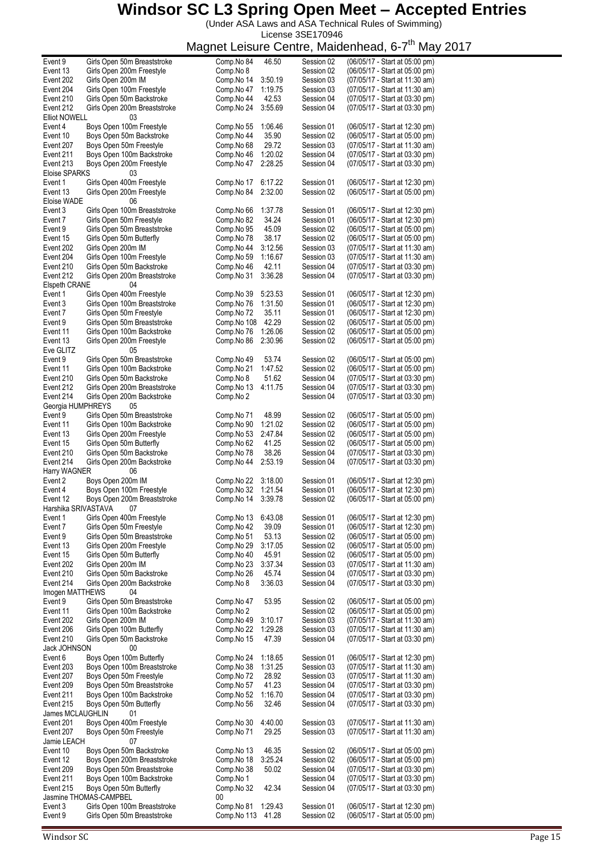(Under ASA Laws and ASA Technical Rules of Swimming) License 3SE170946

| Event 9              | Girls Open 50m Breaststroke  | Comp.No 84  | 46.50   | Session 02 | (06/05/17 - Start at 05:00 pm) |
|----------------------|------------------------------|-------------|---------|------------|--------------------------------|
| Event 13             | Girls Open 200m Freestyle    | Comp.No 8   |         | Session 02 | (06/05/17 - Start at 05:00 pm) |
| Event 202            | Girls Open 200m IM           | Comp.No 14  | 3:50.19 | Session 03 | (07/05/17 - Start at 11:30 am) |
| Event 204            | Girls Open 100m Freestyle    | Comp.No 47  | 1:19.75 | Session 03 | (07/05/17 - Start at 11:30 am) |
|                      |                              |             |         |            |                                |
| Event 210            | Girls Open 50m Backstroke    | Comp.No 44  | 42.53   | Session 04 | (07/05/17 - Start at 03:30 pm) |
| Event 212            | Girls Open 200m Breaststroke | Comp.No 24  | 3:55.69 | Session 04 | (07/05/17 - Start at 03:30 pm) |
| <b>Elliot NOWELL</b> | 03                           |             |         |            |                                |
| Event 4              | Boys Open 100m Freestyle     | Comp.No 55  | 1:06.46 | Session 01 | (06/05/17 - Start at 12:30 pm) |
| Event 10             | Boys Open 50m Backstroke     | Comp.No 44  | 35.90   | Session 02 | (06/05/17 - Start at 05:00 pm) |
|                      | Boys Open 50m Freestyle      |             | 29.72   |            | (07/05/17 - Start at 11:30 am) |
| Event 207            |                              | Comp.No 68  |         | Session 03 |                                |
| Event 211            | Boys Open 100m Backstroke    | Comp.No 46  | 1:20.02 | Session 04 | (07/05/17 - Start at 03:30 pm) |
| Event 213            | Boys Open 200m Freestyle     | Comp.No 47  | 2:28.25 | Session 04 | (07/05/17 - Start at 03:30 pm) |
| Eloise SPARKS        | 03                           |             |         |            |                                |
| Event 1              | Girls Open 400m Freestyle    | Comp.No 17  | 6:17.22 | Session 01 | (06/05/17 - Start at 12:30 pm) |
| Event 13             | Girls Open 200m Freestyle    | Comp.No 84  | 2:32.00 | Session 02 | (06/05/17 - Start at 05:00 pm) |
|                      |                              |             |         |            |                                |
| Eloise WADE          | 06                           |             |         |            |                                |
| Event 3              | Girls Open 100m Breaststroke | Comp.No 66  | 1:37.78 | Session 01 | (06/05/17 - Start at 12:30 pm) |
| Event 7              | Girls Open 50m Freestyle     | Comp.No 82  | 34.24   | Session 01 | (06/05/17 - Start at 12:30 pm) |
| Event 9              | Girls Open 50m Breaststroke  | Comp.No 95  | 45.09   | Session 02 | (06/05/17 - Start at 05:00 pm) |
| Event 15             | Girls Open 50m Butterfly     | Comp.No 78  | 38.17   | Session 02 | (06/05/17 - Start at 05:00 pm) |
|                      | Girls Open 200m IM           |             |         |            |                                |
| Event 202            |                              | Comp.No 44  | 3:12.56 | Session 03 | (07/05/17 - Start at 11:30 am) |
| Event 204            | Girls Open 100m Freestyle    | Comp.No 59  | 1:16.67 | Session 03 | (07/05/17 - Start at 11:30 am) |
| Event 210            | Girls Open 50m Backstroke    | Comp.No 46  | 42.11   | Session 04 | (07/05/17 - Start at 03:30 pm) |
| Event 212            | Girls Open 200m Breaststroke | Comp.No 31  | 3:36.28 | Session 04 | (07/05/17 - Start at 03:30 pm) |
| Elspeth CRANE        | 04                           |             |         |            |                                |
| Event 1              | Girls Open 400m Freestyle    | Comp.No 39  | 5:23.53 | Session 01 | (06/05/17 - Start at 12:30 pm) |
|                      |                              |             |         |            |                                |
| Event 3              | Girls Open 100m Breaststroke | Comp.No 76  | 1:31.50 | Session 01 | (06/05/17 - Start at 12:30 pm) |
| Event 7              | Girls Open 50m Freestyle     | Comp.No 72  | 35.11   | Session 01 | (06/05/17 - Start at 12:30 pm) |
| Event 9              | Girls Open 50m Breaststroke  | Comp.No 108 | 42.29   | Session 02 | (06/05/17 - Start at 05:00 pm) |
| Event 11             | Girls Open 100m Backstroke   | Comp.No 76  | 1:26.06 | Session 02 | (06/05/17 - Start at 05:00 pm) |
| Event 13             | Girls Open 200m Freestyle    | Comp.No 86  | 2:30.96 | Session 02 | (06/05/17 - Start at 05:00 pm) |
|                      |                              |             |         |            |                                |
| Eve GLITZ            | 05                           |             |         |            |                                |
| Event 9              | Girls Open 50m Breaststroke  | Comp.No 49  | 53.74   | Session 02 | (06/05/17 - Start at 05:00 pm) |
| Event 11             | Girls Open 100m Backstroke   | Comp.No 21  | 1:47.52 | Session 02 | (06/05/17 - Start at 05:00 pm) |
| Event 210            | Girls Open 50m Backstroke    | Comp.No 8   | 51.62   | Session 04 | (07/05/17 - Start at 03:30 pm) |
| Event 212            | Girls Open 200m Breaststroke | Comp.No 13  | 4:11.75 | Session 04 | (07/05/17 - Start at 03:30 pm) |
| Event 214            |                              |             |         |            |                                |
|                      | Girls Open 200m Backstroke   | Comp.No 2   |         | Session 04 | (07/05/17 - Start at 03:30 pm) |
| Georgia HUMPHREYS    | 05                           |             |         |            |                                |
| Event 9              | Girls Open 50m Breaststroke  | Comp.No 71  | 48.99   | Session 02 | (06/05/17 - Start at 05:00 pm) |
| Event 11             | Girls Open 100m Backstroke   | Comp.No 90  | 1:21.02 | Session 02 | (06/05/17 - Start at 05:00 pm) |
| Event 13             | Girls Open 200m Freestyle    | Comp.No 53  | 2:47.84 | Session 02 | (06/05/17 - Start at 05:00 pm) |
| Event 15             | Girls Open 50m Butterfly     | Comp.No 62  | 41.25   | Session 02 | (06/05/17 - Start at 05:00 pm) |
|                      |                              |             |         |            |                                |
| Event 210            | Girls Open 50m Backstroke    | Comp.No 78  | 38.26   | Session 04 | (07/05/17 - Start at 03:30 pm) |
| Event 214            | Girls Open 200m Backstroke   | Comp.No 44  | 2:53.19 | Session 04 | (07/05/17 - Start at 03:30 pm) |
| Harry WAGNER         | 06                           |             |         |            |                                |
| Event 2              | Boys Open 200m IM            | Comp.No 22  | 3:18.00 | Session 01 | (06/05/17 - Start at 12:30 pm) |
| Event 4              | Boys Open 100m Freestyle     | Comp.No 32  | 1:21.54 | Session 01 | (06/05/17 - Start at 12:30 pm) |
| Event 12             | Boys Open 200m Breaststroke  | Comp.No 14  | 3:39.78 | Session 02 | (06/05/17 - Start at 05:00 pm) |
|                      |                              |             |         |            |                                |
| Harshika SRIVASTAVA  | 07                           |             |         |            |                                |
| Event 1              | Girls Open 400m Freestyle    | Comp.No 13  | 6:43.08 | Session 01 | (06/05/17 - Start at 12:30 pm) |
| Event 7              | Girls Open 50m Freestyle     | Comp.No 42  | 39.09   | Session 01 | (06/05/17 - Start at 12:30 pm) |
| Event 9              | Girls Open 50m Breaststroke  | Comp.No 51  | 53.13   | Session 02 | (06/05/17 - Start at 05:00 pm) |
| Event 13             | Girls Open 200m Freestyle    | Comp.No 29  | 3:17.05 | Session 02 | (06/05/17 - Start at 05:00 pm) |
|                      |                              |             |         |            |                                |
| Event 15             | Girls Open 50m Butterfly     | Comp.No 40  | 45.91   | Session 02 | (06/05/17 - Start at 05:00 pm) |
| Event 202            | Girls Open 200m IM           | Comp.No 23  | 3:37.34 | Session 03 | (07/05/17 - Start at 11:30 am) |
| Event 210            | Girls Open 50m Backstroke    | Comp.No 26  | 45.74   | Session 04 | (07/05/17 - Start at 03:30 pm) |
| Event 214            | Girls Open 200m Backstroke   | Comp.No 8   | 3:36.03 | Session 04 | (07/05/17 - Start at 03:30 pm) |
| Imogen MATTHEWS      | 04                           |             |         |            |                                |
| Event 9              | Girls Open 50m Breaststroke  | Comp.No 47  | 53.95   | Session 02 | (06/05/17 - Start at 05:00 pm) |
| Event 11             |                              |             |         |            | (06/05/17 - Start at 05:00 pm) |
|                      | Girls Open 100m Backstroke   | Comp.No 2   |         | Session 02 |                                |
| Event 202            | Girls Open 200m IM           | Comp.No 49  | 3:10.17 | Session 03 | (07/05/17 - Start at 11:30 am) |
| Event 206            | Girls Open 100m Butterfly    | Comp.No 22  | 1:29.28 | Session 03 | (07/05/17 - Start at 11:30 am) |
| Event 210            | Girls Open 50m Backstroke    | Comp.No 15  | 47.39   | Session 04 | (07/05/17 - Start at 03:30 pm) |
| Jack JOHNSON         | 00                           |             |         |            |                                |
| Event 6              | Boys Open 100m Butterfly     | Comp.No 24  | 1:18.65 | Session 01 | (06/05/17 - Start at 12:30 pm) |
|                      |                              |             |         |            |                                |
| Event 203            | Boys Open 100m Breaststroke  | Comp.No 38  | 1:31.25 | Session 03 | (07/05/17 - Start at 11:30 am) |
| Event 207            | Boys Open 50m Freestyle      | Comp.No 72  | 28.92   | Session 03 | (07/05/17 - Start at 11:30 am) |
| Event 209            | Boys Open 50m Breaststroke   | Comp.No 57  | 41.23   | Session 04 | (07/05/17 - Start at 03:30 pm) |
| Event 211            | Boys Open 100m Backstroke    | Comp.No 52  | 1:16.70 | Session 04 | (07/05/17 - Start at 03:30 pm) |
| Event 215            | Boys Open 50m Butterfly      | Comp.No 56  | 32.46   | Session 04 | (07/05/17 - Start at 03:30 pm) |
| James MCLAUGHLIN     | 01                           |             |         |            |                                |
|                      |                              |             |         |            |                                |
| Event 201            | Boys Open 400m Freestyle     | Comp.No 30  | 4:40.00 | Session 03 | (07/05/17 - Start at 11:30 am) |
| Event 207            | Boys Open 50m Freestyle      | Comp.No 71  | 29.25   | Session 03 | (07/05/17 - Start at 11:30 am) |
| Jamie LEACH          | 07                           |             |         |            |                                |
| Event 10             | Boys Open 50m Backstroke     | Comp.No 13  | 46.35   | Session 02 | (06/05/17 - Start at 05:00 pm) |
| Event 12             | Boys Open 200m Breaststroke  | Comp.No 18  | 3:25.24 | Session 02 | (06/05/17 - Start at 05:00 pm) |
| Event 209            | Boys Open 50m Breaststroke   | Comp.No 38  | 50.02   | Session 04 | (07/05/17 - Start at 03:30 pm) |
|                      |                              |             |         |            |                                |
| Event 211            | Boys Open 100m Backstroke    | Comp.No 1   |         | Session 04 | (07/05/17 - Start at 03:30 pm) |
| Event 215            | Boys Open 50m Butterfly      | Comp.No 32  | 42.34   | Session 04 | (07/05/17 - Start at 03:30 pm) |
|                      | Jasmine THOMAS-CAMPBEL       | 00          |         |            |                                |
| Event 3              | Girls Open 100m Breaststroke | Comp.No 81  | 1:29.43 | Session 01 | (06/05/17 - Start at 12:30 pm) |
| Event 9              | Girls Open 50m Breaststroke  | Comp.No 113 | 41.28   | Session 02 | (06/05/17 - Start at 05:00 pm) |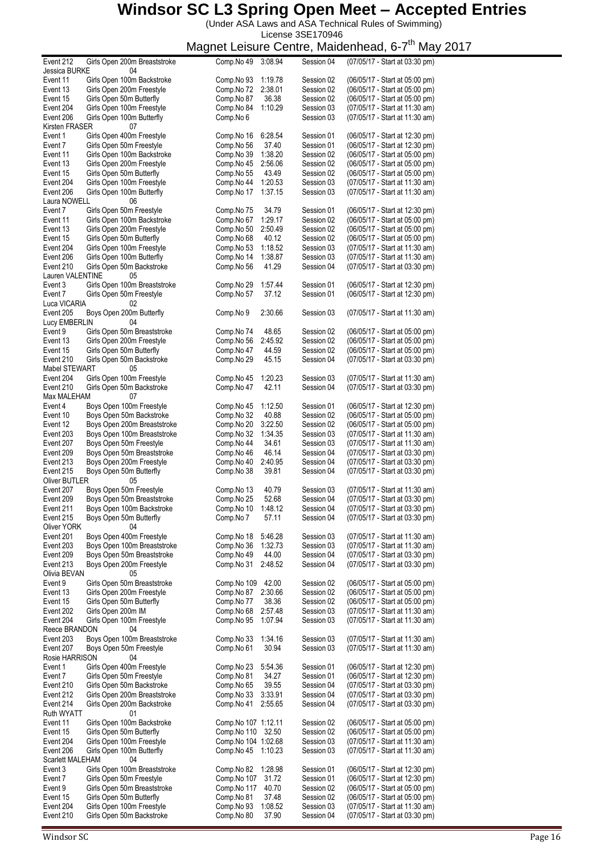(Under ASA Laws and ASA Technical Rules of Swimming) License 3SE170946

| Event 212        | Girls Open 200m Breaststroke | Comp.No 49          | 3:08.94 | Session 04 | (07/05/17 - Start at 03:30 pm) |
|------------------|------------------------------|---------------------|---------|------------|--------------------------------|
| Jessica BURKE    | 04                           |                     |         |            |                                |
|                  | Girls Open 100m Backstroke   |                     | 1:19.78 | Session 02 | (06/05/17 - Start at 05:00 pm) |
| Event 11         |                              | Comp.No 93          |         |            |                                |
| Event 13         | Girls Open 200m Freestyle    | Comp.No 72          | 2:38.01 | Session 02 | (06/05/17 - Start at 05:00 pm) |
| Event 15         | Girls Open 50m Butterfly     | Comp.No 87          | 36.38   | Session 02 | (06/05/17 - Start at 05:00 pm) |
| Event 204        | Girls Open 100m Freestyle    | Comp.No 84          | 1:10.29 | Session 03 | (07/05/17 - Start at 11:30 am) |
|                  |                              |                     |         |            |                                |
| Event 206        | Girls Open 100m Butterfly    | Comp.No 6           |         | Session 03 | (07/05/17 - Start at 11:30 am) |
| Kirsten FRASER   | 07                           |                     |         |            |                                |
| Event 1          | Girls Open 400m Freestyle    | Comp.No 16          | 6:28.54 | Session 01 | (06/05/17 - Start at 12:30 pm) |
|                  |                              |                     |         |            |                                |
| Event 7          | Girls Open 50m Freestyle     | Comp.No 56          | 37.40   | Session 01 | (06/05/17 - Start at 12:30 pm) |
| Event 11         | Girls Open 100m Backstroke   | Comp.No 39          | 1:38.20 | Session 02 | (06/05/17 - Start at 05:00 pm) |
| Event 13         | Girls Open 200m Freestyle    |                     | 2:56.06 | Session 02 |                                |
|                  |                              | Comp.No 45          |         |            | (06/05/17 - Start at 05:00 pm) |
| Event 15         | Girls Open 50m Butterfly     | Comp.No 55          | 43.49   | Session 02 | (06/05/17 - Start at 05:00 pm) |
| Event 204        | Girls Open 100m Freestyle    | Comp.No 44          | 1:20.53 | Session 03 | (07/05/17 - Start at 11:30 am) |
| Event 206        | Girls Open 100m Butterfly    | Comp.No 17          | 1:37.15 | Session 03 | (07/05/17 - Start at 11:30 am) |
|                  |                              |                     |         |            |                                |
| Laura NOWELL     | 06                           |                     |         |            |                                |
| Event 7          | Girls Open 50m Freestyle     | Comp.No 75          | 34.79   | Session 01 | (06/05/17 - Start at 12:30 pm) |
| Event 11         | Girls Open 100m Backstroke   | Comp.No 67          | 1:29.17 | Session 02 | (06/05/17 - Start at 05:00 pm) |
|                  |                              |                     |         |            |                                |
| Event 13         | Girls Open 200m Freestyle    | Comp.No 50          | 2:50.49 | Session 02 | (06/05/17 - Start at 05:00 pm) |
| Event 15         | Girls Open 50m Butterfly     | Comp.No 68          | 40.12   | Session 02 | (06/05/17 - Start at 05:00 pm) |
| Event 204        | Girls Open 100m Freestyle    | Comp.No 53          | 1:18.52 | Session 03 | (07/05/17 - Start at 11:30 am) |
|                  |                              |                     |         |            |                                |
| Event 206        | Girls Open 100m Butterfly    | Comp.No 14          | 1:38.87 | Session 03 | (07/05/17 - Start at 11:30 am) |
| Event 210        | Girls Open 50m Backstroke    | Comp.No 56          | 41.29   | Session 04 | (07/05/17 - Start at 03:30 pm) |
| Lauren VALENTINE | 05                           |                     |         |            |                                |
|                  |                              |                     |         |            |                                |
| Event 3          | Girls Open 100m Breaststroke | Comp.No 29          | 1:57.44 | Session 01 | (06/05/17 - Start at 12:30 pm) |
| Event 7          | Girls Open 50m Freestyle     | Comp.No 57          | 37.12   | Session 01 | (06/05/17 - Start at 12:30 pm) |
| Luca VICARIA     | 02                           |                     |         |            |                                |
|                  |                              |                     |         |            |                                |
| Event 205        | Boys Open 200m Butterfly     | Comp.No 9           | 2:30.66 | Session 03 | (07/05/17 - Start at 11:30 am) |
| Lucy EMBERLIN    | 04                           |                     |         |            |                                |
| Event 9          | Girls Open 50m Breaststroke  | Comp.No 74          | 48.65   | Session 02 | (06/05/17 - Start at 05:00 pm) |
|                  |                              |                     |         |            |                                |
| Event 13         | Girls Open 200m Freestyle    | Comp.No 56          | 2:45.92 | Session 02 | (06/05/17 - Start at 05:00 pm) |
| Event 15         | Girls Open 50m Butterfly     | Comp.No 47          | 44.59   | Session 02 | (06/05/17 - Start at 05:00 pm) |
| Event 210        | Girls Open 50m Backstroke    | Comp.No 29          | 45.15   | Session 04 | (07/05/17 - Start at 03:30 pm) |
|                  |                              |                     |         |            |                                |
| Mabel STEWART    | 05                           |                     |         |            |                                |
| Event 204        | Girls Open 100m Freestyle    | Comp.No 45          | 1:20.23 | Session 03 | (07/05/17 - Start at 11:30 am) |
| Event 210        | Girls Open 50m Backstroke    | Comp.No 47          | 42.11   | Session 04 | (07/05/17 - Start at 03:30 pm) |
| Max MALEHAM      | 07                           |                     |         |            |                                |
|                  |                              |                     |         |            |                                |
| Event 4          | Boys Open 100m Freestyle     | Comp.No 45          | 1:12.50 | Session 01 | (06/05/17 - Start at 12:30 pm) |
| Event 10         | Boys Open 50m Backstroke     | Comp.No 32          | 40.88   | Session 02 | (06/05/17 - Start at 05:00 pm) |
|                  |                              |                     |         |            |                                |
| Event 12         | Boys Open 200m Breaststroke  | Comp.No 20          | 3:22.50 | Session 02 | (06/05/17 - Start at 05:00 pm) |
| Event 203        | Boys Open 100m Breaststroke  | Comp.No 32          | 1:34.35 | Session 03 | (07/05/17 - Start at 11:30 am) |
| Event 207        | Boys Open 50m Freestyle      | Comp.No 44          | 34.61   | Session 03 | (07/05/17 - Start at 11:30 am) |
|                  |                              |                     |         |            |                                |
| Event 209        | Boys Open 50m Breaststroke   | Comp.No 46          | 46.14   | Session 04 | (07/05/17 - Start at 03:30 pm) |
| Event 213        | Boys Open 200m Freestyle     | Comp.No 40          | 2:40.95 | Session 04 | (07/05/17 - Start at 03:30 pm) |
| Event 215        | Boys Open 50m Butterfly      | Comp.No 38          | 39.81   | Session 04 | (07/05/17 - Start at 03:30 pm) |
|                  |                              |                     |         |            |                                |
| Oliver BUTLER    | 05                           |                     |         |            |                                |
| Event 207        | Boys Open 50m Freestyle      | Comp.No 13          | 40.79   | Session 03 | (07/05/17 - Start at 11:30 am) |
| Event 209        | Boys Open 50m Breaststroke   | Comp.No 25          | 52.68   | Session 04 | (07/05/17 - Start at 03:30 pm) |
|                  |                              |                     |         |            |                                |
| Event 211        | Boys Open 100m Backstroke    | Comp.No 10          | 1:48.12 | Session 04 | (07/05/17 - Start at 03:30 pm) |
| Event 215        | Boys Open 50m Butterfly      | Comp.No 7           | 57.11   | Session 04 | (07/05/17 - Start at 03:30 pm) |
| Oliver YORK      | 04                           |                     |         |            |                                |
|                  |                              |                     |         |            |                                |
| Event 201        | Boys Open 400m Freestyle     | Comp.No 18          | 5:46.28 | Session 03 | (07/05/17 - Start at 11:30 am) |
| Event 203        | Boys Open 100m Breaststroke  | Comp.No 36          | 1:32.73 | Session 03 | (07/05/17 - Start at 11:30 am) |
| Event 209        | Boys Open 50m Breaststroke   | Comp.No 49          | 44.00   | Session 04 | (07/05/17 - Start at 03:30 pm) |
|                  |                              |                     |         |            |                                |
| Event 213        | Boys Open 200m Freestyle     | Comp.No 31          | 2:48.52 | Session 04 | (07/05/17 - Start at 03:30 pm) |
| Olivia BEVAN     | 05                           |                     |         |            |                                |
| Event 9          | Girls Open 50m Breaststroke  | Comp.No 109         | 42.00   | Session 02 | (06/05/17 - Start at 05:00 pm) |
| Event 13         | Girls Open 200m Freestyle    | Comp.No 87          | 2:30.66 | Session 02 | (06/05/17 - Start at 05:00 pm) |
|                  |                              |                     |         |            |                                |
| Event 15         | Girls Open 50m Butterfly     | Comp.No 77          | 38.36   | Session 02 | (06/05/17 - Start at 05:00 pm) |
| Event 202        | Girls Open 200m IM           | Comp.No 68          | 2:57.48 | Session 03 | (07/05/17 - Start at 11:30 am) |
| Event 204        | Girls Open 100m Freestyle    | Comp.No 95          | 1:07.94 | Session 03 | (07/05/17 - Start at 11:30 am) |
|                  |                              |                     |         |            |                                |
| Reece BRANDON    | 04                           |                     |         |            |                                |
| Event 203        | Boys Open 100m Breaststroke  | Comp.No 33          | 1:34.16 | Session 03 | (07/05/17 - Start at 11:30 am) |
| Event 207        | Boys Open 50m Freestyle      | Comp.No 61          | 30.94   | Session 03 | (07/05/17 - Start at 11:30 am) |
|                  |                              |                     |         |            |                                |
| Rosie HARRISON   | 04                           |                     |         |            |                                |
| Event 1          | Girls Open 400m Freestyle    | Comp.No 23          | 5:54.36 | Session 01 | (06/05/17 - Start at 12:30 pm) |
| Event 7          | Girls Open 50m Freestyle     | Comp.No 81          | 34.27   | Session 01 | (06/05/17 - Start at 12:30 pm) |
|                  | Girls Open 50m Backstroke    |                     | 39.55   |            | (07/05/17 - Start at 03:30 pm) |
| Event 210        |                              | Comp.No 65          |         | Session 04 |                                |
| Event 212        | Girls Open 200m Breaststroke | Comp.No 33          | 3:33.91 | Session 04 | (07/05/17 - Start at 03:30 pm) |
| Event 214        | Girls Open 200m Backstroke   | Comp.No 41          | 2:55.65 | Session 04 | (07/05/17 - Start at 03:30 pm) |
|                  |                              |                     |         |            |                                |
| Ruth WYATT       | 01                           |                     |         |            |                                |
| Event 11         | Girls Open 100m Backstroke   | Comp.No 107 1:12.11 |         | Session 02 | (06/05/17 - Start at 05:00 pm) |
| Event 15         | Girls Open 50m Butterfly     | Comp.No 110         | 32.50   | Session 02 | (06/05/17 - Start at 05:00 pm) |
| Event 204        | Girls Open 100m Freestyle    | Comp.No 104 1:02.68 |         | Session 03 | (07/05/17 - Start at 11:30 am) |
|                  |                              |                     |         |            |                                |
| Event 206        | Girls Open 100m Butterfly    | Comp.No 45          | 1:10.23 | Session 03 | (07/05/17 - Start at 11:30 am) |
| Scarlett MALEHAM | 04                           |                     |         |            |                                |
| Event 3          | Girls Open 100m Breaststroke | Comp.No 82          | 1:28.98 | Session 01 | (06/05/17 - Start at 12:30 pm) |
|                  |                              |                     |         |            |                                |
| Event 7          | Girls Open 50m Freestyle     | Comp.No 107         | 31.72   | Session 01 | (06/05/17 - Start at 12:30 pm) |
| Event 9          | Girls Open 50m Breaststroke  | Comp.No 117         | 40.70   | Session 02 | (06/05/17 - Start at 05:00 pm) |
| Event 15         | Girls Open 50m Butterfly     | Comp.No 81          | 37.48   | Session 02 | (06/05/17 - Start at 05:00 pm) |
|                  |                              |                     |         |            |                                |
| Event 204        | Girls Open 100m Freestyle    | Comp.No 93          | 1:08.52 | Session 03 | (07/05/17 - Start at 11:30 am) |
| Event 210        | Girls Open 50m Backstroke    | Comp.No 80          | 37.90   | Session 04 | (07/05/17 - Start at 03:30 pm) |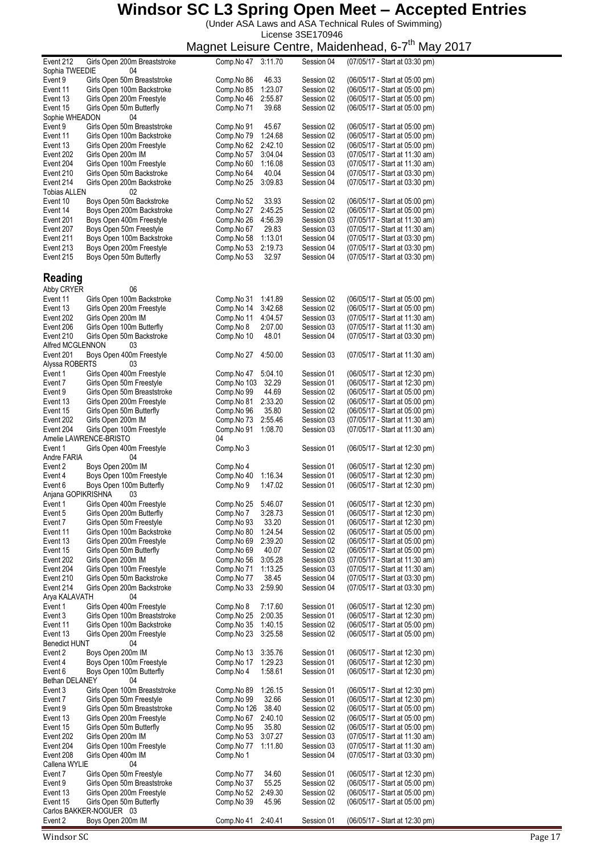(Under ASA Laws and ASA Technical Rules of Swimming)

License 3SE170946

| Event 212            | Girls Open 200m Breaststroke                 | Comp.No 47  | 3:11.70 | Session 04 | (07/05/17 - Start at 03:30 pm) |
|----------------------|----------------------------------------------|-------------|---------|------------|--------------------------------|
|                      |                                              |             |         |            |                                |
| Sophia TWEEDIE       | 04                                           |             |         |            |                                |
| Event 9              | Girls Open 50m Breaststroke                  | Comp.No 86  | 46.33   | Session 02 | (06/05/17 - Start at 05:00 pm) |
| Event 11             | Girls Open 100m Backstroke                   | Comp.No 85  | 1:23.07 | Session 02 | (06/05/17 - Start at 05:00 pm) |
| Event 13             | Girls Open 200m Freestyle                    | Comp.No 46  | 2:55.87 | Session 02 | (06/05/17 - Start at 05:00 pm) |
| Event 15             | Girls Open 50m Butterfly                     | Comp.No 71  | 39.68   | Session 02 | (06/05/17 - Start at 05:00 pm) |
| Sophie WHEADON       | 04                                           |             |         |            |                                |
| Event 9              | Girls Open 50m Breaststroke                  | Comp.No 91  | 45.67   | Session 02 | (06/05/17 - Start at 05:00 pm) |
| Event 11             | Girls Open 100m Backstroke                   | Comp.No 79  | 1:24.68 | Session 02 | (06/05/17 - Start at 05:00 pm) |
|                      |                                              |             |         |            |                                |
| Event 13             | Girls Open 200m Freestyle                    | Comp.No 62  | 2:42.10 | Session 02 | (06/05/17 - Start at 05:00 pm) |
| Event 202            | Girls Open 200m IM                           | Comp.No 57  | 3:04.04 | Session 03 | (07/05/17 - Start at 11:30 am) |
| Event 204            | Girls Open 100m Freestyle                    | Comp.No 60  | 1:16.08 | Session 03 | (07/05/17 - Start at 11:30 am) |
| Event 210            | Girls Open 50m Backstroke                    | Comp.No 64  | 40.04   | Session 04 | (07/05/17 - Start at 03:30 pm) |
| Event 214            | Girls Open 200m Backstroke                   | Comp.No 25  | 3:09.83 | Session 04 | (07/05/17 - Start at 03:30 pm) |
| <b>Tobias ALLEN</b>  | 02                                           |             |         |            |                                |
|                      |                                              |             |         |            |                                |
| Event 10             | Boys Open 50m Backstroke                     | Comp.No 52  | 33.93   | Session 02 | (06/05/17 - Start at 05:00 pm) |
| Event 14             | Boys Open 200m Backstroke                    | Comp.No 27  | 2:45.25 | Session 02 | (06/05/17 - Start at 05:00 pm) |
| Event 201            | Boys Open 400m Freestyle                     | Comp.No 26  | 4:56.39 | Session 03 | (07/05/17 - Start at 11:30 am) |
| Event 207            | Boys Open 50m Freestyle                      | Comp.No 67  | 29.83   | Session 03 | (07/05/17 - Start at 11:30 am) |
| Event 211            | Boys Open 100m Backstroke                    | Comp.No 58  | 1:13.01 | Session 04 | (07/05/17 - Start at 03:30 pm) |
| Event 213            | Boys Open 200m Freestyle                     | Comp.No 53  | 2:19.73 | Session 04 | (07/05/17 - Start at 03:30 pm) |
|                      |                                              |             |         |            |                                |
| Event 215            | Boys Open 50m Butterfly                      | Comp.No 53  | 32.97   | Session 04 | (07/05/17 - Start at 03:30 pm) |
|                      |                                              |             |         |            |                                |
| Reading              |                                              |             |         |            |                                |
|                      |                                              |             |         |            |                                |
| Abby CRYER           | 06                                           |             |         |            |                                |
| Event 11             | Girls Open 100m Backstroke                   | Comp.No 31  | 1:41.89 | Session 02 | (06/05/17 - Start at 05:00 pm) |
| Event 13             | Girls Open 200m Freestyle                    | Comp.No 14  | 3:42.68 | Session 02 | (06/05/17 - Start at 05:00 pm) |
| Event 202            | Girls Open 200m IM                           | Comp.No 11  | 4:04.57 | Session 03 | (07/05/17 - Start at 11:30 am) |
| Event 206            | Girls Open 100m Butterfly                    | Comp.No 8   | 2:07.00 | Session 03 | (07/05/17 - Start at 11:30 am) |
|                      |                                              |             |         |            |                                |
| Event 210            | Girls Open 50m Backstroke                    | Comp.No 10  | 48.01   | Session 04 | (07/05/17 - Start at 03:30 pm) |
| Alfred MCGLENNON     | 03                                           |             |         |            |                                |
| Event 201            | Boys Open 400m Freestyle                     | Comp.No 27  | 4:50.00 | Session 03 | (07/05/17 - Start at 11:30 am) |
| Alyssa ROBERTS       | 03                                           |             |         |            |                                |
| Event 1              | Girls Open 400m Freestyle                    | Comp.No 47  | 5:04.10 | Session 01 | (06/05/17 - Start at 12:30 pm) |
| Event 7              | Girls Open 50m Freestyle                     | Comp.No 103 | 32.29   | Session 01 | (06/05/17 - Start at 12:30 pm) |
|                      |                                              |             |         |            |                                |
| Event 9              | Girls Open 50m Breaststroke                  | Comp.No 99  | 44.69   | Session 02 | (06/05/17 - Start at 05:00 pm) |
| Event 13             | Girls Open 200m Freestyle                    | Comp.No 81  | 2:33.20 | Session 02 | (06/05/17 - Start at 05:00 pm) |
| Event 15             | Girls Open 50m Butterfly                     | Comp.No 96  | 35.80   | Session 02 | (06/05/17 - Start at 05:00 pm) |
| Event 202            | Girls Open 200m IM                           | Comp.No 73  | 2:55.46 | Session 03 | (07/05/17 - Start at 11:30 am) |
| Event 204            | Girls Open 100m Freestyle                    | Comp.No 91  | 1:08.70 | Session 03 | (07/05/17 - Start at 11:30 am) |
|                      | Amelie LAWRENCE-BRISTO                       | 04          |         |            |                                |
|                      |                                              |             |         |            |                                |
| Event 1              | Girls Open 400m Freestyle                    | Comp.No 3   |         | Session 01 | (06/05/17 - Start at 12:30 pm) |
| Andre FARIA          | 04                                           |             |         |            |                                |
|                      |                                              |             |         |            | (06/05/17 - Start at 12:30 pm) |
| Event 2              | Boys Open 200m IM                            | Comp.No 4   |         | Session 01 |                                |
| Event 4              |                                              |             |         |            |                                |
|                      | Boys Open 100m Freestyle                     | Comp.No 40  | 1:16.34 | Session 01 | (06/05/17 - Start at 12:30 pm) |
| Event 6              | Boys Open 100m Butterfly                     | Comp.No 9   | 1:47.02 | Session 01 | (06/05/17 - Start at 12:30 pm) |
| Anjana GOPIKRISHNA   | 03                                           |             |         |            |                                |
| Event 1              | Girls Open 400m Freestyle                    | Comp.No 25  | 5:46.07 | Session 01 | (06/05/17 - Start at 12:30 pm) |
| Event 5              | Girls Open 200m Butterfly                    | Comp.No 7   | 3:28.73 | Session 01 | (06/05/17 - Start at 12:30 pm) |
| Event 7              | Girls Open 50m Freestyle                     | Comp.No 93  | 33.20   | Session 01 | (06/05/17 - Start at 12:30 pm) |
| Event 11             | Girls Open 100m Backstroke                   | Comp.No 80  | 1:24.54 | Session 02 | (06/05/17 - Start at 05:00 pm) |
|                      |                                              |             |         |            |                                |
| Event 13             | Girls Open 200m Freestyle                    | Comp.No 69  | 2:39.20 | Session 02 | (06/05/17 - Start at 05:00 pm) |
| Event 15             | Girls Open 50m Butterfly                     | Comp.No 69  | 40.07   | Session 02 | (06/05/17 - Start at 05:00 pm) |
| Event 202            | Girls Open 200m IM                           | Comp.No 56  | 3:05.28 | Session 03 | (07/05/17 - Start at 11:30 am) |
| Event 204            | Girls Open 100m Freestyle                    | Comp.No 71  | 1:13.25 | Session 03 | (07/05/17 - Start at 11:30 am) |
| Event 210            | Girls Open 50m Backstroke                    | Comp.No 77  | 38.45   | Session 04 | (07/05/17 - Start at 03:30 pm) |
| Event 214            | Girls Open 200m Backstroke                   | Comp.No 33  | 2:59.90 | Session 04 | (07/05/17 - Start at 03:30 pm) |
| Arya KALAVATH        | 04                                           |             |         |            |                                |
|                      |                                              |             |         |            |                                |
| Event 1              | Girls Open 400m Freestyle                    | Comp.No 8   | 7:17.60 | Session 01 | (06/05/17 - Start at 12:30 pm) |
| Event 3              | Girls Open 100m Breaststroke                 | Comp.No 25  | 2:00.35 | Session 01 | (06/05/17 - Start at 12:30 pm) |
| Event 11             | Girls Open 100m Backstroke                   | Comp.No 35  | 1:40.15 | Session 02 | (06/05/17 - Start at 05:00 pm) |
| Event 13             | Girls Open 200m Freestyle                    | Comp.No 23  | 3:25.58 | Session 02 | (06/05/17 - Start at 05:00 pm) |
| <b>Benedict HUNT</b> | 04                                           |             |         |            |                                |
| Event 2              | Boys Open 200m IM                            | Comp.No 13  | 3:35.76 | Session 01 |                                |
|                      |                                              |             |         |            | (06/05/17 - Start at 12:30 pm) |
| Event 4              | Boys Open 100m Freestyle                     | Comp.No 17  | 1:29.23 | Session 01 | (06/05/17 - Start at 12:30 pm) |
| Event 6              | Boys Open 100m Butterfly                     | Comp.No 4   | 1:58.61 | Session 01 | (06/05/17 - Start at 12:30 pm) |
| Bethan DELANEY       | 04                                           |             |         |            |                                |
| Event 3              | Girls Open 100m Breaststroke                 | Comp.No 89  | 1:26.15 | Session 01 | (06/05/17 - Start at 12:30 pm) |
| Event 7              | Girls Open 50m Freestyle                     | Comp.No 99  | 32.66   | Session 01 | (06/05/17 - Start at 12:30 pm) |
| Event 9              | Girls Open 50m Breaststroke                  | Comp.No 126 | 38.40   | Session 02 | (06/05/17 - Start at 05:00 pm) |
| Event 13             |                                              |             |         | Session 02 |                                |
|                      | Girls Open 200m Freestyle                    | Comp.No 67  | 2:40.10 |            | (06/05/17 - Start at 05:00 pm) |
| Event 15             | Girls Open 50m Butterfly                     | Comp.No 95  | 35.80   | Session 02 | (06/05/17 - Start at 05:00 pm) |
| Event 202            | Girls Open 200m IM                           | Comp.No 53  | 3:07.27 | Session 03 | (07/05/17 - Start at 11:30 am) |
| Event 204            | Girls Open 100m Freestyle                    | Comp.No 77  | 1:11.80 | Session 03 | (07/05/17 - Start at 11:30 am) |
| Event 208            | Girls Open 400m IM                           | Comp.No 1   |         | Session 04 | (07/05/17 - Start at 03:30 pm) |
| Callena WYLIE        | 04                                           |             |         |            |                                |
|                      |                                              |             |         |            |                                |
| Event 7              | Girls Open 50m Freestyle                     | Comp.No 77  | 34.60   | Session 01 | (06/05/17 - Start at 12:30 pm) |
| Event 9              | Girls Open 50m Breaststroke                  | Comp.No 37  | 55.25   | Session 02 | (06/05/17 - Start at 05:00 pm) |
| Event 13             | Girls Open 200m Freestyle                    | Comp.No 52  | 2:49.30 | Session 02 | (06/05/17 - Start at 05:00 pm) |
| Event 15             | Girls Open 50m Butterfly                     | Comp.No 39  | 45.96   | Session 02 | (06/05/17 - Start at 05:00 pm) |
| Event 2              | Carlos BAKKER-NOGUER 03<br>Boys Open 200m IM | Comp.No 41  | 2:40.41 | Session 01 | (06/05/17 - Start at 12:30 pm) |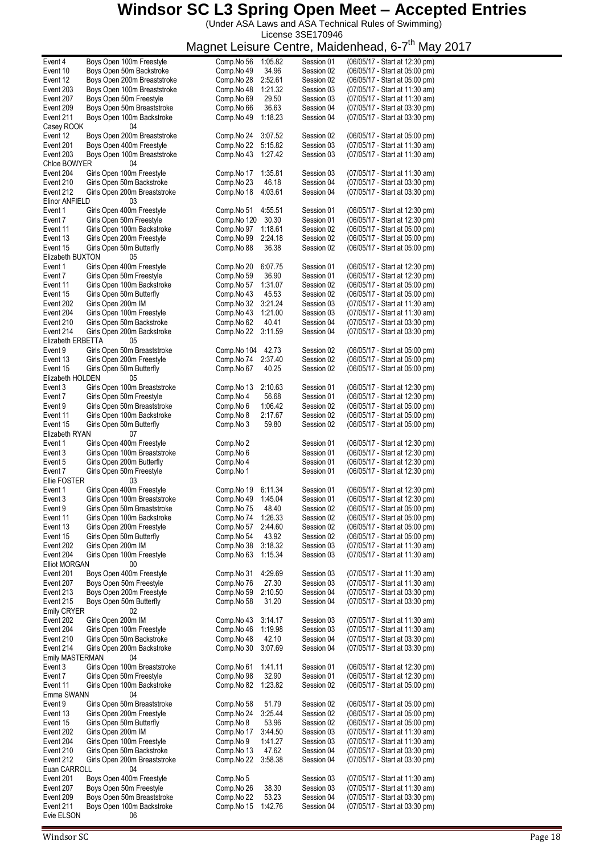(Under ASA Laws and ASA Technical Rules of Swimming) License 3SE170946

| Event 4                 | Boys Open 100m Freestyle        | Comp.No 56       | 1:05.82 | Session 01 | (06/05/17 - Start at 12:30 pm) |
|-------------------------|---------------------------------|------------------|---------|------------|--------------------------------|
| Event 10                | Boys Open 50m Backstroke        | Comp.No 49       | 34.96   | Session 02 | (06/05/17 - Start at 05:00 pm) |
| Event 12                | Boys Open 200m Breaststroke     | Comp.No 28       | 2:52.61 | Session 02 | (06/05/17 - Start at 05:00 pm) |
| Event 203               | Boys Open 100m Breaststroke     | Comp.No 48       | 1:21.32 | Session 03 | (07/05/17 - Start at 11:30 am) |
| Event 207               | Boys Open 50m Freestyle         | Comp.No 69       | 29.50   | Session 03 | (07/05/17 - Start at 11:30 am) |
|                         | Boys Open 50m Breaststroke      |                  |         |            | (07/05/17 - Start at 03:30 pm) |
| Event 209               |                                 | Comp.No 66       | 36.63   | Session 04 |                                |
| Event 211               | Boys Open 100m Backstroke       | Comp.No 49       | 1:18.23 | Session 04 | (07/05/17 - Start at 03:30 pm) |
| Casey ROOK              | 04                              |                  |         |            |                                |
| Event 12                | Boys Open 200m Breaststroke     | Comp.No 24       | 3:07.52 | Session 02 | (06/05/17 - Start at 05:00 pm) |
| Event 201               | Boys Open 400m Freestyle        | Comp.No 22       | 5:15.82 | Session 03 | (07/05/17 - Start at 11:30 am) |
|                         |                                 |                  |         |            |                                |
| Event 203               | Boys Open 100m Breaststroke     | Comp.No 43       | 1:27.42 | Session 03 | (07/05/17 - Start at 11:30 am) |
| Chloe BOWYER            | 04                              |                  |         |            |                                |
| Event 204               | Girls Open 100m Freestyle       | Comp.No 17       | 1:35.81 | Session 03 | (07/05/17 - Start at 11:30 am) |
| Event 210               | Girls Open 50m Backstroke       | Comp.No 23       | 46.18   | Session 04 | (07/05/17 - Start at 03:30 pm) |
| Event 212               | Girls Open 200m Breaststroke    | Comp.No 18       | 4:03.61 | Session 04 | (07/05/17 - Start at 03:30 pm) |
|                         |                                 |                  |         |            |                                |
| Elinor ANFIELD          | 03                              |                  |         |            |                                |
| Event 1                 | Girls Open 400m Freestyle       | Comp.No 51       | 4:55.51 | Session 01 | (06/05/17 - Start at 12:30 pm) |
| Event 7                 | Girls Open 50m Freestyle        | Comp.No 120      | 30.30   | Session 01 | (06/05/17 - Start at 12:30 pm) |
| Event 11                | Girls Open 100m Backstroke      | Comp.No 97       | 1:18.61 | Session 02 | (06/05/17 - Start at 05:00 pm) |
|                         |                                 |                  |         |            | (06/05/17 - Start at 05:00 pm) |
| Event 13                | Girls Open 200m Freestyle       | Comp.No 99       | 2:24.18 | Session 02 |                                |
| Event 15                | Girls Open 50m Butterfly        | Comp.No 88       | 36.38   | Session 02 | (06/05/17 - Start at 05:00 pm) |
| Elizabeth BUXTON        | 05                              |                  |         |            |                                |
| Event 1                 | Girls Open 400m Freestyle       | Comp.No 20       | 6:07.75 | Session 01 | (06/05/17 - Start at 12:30 pm) |
| Event 7                 | Girls Open 50m Freestyle        | Comp.No 59       | 36.90   | Session 01 | (06/05/17 - Start at 12:30 pm) |
|                         | Girls Open 100m Backstroke      | Comp.No 57       |         |            |                                |
| Event 11                |                                 |                  | 1:31.07 | Session 02 | (06/05/17 - Start at 05:00 pm) |
| Event 15                | Girls Open 50m Butterfly        | Comp.No 43       | 45.53   | Session 02 | (06/05/17 - Start at 05:00 pm) |
| Event 202               | Girls Open 200m IM              | Comp.No 32       | 3:21.24 | Session 03 | (07/05/17 - Start at 11:30 am) |
| Event 204               | Girls Open 100m Freestyle       | Comp.No 43       | 1:21.00 | Session 03 | (07/05/17 - Start at 11:30 am) |
|                         |                                 |                  |         |            |                                |
| Event 210               | Girls Open 50m Backstroke       | Comp.No 62       | 40.41   | Session 04 | (07/05/17 - Start at 03:30 pm) |
| Event 214               | Girls Open 200m Backstroke      | Comp.No 22       | 3:11.59 | Session 04 | (07/05/17 - Start at 03:30 pm) |
| Elizabeth ERBETTA       | 05                              |                  |         |            |                                |
| Event 9                 | Girls Open 50m Breaststroke     | Comp.No 104      | 42.73   | Session 02 | (06/05/17 - Start at 05:00 pm) |
| Event 13                | Girls Open 200m Freestyle       | Comp.No 74       | 2:37.40 | Session 02 | (06/05/17 - Start at 05:00 pm) |
|                         |                                 |                  |         |            |                                |
| Event 15                | Girls Open 50m Butterfly        | Comp.No 67       | 40.25   | Session 02 | (06/05/17 - Start at 05:00 pm) |
| Elizabeth HOLDEN        | 05                              |                  |         |            |                                |
| Event 3                 | Girls Open 100m Breaststroke    | Comp.No 13       | 2:10.63 | Session 01 | (06/05/17 - Start at 12:30 pm) |
| Event 7                 | Girls Open 50m Freestyle        | Comp.No 4        | 56.68   | Session 01 | (06/05/17 - Start at 12:30 pm) |
|                         |                                 |                  |         |            |                                |
| Event 9                 | Girls Open 50m Breaststroke     | Comp.No 6        | 1:06.42 | Session 02 | (06/05/17 - Start at 05:00 pm) |
| Event 11                | Girls Open 100m Backstroke      | Comp.No 8        | 2:17.67 | Session 02 | (06/05/17 - Start at 05:00 pm) |
| Event 15                | Girls Open 50m Butterfly        | Comp.No 3        | 59.80   | Session 02 | (06/05/17 - Start at 05:00 pm) |
| Elizabeth RYAN          | 07                              |                  |         |            |                                |
| Event 1                 | Girls Open 400m Freestyle       | Comp.No 2        |         | Session 01 | (06/05/17 - Start at 12:30 pm) |
|                         |                                 |                  |         |            |                                |
| Event 3                 | Girls Open 100m Breaststroke    | Comp.No 6        |         | Session 01 | (06/05/17 - Start at 12:30 pm) |
| Event 5                 | Girls Open 200m Butterfly       | Comp.No 4        |         | Session 01 | (06/05/17 - Start at 12:30 pm) |
| Event 7                 | Girls Open 50m Freestyle        | Comp.No 1        |         | Session 01 | (06/05/17 - Start at 12:30 pm) |
| Ellie FOSTER            | 03                              |                  |         |            |                                |
|                         |                                 |                  |         |            |                                |
| Event 1                 | Girls Open 400m Freestyle       | Comp.No 19       | 6:11.34 | Session 01 | (06/05/17 - Start at 12:30 pm) |
| Event 3                 | Girls Open 100m Breaststroke    | Comp.No 49       | 1:45.04 | Session 01 | (06/05/17 - Start at 12:30 pm) |
| Event 9                 | Girls Open 50m Breaststroke     | Comp.No 75 48.40 |         | Session 02 | (06/05/17 - Start at 05:00 pm) |
| Event 11                | Girls Open 100m Backstroke      | Comp.No 74       | 1:26.33 | Session 02 | (06/05/17 - Start at 05:00 pm) |
|                         |                                 |                  |         |            |                                |
| Event 13                | Girls Open 200m Freestyle       | Comp.No 57       | 2:44.60 | Session 02 | (06/05/17 - Start at 05:00 pm) |
| Event 15                | Girls Open 50m Butterfly        | Comp.No 54       | 43.92   | Session 02 | (06/05/17 - Start at 05:00 pm) |
| Event 202               | Girls Open 200m IM              | Comp.No 38       | 3:18.32 | Session 03 | (07/05/17 - Start at 11:30 am) |
| Event 204               | Girls Open 100m Freestyle       | Comp.No 63       | 1:15.34 | Session 03 | (07/05/17 - Start at 11:30 am) |
|                         | 00                              |                  |         |            |                                |
| <b>Elliot MORGAN</b>    |                                 |                  |         |            |                                |
| Event 201               | Boys Open 400m Freestyle        | Comp.No 31       | 4:29.69 | Session 03 | (07/05/17 - Start at 11:30 am) |
| Event 207               | Boys Open 50m Freestyle         | Comp.No 76       | 27.30   | Session 03 | (07/05/17 - Start at 11:30 am) |
| Event 213               | Boys Open 200m Freestyle        | Comp.No 59       | 2:10.50 | Session 04 | (07/05/17 - Start at 03:30 pm) |
| Event 215               | Boys Open 50m Butterfly         | Comp.No 58       | 31.20   | Session 04 | (07/05/17 - Start at 03:30 pm) |
|                         | 02                              |                  |         |            |                                |
| <b>Emily CRYER</b>      |                                 |                  |         |            |                                |
| Event 202               | Girls Open 200m IM              | Comp.No 43       | 3:14.17 | Session 03 | (07/05/17 - Start at 11:30 am) |
| Event 204               | Girls Open 100m Freestyle       | Comp.No 46       | 1:19.98 | Session 03 | (07/05/17 - Start at 11:30 am) |
| Event 210               | Girls Open 50m Backstroke       | Comp.No 48       | 42.10   | Session 04 | (07/05/17 - Start at 03:30 pm) |
| Event 214               | Girls Open 200m Backstroke      | Comp.No 30       | 3:07.69 | Session 04 | (07/05/17 - Start at 03:30 pm) |
|                         |                                 |                  |         |            |                                |
| Emily MASTERMAN         | 04                              |                  |         |            |                                |
| Event 3                 | Girls Open 100m Breaststroke    | Comp.No 61       | 1.41.11 | Session 01 | (06/05/17 - Start at 12:30 pm) |
| Event 7                 | Girls Open 50m Freestyle        | Comp.No 98       | 32.90   | Session 01 | (06/05/17 - Start at 12:30 pm) |
| Event 11                | Girls Open 100m Backstroke      | Comp.No 82       | 1:23.82 | Session 02 | (06/05/17 - Start at 05:00 pm) |
|                         |                                 |                  |         |            |                                |
| Emma SWANN              | 04                              |                  |         |            |                                |
| Event 9                 | Girls Open 50m Breaststroke     | Comp.No 58       | 51.79   | Session 02 | (06/05/17 - Start at 05:00 pm) |
| Event 13                | Girls Open 200m Freestyle       | Comp.No 24       | 3:25.44 | Session 02 | (06/05/17 - Start at 05:00 pm) |
| Event 15                |                                 | Comp.No 8        | 53.96   | Session 02 | (06/05/17 - Start at 05:00 pm) |
|                         |                                 |                  |         |            |                                |
|                         | Girls Open 50m Butterfly        |                  |         |            |                                |
| Event 202               | Girls Open 200m IM              | Comp.No 17       | 3:44.50 | Session 03 | (07/05/17 - Start at 11:30 am) |
| Event 204               | Girls Open 100m Freestyle       | Comp.No 9        | 1:41.27 | Session 03 | (07/05/17 - Start at 11:30 am) |
| Event 210               | Girls Open 50m Backstroke       | Comp.No 13       | 47.62   | Session 04 | (07/05/17 - Start at 03:30 pm) |
|                         |                                 |                  |         |            |                                |
| Event 212               | Girls Open 200m Breaststroke    | Comp.No 22       | 3:58.38 | Session 04 | (07/05/17 - Start at 03:30 pm) |
| Euan CARROLL            | 04                              |                  |         |            |                                |
| Event 201               | Boys Open 400m Freestyle        | Comp.No 5        |         | Session 03 | (07/05/17 - Start at 11:30 am) |
| Event 207               | Boys Open 50m Freestyle         | Comp.No 26       | 38.30   | Session 03 | (07/05/17 - Start at 11:30 am) |
| Event 209               |                                 | Comp.No 22       | 53.23   | Session 04 | (07/05/17 - Start at 03:30 pm) |
|                         | Boys Open 50m Breaststroke      |                  |         |            |                                |
| Event 211<br>Evie ELSON | Boys Open 100m Backstroke<br>06 | Comp.No 15       | 1:42.76 | Session 04 | (07/05/17 - Start at 03:30 pm) |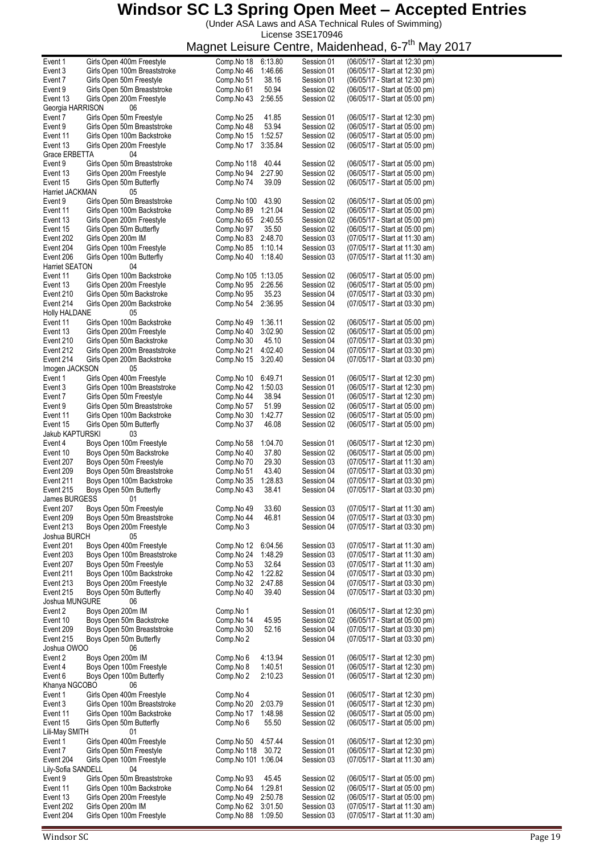(Under ASA Laws and ASA Technical Rules of Swimming) License 3SE170946

| Event 1               | Girls Open 400m Freestyle    | Comp.No 18<br>6:13.80 | Session 01 | (06/05/17 - Start at 12:30 pm) |
|-----------------------|------------------------------|-----------------------|------------|--------------------------------|
| Event 3               | Girls Open 100m Breaststroke | 1:46.66<br>Comp.No 46 | Session 01 | (06/05/17 - Start at 12:30 pm) |
| Event 7               | Girls Open 50m Freestyle     | 38.16<br>Comp.No 51   | Session 01 | (06/05/17 - Start at 12:30 pm) |
| Event 9               | Girls Open 50m Breaststroke  | Comp.No 61<br>50.94   | Session 02 | (06/05/17 - Start at 05:00 pm) |
|                       |                              |                       |            |                                |
| Event 13              | Girls Open 200m Freestyle    | Comp.No 43<br>2:56.55 | Session 02 | (06/05/17 - Start at 05:00 pm) |
| Georgia HARRISON      | 06                           |                       |            |                                |
| Event 7               | Girls Open 50m Freestyle     | 41.85<br>Comp.No 25   | Session 01 | (06/05/17 - Start at 12:30 pm) |
| Event 9               | Girls Open 50m Breaststroke  | Comp.No 48<br>53.94   | Session 02 | (06/05/17 - Start at 05:00 pm) |
|                       |                              |                       |            |                                |
| Event 11              | Girls Open 100m Backstroke   | 1:52.57<br>Comp.No 15 | Session 02 | (06/05/17 - Start at 05:00 pm) |
| Event 13              | Girls Open 200m Freestyle    | 3:35.84<br>Comp.No 17 | Session 02 | (06/05/17 - Start at 05:00 pm) |
| Grace ERBETTA         | 04                           |                       |            |                                |
|                       | Girls Open 50m Breaststroke  |                       |            |                                |
| Event 9               |                              | Comp.No 118<br>40.44  | Session 02 | (06/05/17 - Start at 05:00 pm) |
| Event 13              | Girls Open 200m Freestyle    | 2:27.90<br>Comp.No 94 | Session 02 | (06/05/17 - Start at 05:00 pm) |
| Event 15              | Girls Open 50m Butterfly     | Comp.No 74<br>39.09   | Session 02 | (06/05/17 - Start at 05:00 pm) |
| Harriet JACKMAN       | 05                           |                       |            |                                |
|                       |                              |                       |            |                                |
| Event 9               | Girls Open 50m Breaststroke  | Comp.No 100<br>43.90  | Session 02 | (06/05/17 - Start at 05:00 pm) |
| Event 11              | Girls Open 100m Backstroke   | Comp.No 89<br>1:21.04 | Session 02 | (06/05/17 - Start at 05:00 pm) |
| Event 13              | Girls Open 200m Freestyle    | Comp.No 65<br>2:40.55 | Session 02 | (06/05/17 - Start at 05:00 pm) |
|                       |                              |                       |            |                                |
| Event 15              | Girls Open 50m Butterfly     | Comp.No 97<br>35.50   | Session 02 | (06/05/17 - Start at 05:00 pm) |
| Event 202             | Girls Open 200m IM           | 2:48.70<br>Comp.No 83 | Session 03 | (07/05/17 - Start at 11:30 am) |
| Event 204             | Girls Open 100m Freestyle    | Comp.No 85<br>1:10.14 | Session 03 | (07/05/17 - Start at 11:30 am) |
|                       |                              | 1:18.40               |            |                                |
| Event 206             | Girls Open 100m Butterfly    | Comp.No 40            | Session 03 | (07/05/17 - Start at 11:30 am) |
| <b>Harriet SEATON</b> | 04                           |                       |            |                                |
| Event 11              | Girls Open 100m Backstroke   | Comp. No 105 1:13.05  | Session 02 | (06/05/17 - Start at 05:00 pm) |
| Event 13              | Girls Open 200m Freestyle    | 2:26.56<br>Comp.No 95 | Session 02 | (06/05/17 - Start at 05:00 pm) |
|                       |                              |                       |            |                                |
| Event 210             | Girls Open 50m Backstroke    | Comp.No 95<br>35.23   | Session 04 | (07/05/17 - Start at 03:30 pm) |
| Event 214             | Girls Open 200m Backstroke   | 2:36.95<br>Comp.No 54 | Session 04 | (07/05/17 - Start at 03:30 pm) |
| Holly HALDANE         | 05                           |                       |            |                                |
|                       |                              |                       |            |                                |
| Event 11              | Girls Open 100m Backstroke   | 1:36.11<br>Comp.No 49 | Session 02 | (06/05/17 - Start at 05:00 pm) |
| Event 13              | Girls Open 200m Freestyle    | Comp.No 40<br>3:02.90 | Session 02 | (06/05/17 - Start at 05:00 pm) |
| Event 210             | Girls Open 50m Backstroke    | Comp.No 30<br>45.10   | Session 04 | (07/05/17 - Start at 03:30 pm) |
| Event 212             |                              |                       | Session 04 |                                |
|                       | Girls Open 200m Breaststroke | Comp.No 21<br>4:02.40 |            | (07/05/17 - Start at 03:30 pm) |
| Event 214             | Girls Open 200m Backstroke   | 3:20.40<br>Comp.No 15 | Session 04 | (07/05/17 - Start at 03:30 pm) |
| Imogen JACKSON        | 05                           |                       |            |                                |
| Event 1               | Girls Open 400m Freestyle    | Comp.No 10<br>6:49.71 | Session 01 | (06/05/17 - Start at 12:30 pm) |
|                       |                              |                       |            |                                |
| Event 3               | Girls Open 100m Breaststroke | Comp.No 42<br>1:50.03 | Session 01 | (06/05/17 - Start at 12:30 pm) |
| Event 7               | Girls Open 50m Freestyle     | 38.94<br>Comp.No 44   | Session 01 | (06/05/17 - Start at 12:30 pm) |
| Event 9               | Girls Open 50m Breaststroke  | Comp.No 57<br>51.99   | Session 02 | (06/05/17 - Start at 05:00 pm) |
|                       |                              |                       |            |                                |
| Event 11              | Girls Open 100m Backstroke   | 1:42.77<br>Comp.No 30 | Session 02 | (06/05/17 - Start at 05:00 pm) |
| Event 15              | Girls Open 50m Butterfly     | Comp.No 37<br>46.08   | Session 02 | (06/05/17 - Start at 05:00 pm) |
| Jakub KAPTURSKI       | 03                           |                       |            |                                |
| Event 4               | Boys Open 100m Freestyle     | Comp.No 58<br>1:04.70 | Session 01 | (06/05/17 - Start at 12:30 pm) |
|                       |                              |                       |            |                                |
| Event 10              | Boys Open 50m Backstroke     | 37.80<br>Comp.No 40   | Session 02 | (06/05/17 - Start at 05:00 pm) |
| Event 207             | Boys Open 50m Freestyle      | 29.30<br>Comp.No 70   | Session 03 | (07/05/17 - Start at 11:30 am) |
| Event 209             | Boys Open 50m Breaststroke   | 43.40<br>Comp.No 51   | Session 04 | (07/05/17 - Start at 03:30 pm) |
|                       |                              |                       |            |                                |
| Event 211             | Boys Open 100m Backstroke    | 1:28.83<br>Comp.No 35 | Session 04 | (07/05/17 - Start at 03:30 pm) |
| Event 215             | Boys Open 50m Butterfly      | Comp.No 43<br>38.41   | Session 04 | (07/05/17 - Start at 03:30 pm) |
| James BURGESS         | 01                           |                       |            |                                |
|                       |                              |                       |            | (07/05/17 - Start at 11:30 am) |
| Event 207             | Boys Open 50m Freestyle      | Comp.No 49<br>33.60   | Session 03 |                                |
| Event 209             | Boys Open 50m Breaststroke   | Comp.No 44<br>46.81   | Session 04 | (07/05/17 - Start at 03:30 pm) |
| Event 213             | Boys Open 200m Freestyle     | Comp.No 3             | Session 04 | (07/05/17 - Start at 03:30 pm) |
| Joshua BURCH          | 05                           |                       |            |                                |
|                       |                              |                       |            |                                |
| Event 201             | Boys Open 400m Freestyle     | Comp.No 12<br>6:04.56 | Session 03 | (07/05/17 - Start at 11:30 am) |
| Event 203             | Boys Open 100m Breaststroke  | 1:48.29<br>Comp.No 24 | Session 03 | (07/05/17 - Start at 11:30 am) |
| Event 207             | Boys Open 50m Freestyle      | Comp.No 53<br>32.64   | Session 03 | (07/05/17 - Start at 11:30 am) |
|                       |                              |                       |            |                                |
| Event 211             | Boys Open 100m Backstroke    | Comp.No 42<br>1:22.82 | Session 04 | (07/05/17 - Start at 03:30 pm) |
| Event 213             | Boys Open 200m Freestyle     | 2:47.88<br>Comp.No 32 | Session 04 | (07/05/17 - Start at 03:30 pm) |
| Event 215             | Boys Open 50m Butterfly      | Comp.No 40<br>39.40   | Session 04 | (07/05/17 - Start at 03:30 pm) |
| Joshua MUNGURE        | 06                           |                       |            |                                |
|                       |                              |                       |            |                                |
| Event 2               | Boys Open 200m IM            | Comp.No 1             | Session 01 | (06/05/17 - Start at 12:30 pm) |
| Event 10              | Boys Open 50m Backstroke     | Comp.No 14<br>45.95   | Session 02 | (06/05/17 - Start at 05:00 pm) |
| Event 209             | Boys Open 50m Breaststroke   | 52.16<br>Comp.No 30   | Session 04 | (07/05/17 - Start at 03:30 pm) |
| Event 215             | Boys Open 50m Butterfly      | Comp.No 2             | Session 04 | (07/05/17 - Start at 03:30 pm) |
|                       |                              |                       |            |                                |
| Joshua OWOO           | 06                           |                       |            |                                |
| Event 2               | Boys Open 200m IM            | Comp.No 6<br>4:13.94  | Session 01 | (06/05/17 - Start at 12:30 pm) |
| Event 4               | Boys Open 100m Freestyle     | 1:40.51<br>Comp.No 8  | Session 01 | (06/05/17 - Start at 12:30 pm) |
|                       |                              |                       |            |                                |
| Event 6               | Boys Open 100m Butterfly     | Comp.No 2<br>2:10.23  | Session 01 | (06/05/17 - Start at 12:30 pm) |
| Khanya NGCOBO         | 06                           |                       |            |                                |
| Event 1               | Girls Open 400m Freestyle    | Comp.No 4             | Session 01 | (06/05/17 - Start at 12:30 pm) |
| Event 3               | Girls Open 100m Breaststroke | Comp.No 20<br>2:03.79 | Session 01 | (06/05/17 - Start at 12:30 pm) |
|                       |                              |                       |            |                                |
| Event 11              | Girls Open 100m Backstroke   | Comp.No 17<br>1:48.98 | Session 02 | (06/05/17 - Start at 05:00 pm) |
| Event 15              | Girls Open 50m Butterfly     | Comp.No 6<br>55.50    | Session 02 | (06/05/17 - Start at 05:00 pm) |
| Lili-May SMITH        | 01                           |                       |            |                                |
|                       |                              |                       |            |                                |
| Event 1               | Girls Open 400m Freestyle    | 4:57.44<br>Comp.No 50 | Session 01 | (06/05/17 - Start at 12:30 pm) |
| Event 7               | Girls Open 50m Freestyle     | Comp.No 118<br>30.72  | Session 01 | (06/05/17 - Start at 12:30 pm) |
| Event 204             | Girls Open 100m Freestyle    | Comp.No 101 1:06.04   | Session 03 | (07/05/17 - Start at 11:30 am) |
| Lily-Sofia SANDELL    | 04                           |                       |            |                                |
|                       |                              |                       |            |                                |
| Event 9               | Girls Open 50m Breaststroke  | Comp.No 93<br>45.45   | Session 02 | (06/05/17 - Start at 05:00 pm) |
| Event 11              | Girls Open 100m Backstroke   | Comp.No 64<br>1:29.81 | Session 02 | (06/05/17 - Start at 05:00 pm) |
| Event 13              | Girls Open 200m Freestyle    | Comp.No 49<br>2:50.78 | Session 02 | (06/05/17 - Start at 05:00 pm) |
|                       |                              |                       |            |                                |
| Event 202             | Girls Open 200m IM           | 3:01.50<br>Comp.No 62 | Session 03 | (07/05/17 - Start at 11:30 am) |
| Event 204             | Girls Open 100m Freestyle    | 1:09.50<br>Comp.No 88 | Session 03 | (07/05/17 - Start at 11:30 am) |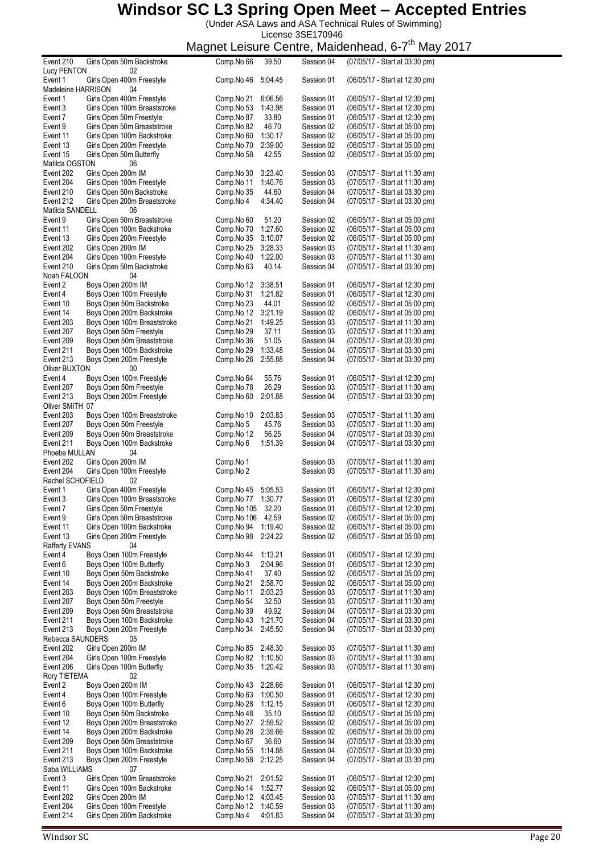(Under ASA Laws and ASA Technical Rules of Swimming)

License 3SE170946

| Event 210          | Girls Open 50m Backstroke    | Comp.No 66  | 39.50   | Session 04 | (07/05/17 - Start at 03:30 pm) |
|--------------------|------------------------------|-------------|---------|------------|--------------------------------|
| <b>Lucy PENTON</b> | 02                           |             |         |            |                                |
| Event 1            | Girls Open 400m Freestyle    | Comp.No 46  | 5:04.45 | Session 01 | (06/05/17 - Start at 12:30 pm) |
| Madeleine HARRISON | 04                           |             |         |            |                                |
|                    | Girls Open 400m Freestyle    |             |         |            |                                |
| Event 1            |                              | Comp.No 21  | 6:06.56 | Session 01 | (06/05/17 - Start at 12:30 pm) |
| Event 3            | Girls Open 100m Breaststroke | Comp.No 53  | 1:43.98 | Session 01 | (06/05/17 - Start at 12:30 pm) |
| Event 7            | Girls Open 50m Freestyle     | Comp.No 87  | 33.80   | Session 01 | (06/05/17 - Start at 12:30 pm) |
| Event 9            | Girls Open 50m Breaststroke  | Comp.No 82  | 46.70   | Session 02 | (06/05/17 - Start at 05:00 pm) |
| Event 11           | Girls Open 100m Backstroke   | Comp.No 60  | 1:30.17 | Session 02 | (06/05/17 - Start at 05:00 pm) |
| Event 13           | Girls Open 200m Freestyle    | Comp.No 70  | 2:39.00 | Session 02 | (06/05/17 - Start at 05:00 pm) |
|                    |                              |             |         |            |                                |
| Event 15           | Girls Open 50m Butterfly     | Comp.No 58  | 42.55   | Session 02 | (06/05/17 - Start at 05:00 pm) |
| Matilda OGSTON     | 06                           |             |         |            |                                |
| Event 202          | Girls Open 200m IM           | Comp.No 30  | 3:23.40 | Session 03 | (07/05/17 - Start at 11:30 am) |
| Event 204          | Girls Open 100m Freestyle    | Comp.No 11  | 1:40.76 | Session 03 | (07/05/17 - Start at 11:30 am) |
| Event 210          | Girls Open 50m Backstroke    | Comp.No 35  | 44.60   | Session 04 | (07/05/17 - Start at 03:30 pm) |
| Event 212          | Girls Open 200m Breaststroke | Comp.No 4   | 4:34.40 | Session 04 | (07/05/17 - Start at 03:30 pm) |
|                    |                              |             |         |            |                                |
| Matilda SANDELL    | 06                           |             |         |            |                                |
| Event 9            | Girls Open 50m Breaststroke  | Comp.No 60  | 51.20   | Session 02 | (06/05/17 - Start at 05:00 pm) |
| Event 11           | Girls Open 100m Backstroke   | Comp.No 70  | 1:27.60 | Session 02 | (06/05/17 - Start at 05:00 pm) |
| Event 13           | Girls Open 200m Freestyle    | Comp.No 35  | 3:10.07 | Session 02 | (06/05/17 - Start at 05:00 pm) |
| Event 202          | Girls Open 200m IM           | Comp.No 25  | 3:28.33 | Session 03 | (07/05/17 - Start at 11:30 am) |
|                    |                              |             |         |            |                                |
| Event 204          | Girls Open 100m Freestyle    | Comp.No 40  | 1:22.00 | Session 03 | (07/05/17 - Start at 11:30 am) |
| Event 210          | Girls Open 50m Backstroke    | Comp.No 63  | 40.14   | Session 04 | (07/05/17 - Start at 03:30 pm) |
| Noah FALOON        | 04                           |             |         |            |                                |
| Event 2            | Boys Open 200m IM            | Comp.No 12  | 3:38.51 | Session 01 | (06/05/17 - Start at 12:30 pm) |
| Event 4            | Boys Open 100m Freestyle     | Comp.No 31  | 1:21.82 | Session 01 | (06/05/17 - Start at 12:30 pm) |
| Event 10           | Boys Open 50m Backstroke     | Comp.No 23  | 44.01   | Session 02 | (06/05/17 - Start at 05:00 pm) |
|                    |                              |             |         |            |                                |
| Event 14           | Boys Open 200m Backstroke    | Comp.No 12  | 3:21.19 | Session 02 | (06/05/17 - Start at 05:00 pm) |
| Event 203          | Boys Open 100m Breaststroke  | Comp.No 21  | 1:49.25 | Session 03 | (07/05/17 - Start at 11:30 am) |
| Event 207          | Boys Open 50m Freestyle      | Comp.No 29  | 37.11   | Session 03 | (07/05/17 - Start at 11:30 am) |
| Event 209          | Boys Open 50m Breaststroke   | Comp.No 36  | 51.05   | Session 04 | (07/05/17 - Start at 03:30 pm) |
| Event 211          | Boys Open 100m Backstroke    | Comp.No 29  | 1:33.48 | Session 04 | (07/05/17 - Start at 03:30 pm) |
|                    |                              |             | 2:55.88 |            |                                |
| Event 213          | Boys Open 200m Freestyle     | Comp.No 26  |         | Session 04 | (07/05/17 - Start at 03:30 pm) |
| Oliver BUXTON      | 00                           |             |         |            |                                |
| Event 4            | Boys Open 100m Freestyle     | Comp.No 64  | 55.76   | Session 01 | (06/05/17 - Start at 12:30 pm) |
| Event 207          | Boys Open 50m Freestyle      | Comp.No 78  | 26.29   | Session 03 | (07/05/17 - Start at 11:30 am) |
| Event 213          | Boys Open 200m Freestyle     | Comp.No 60  | 2:01.88 | Session 04 | (07/05/17 - Start at 03:30 pm) |
| Oliver SMITH 07    |                              |             |         |            |                                |
|                    |                              |             |         |            |                                |
| Event 203          | Boys Open 100m Breaststroke  | Comp.No 10  | 2:03.83 | Session 03 | (07/05/17 - Start at 11:30 am) |
| Event 207          | Boys Open 50m Freestyle      | Comp.No 5   | 45.76   | Session 03 | (07/05/17 - Start at 11:30 am) |
| Event 209          | Boys Open 50m Breaststroke   | Comp.No 12  | 56.25   | Session 04 | (07/05/17 - Start at 03:30 pm) |
| Event 211          | Boys Open 100m Backstroke    | Comp.No 6   | 1:51.39 | Session 04 | (07/05/17 - Start at 03:30 pm) |
| Phoebe MULLAN      | 04                           |             |         |            |                                |
| Event 202          | Girls Open 200m IM           | Comp.No 1   |         | Session 03 | (07/05/17 - Start at 11:30 am) |
|                    |                              |             |         |            |                                |
| Event 204          | Girls Open 100m Freestyle    | Comp.No 2   |         | Session 03 | (07/05/17 - Start at 11:30 am) |
| Rachel SCHOFIELD   | 02                           |             |         |            |                                |
| Event 1            | Girls Open 400m Freestyle    | Comp.No 45  | 5:05.53 | Session 01 | (06/05/17 - Start at 12:30 pm) |
| Event 3            | Girls Open 100m Breaststroke | Comp.No 77  | 1:30.77 | Session 01 | (06/05/17 - Start at 12:30 pm) |
| Event 7            | Girls Open 50m Freestyle     | Comp.No 105 | 32.20   | Session 01 | (06/05/17 - Start at 12:30 pm) |
|                    |                              |             |         |            | (06/05/17 - Start at 05:00 pm) |
| Event 9            | Girls Open 50m Breaststroke  | Comp.No 106 | 42.59   | Session 02 |                                |
| Event 11           | Girls Open 100m Backstroke   | Comp.No 94  | 1:19.40 | Session 02 | (06/05/17 - Start at 05:00 pm) |
| Event 13           | Girls Open 200m Freestyle    | Comp.No 98  | 2:24.22 | Session 02 | (06/05/17 - Start at 05:00 pm) |
| Rafferty EVANS     | 04                           |             |         |            |                                |
| Event 4            | Boys Open 100m Freestyle     | Comp.No 44  | 1:13.21 | Session 01 | (06/05/17 - Start at 12:30 pm) |
| Event 6            | Boys Open 100m Butterfly     | Comp.No 3   | 2:04.96 | Session 01 | (06/05/17 - Start at 12:30 pm) |
|                    |                              |             |         |            |                                |
| Event 10           | Boys Open 50m Backstroke     | Comp.No 41  | 37.40   | Session 02 | (06/05/17 - Start at 05:00 pm) |
| Event 14           | Boys Open 200m Backstroke    | Comp.No 21  | 2:58.70 | Session 02 | (06/05/17 - Start at 05:00 pm) |
| Event 203          | Boys Open 100m Breaststroke  | Comp.No 11  | 2:03.23 | Session 03 | (07/05/17 - Start at 11:30 am) |
| Event 207          | Boys Open 50m Freestyle      | Comp.No 54  | 32.50   | Session 03 | (07/05/17 - Start at 11:30 am) |
| Event 209          | Boys Open 50m Breaststroke   | Comp.No 39  | 49.92   | Session 04 | (07/05/17 - Start at 03:30 pm) |
| Event 211          | Boys Open 100m Backstroke    | Comp.No 43  | 1:21.70 | Session 04 | (07/05/17 - Start at 03:30 pm) |
|                    |                              |             |         |            |                                |
| Event 213          | Boys Open 200m Freestyle     | Comp.No 34  | 2:45.50 | Session 04 | (07/05/17 - Start at 03:30 pm) |
| Rebecca SAUNDERS   | 05                           |             |         |            |                                |
| Event 202          | Girls Open 200m IM           | Comp.No 85  | 2:48.30 | Session 03 | (07/05/17 - Start at 11:30 am) |
| Event 204          | Girls Open 100m Freestyle    | Comp.No 82  | 1:10.50 | Session 03 | (07/05/17 - Start at 11:30 am) |
| Event 206          | Girls Open 100m Butterfly    | Comp.No 35  | 1:20.42 | Session 03 | (07/05/17 - Start at 11:30 am) |
| Rory TIETEMA       | 02                           |             |         |            |                                |
|                    | Boys Open 200m IM            |             |         |            |                                |
| Event 2            |                              | Comp.No 43  | 2:28.66 | Session 01 | (06/05/17 - Start at 12:30 pm) |
| Event 4            | Boys Open 100m Freestyle     | Comp.No 63  | 1:00.50 | Session 01 | (06/05/17 - Start at 12:30 pm) |
| Event 6            | Boys Open 100m Butterfly     | Comp.No 28  | 1:12.15 | Session 01 | (06/05/17 - Start at 12:30 pm) |
| Event 10           | Boys Open 50m Backstroke     | Comp.No 48  | 35.10   | Session 02 | (06/05/17 - Start at 05:00 pm) |
| Event 12           | Boys Open 200m Breaststroke  | Comp.No 27  | 2:59.52 | Session 02 | (06/05/17 - Start at 05:00 pm) |
| Event 14           | Boys Open 200m Backstroke    | Comp.No 28  | 2:39.66 | Session 02 | (06/05/17 - Start at 05:00 pm) |
|                    |                              |             |         |            |                                |
| Event 209          | Boys Open 50m Breaststroke   | Comp.No 67  | 36.60   | Session 04 | (07/05/17 - Start at 03:30 pm) |
| Event 211          | Boys Open 100m Backstroke    | Comp.No 55  | 1:14.88 | Session 04 | (07/05/17 - Start at 03:30 pm) |
| Event 213          | Boys Open 200m Freestyle     | Comp.No 58  | 2:12.25 | Session 04 | (07/05/17 - Start at 03:30 pm) |
| Saba WILLIAMS      | 07                           |             |         |            |                                |
| Event 3            | Girls Open 100m Breaststroke | Comp.No 21  | 2:01.52 | Session 01 | (06/05/17 - Start at 12:30 pm) |
|                    | Girls Open 100m Backstroke   | Comp.No 14  | 1:52.77 | Session 02 | (06/05/17 - Start at 05:00 pm) |
| Event 11           |                              |             |         |            |                                |
| Event 202          | Girls Open 200m IM           | Comp.No 12  | 4:03.45 | Session 03 | (07/05/17 - Start at 11:30 am) |
| Event 204          | Girls Open 100m Freestyle    | Comp.No 12  | 1:40.59 | Session 03 | (07/05/17 - Start at 11:30 am) |
| Event 214          | Girls Open 200m Backstroke   | Comp.No 4   | 4:01.83 | Session 04 | (07/05/17 - Start at 03:30 pm) |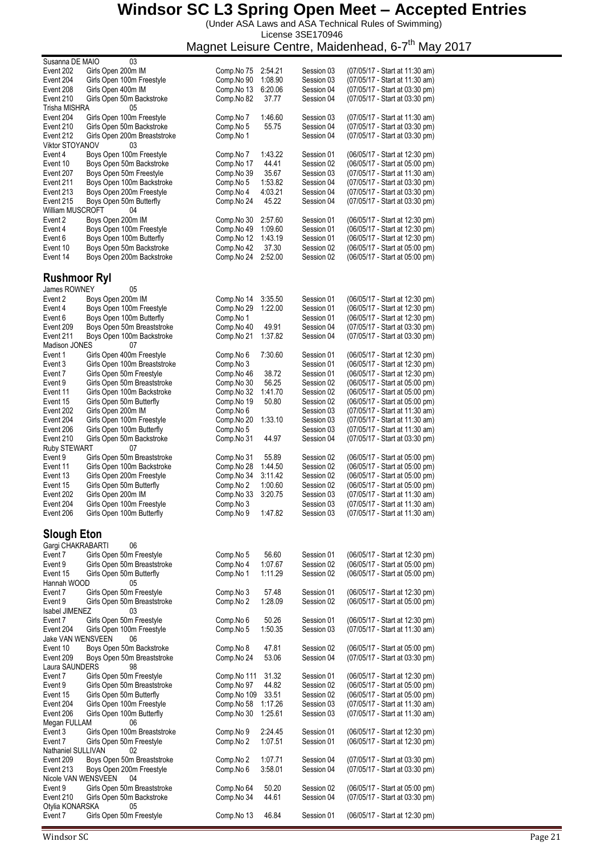(Under ASA Laws and ASA Technical Rules of Swimming) License 3SE170946

| Susanna DE MAIO     | 03                           |             |         |            |                                |
|---------------------|------------------------------|-------------|---------|------------|--------------------------------|
| Event 202           | Girls Open 200m IM           | Comp.No 75  | 2:54.21 | Session 03 | (07/05/17 - Start at 11:30 am) |
| Event 204           | Girls Open 100m Freestyle    | Comp.No 90  | 1:08.90 | Session 03 | (07/05/17 - Start at 11:30 am) |
| Event 208           | Girls Open 400m IM           | Comp.No 13  | 6:20.06 | Session 04 | (07/05/17 - Start at 03:30 pm) |
| Event 210           | Girls Open 50m Backstroke    | Comp.No 82  | 37.77   | Session 04 | (07/05/17 - Start at 03:30 pm) |
| Trisha MISHRA       | 05                           |             |         |            |                                |
| Event 204           | Girls Open 100m Freestyle    | Comp.No 7   | 1:46.60 | Session 03 | (07/05/17 - Start at 11:30 am) |
| Event 210           | Girls Open 50m Backstroke    | Comp.No 5   | 55.75   | Session 04 | (07/05/17 - Start at 03:30 pm) |
| Event 212           | Girls Open 200m Breaststroke | Comp.No 1   |         | Session 04 | (07/05/17 - Start at 03:30 pm) |
| Viktor STOYANOV     | 03                           |             |         |            |                                |
| Event 4             | Boys Open 100m Freestyle     | Comp.No 7   | 1:43.22 | Session 01 | (06/05/17 - Start at 12:30 pm) |
| Event 10            | Boys Open 50m Backstroke     | Comp.No 17  | 44.41   | Session 02 | (06/05/17 - Start at 05:00 pm) |
| Event 207           | Boys Open 50m Freestyle      | Comp.No 39  | 35.67   | Session 03 | (07/05/17 - Start at 11:30 am) |
| Event 211           | Boys Open 100m Backstroke    | Comp.No 5   | 1:53.82 | Session 04 | (07/05/17 - Start at 03:30 pm) |
| Event 213           | Boys Open 200m Freestyle     | Comp.No 4   | 4:03.21 | Session 04 | (07/05/17 - Start at 03:30 pm) |
| Event 215           | Boys Open 50m Butterfly      | Comp.No 24  | 45.22   | Session 04 | (07/05/17 - Start at 03:30 pm) |
| William MUSCROFT    | 04                           |             |         |            |                                |
| Event 2             | Boys Open 200m IM            | Comp.No 30  | 2:57.60 | Session 01 | (06/05/17 - Start at 12:30 pm) |
| Event 4             | Boys Open 100m Freestyle     | Comp.No 49  | 1:09.60 | Session 01 | (06/05/17 - Start at 12:30 pm) |
| Event 6             | Boys Open 100m Butterfly     | Comp.No 12  | 1:43.19 | Session 01 | (06/05/17 - Start at 12:30 pm) |
|                     | Boys Open 50m Backstroke     |             |         |            |                                |
| Event 10            |                              | Comp.No 42  | 37.30   | Session 02 | (06/05/17 - Start at 05:00 pm) |
| Event 14            | Boys Open 200m Backstroke    | Comp.No 24  | 2:52.00 | Session 02 | (06/05/17 - Start at 05:00 pm) |
|                     |                              |             |         |            |                                |
| <b>Rushmoor Ryl</b> |                              |             |         |            |                                |
| <b>James ROWNEY</b> | 05                           |             |         |            |                                |
| Event 2             | Boys Open 200m IM            | Comp.No 14  | 3:35.50 | Session 01 | (06/05/17 - Start at 12:30 pm) |
| Event 4             | Boys Open 100m Freestyle     | Comp.No 29  | 1:22.00 | Session 01 | (06/05/17 - Start at 12:30 pm) |
| Event 6             | Boys Open 100m Butterfly     | Comp.No 1   |         | Session 01 | (06/05/17 - Start at 12:30 pm) |
| Event 209           | Boys Open 50m Breaststroke   | Comp.No 40  | 49.91   | Session 04 | (07/05/17 - Start at 03:30 pm) |
| Event 211           | Boys Open 100m Backstroke    | Comp.No 21  | 1:37.82 | Session 04 | (07/05/17 - Start at 03:30 pm) |
| Madison JONES       | 07                           |             |         |            |                                |
| Event 1             | Girls Open 400m Freestyle    | Comp.No 6   | 7:30.60 | Session 01 | (06/05/17 - Start at 12:30 pm) |
|                     |                              |             |         | Session 01 |                                |
| Event 3             | Girls Open 100m Breaststroke | Comp.No 3   |         |            | (06/05/17 - Start at 12:30 pm) |
| Event 7             | Girls Open 50m Freestyle     | Comp.No 46  | 38.72   | Session 01 | (06/05/17 - Start at 12:30 pm) |
| Event 9             | Girls Open 50m Breaststroke  | Comp.No 30  | 56.25   | Session 02 | (06/05/17 - Start at 05:00 pm) |
| Event 11            | Girls Open 100m Backstroke   | Comp.No 32  | 1:41.70 | Session 02 | (06/05/17 - Start at 05:00 pm) |
| Event 15            | Girls Open 50m Butterfly     | Comp.No 19  | 50.80   | Session 02 | (06/05/17 - Start at 05:00 pm) |
| Event 202           | Girls Open 200m IM           | Comp.No 6   |         | Session 03 | (07/05/17 - Start at 11:30 am) |
| Event 204           | Girls Open 100m Freestyle    | Comp.No 20  | 1:33.10 | Session 03 | (07/05/17 - Start at 11:30 am) |
| Event 206           | Girls Open 100m Butterfly    | Comp.No 5   |         | Session 03 | (07/05/17 - Start at 11:30 am) |
| Event 210           | Girls Open 50m Backstroke    | Comp.No 31  | 44.97   | Session 04 | (07/05/17 - Start at 03:30 pm) |
| <b>Ruby STEWART</b> | 07                           |             |         |            |                                |
| Event 9             | Girls Open 50m Breaststroke  | Comp.No 31  | 55.89   | Session 02 | (06/05/17 - Start at 05:00 pm) |
| Event 11            | Girls Open 100m Backstroke   | Comp.No 28  | 1:44.50 | Session 02 | (06/05/17 - Start at 05:00 pm) |
| Event 13            | Girls Open 200m Freestyle    | Comp.No 34  | 3:11.42 | Session 02 | (06/05/17 - Start at 05:00 pm) |
| Event 15            | Girls Open 50m Butterfly     | Comp.No 2   | 1:00.60 | Session 02 | (06/05/17 - Start at 05:00 pm) |
| Event 202           | Girls Open 200m IM           | Comp.No 33  | 3:20.75 | Session 03 | (07/05/17 - Start at 11:30 am) |
| Event 204           |                              |             |         | Session 03 | (07/05/17 - Start at 11:30 am) |
|                     | Girls Open 100m Freestyle    | Comp.No 3   | 1:47.82 |            |                                |
| Event 206           | Girls Open 100m Butterfly    | Comp.No 9   |         | Session 03 | (07/05/17 - Start at 11:30 am) |
|                     |                              |             |         |            |                                |
| <b>Slough Eton</b>  |                              |             |         |            |                                |
| Gargi CHAKRABARTI   | 06                           |             |         |            |                                |
| Event 7             | Girls Open 50m Freestyle     | Comp.No 5   | 56.60   | Session 01 | (06/05/17 - Start at 12:30 pm) |
| Event 9             | Girls Open 50m Breaststroke  | Comp.No 4   | 1:07.67 | Session 02 | (06/05/17 - Start at 05:00 pm) |
| Event 15            | Girls Open 50m Butterfly     | Comp.No 1   | 1:11.29 | Session 02 | (06/05/17 - Start at 05:00 pm) |
| Hannah WOOD         | 05                           |             |         |            |                                |
| Event 7             | Girls Open 50m Freestyle     | Comp.No 3   | 57.48   | Session 01 | (06/05/17 - Start at 12:30 pm) |
| Event 9             | Girls Open 50m Breaststroke  | Comp.No 2   | 1:28.09 | Session 02 | (06/05/17 - Start at 05:00 pm) |
| Isabel JIMENEZ      | 03                           |             |         |            |                                |
| Event 7             | Girls Open 50m Freestyle     | Comp.No 6   | 50.26   | Session 01 | (06/05/17 - Start at 12:30 pm) |
| Event 204           | Girls Open 100m Freestyle    | Comp.No 5   | 1:50.35 | Session 03 | (07/05/17 - Start at 11:30 am) |
| Jake VAN WENSVEEN   | 06                           |             |         |            |                                |
| Event 10            | Boys Open 50m Backstroke     | Comp.No 8   | 47.81   | Session 02 | (06/05/17 - Start at 05:00 pm) |
| Event 209           | Boys Open 50m Breaststroke   | Comp.No 24  | 53.06   | Session 04 | (07/05/17 - Start at 03:30 pm) |
| Laura SAUNDERS      | 98                           |             |         |            |                                |
| Event 7             | Girls Open 50m Freestyle     | Comp.No 111 | 31.32   | Session 01 | (06/05/17 - Start at 12:30 pm) |
| Event 9             | Girls Open 50m Breaststroke  | Comp.No 97  | 44.82   | Session 02 | (06/05/17 - Start at 05:00 pm) |
| Event 15            | Girls Open 50m Butterfly     | Comp.No 109 | 33.51   | Session 02 | (06/05/17 - Start at 05:00 pm) |
|                     |                              |             |         |            |                                |
| Event 204           | Girls Open 100m Freestyle    | Comp.No 58  | 1:17.26 | Session 03 | (07/05/17 - Start at 11:30 am) |
| Event 206           | Girls Open 100m Butterfly    | Comp.No 30  | 1:25.61 | Session 03 | (07/05/17 - Start at 11:30 am) |
| Megan FULLAM        | 06                           |             |         |            |                                |
| Event 3             | Girls Open 100m Breaststroke | Comp.No 9   | 2:24.45 | Session 01 | (06/05/17 - Start at 12:30 pm) |
| Event 7             | Girls Open 50m Freestyle     | Comp.No 2   | 1:07.51 | Session 01 | (06/05/17 - Start at 12:30 pm) |
| Nathaniel SULLIVAN  | 02                           |             |         |            |                                |
| Event 209           | Boys Open 50m Breaststroke   | Comp.No 2   | 1:07.71 | Session 04 | (07/05/17 - Start at 03:30 pm) |
| Event 213           | Boys Open 200m Freestyle     | Comp.No 6   | 3:58.01 | Session 04 | (07/05/17 - Start at 03:30 pm) |
| Nicole VAN WENSVEEN | 04                           |             |         |            |                                |
| Event 9             | Girls Open 50m Breaststroke  | Comp.No 64  | 50.20   | Session 02 | (06/05/17 - Start at 05:00 pm) |
| Event 210           | Girls Open 50m Backstroke    | Comp.No 34  | 44.61   | Session 04 | (07/05/17 - Start at 03:30 pm) |
| Otylia KONARSKA     | 05                           |             |         |            |                                |
| Event 7             | Girls Open 50m Freestyle     | Comp.No 13  | 46.84   | Session 01 | (06/05/17 - Start at 12:30 pm) |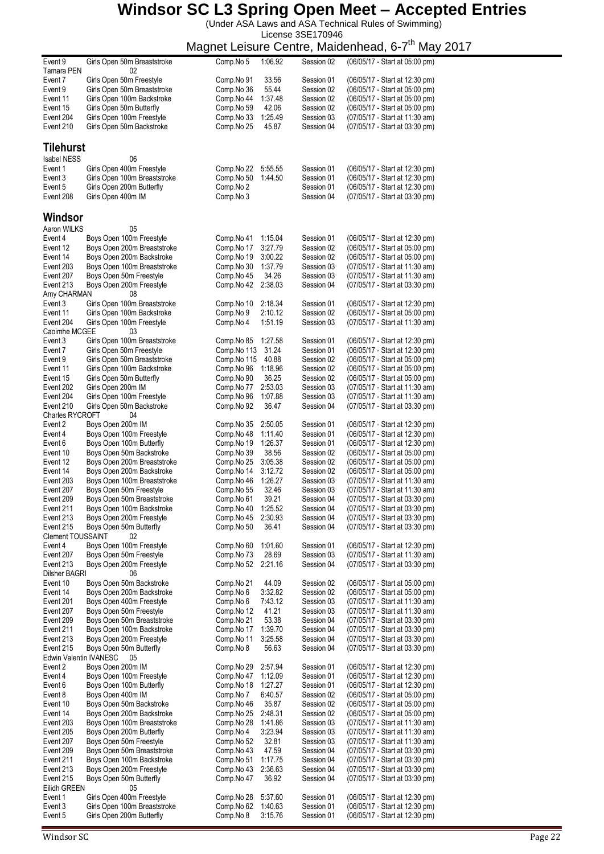(Under ASA Laws and ASA Technical Rules of Swimming) License 3SE170946

|                               |                                                          | magnot Loisuro Oomro,    |                    |                          | $m$ ando $m$<br>ivici y                                          |
|-------------------------------|----------------------------------------------------------|--------------------------|--------------------|--------------------------|------------------------------------------------------------------|
| Event 9<br>Tamara PEN         | Girls Open 50m Breaststroke<br>02                        | Comp.No 5                | 1:06.92            | Session 02               | (06/05/17 - Start at 05:00 pm)                                   |
| Event 7                       | Girls Open 50m Freestyle                                 | Comp.No 91               | 33.56              | Session 01               | (06/05/17 - Start at 12:30 pm)                                   |
| Event 9                       | Girls Open 50m Breaststroke                              | Comp.No 36               | 55.44              | Session 02               | (06/05/17 - Start at 05:00 pm)                                   |
| Event 11                      | Girls Open 100m Backstroke                               | Comp.No 44               | 1:37.48            | Session 02               | (06/05/17 - Start at 05:00 pm)                                   |
| Event 15                      | Girls Open 50m Butterfly                                 | Comp.No 59               | 42.06              | Session 02               | (06/05/17 - Start at 05:00 pm)                                   |
| Event 204                     | Girls Open 100m Freestyle                                | Comp.No 33               | 1:25.49            | Session 03               | (07/05/17 - Start at 11:30 am)                                   |
| Event 210                     | Girls Open 50m Backstroke                                | Comp.No 25               | 45.87              | Session 04               | (07/05/17 - Start at 03:30 pm)                                   |
| <b>Tilehurst</b>              |                                                          |                          |                    |                          |                                                                  |
| <b>Isabel NESS</b><br>Event 1 | 06<br>Girls Open 400m Freestyle                          | Comp.No 22               | 5:55.55            | Session 01               | (06/05/17 - Start at 12:30 pm)                                   |
| Event 3                       | Girls Open 100m Breaststroke                             | Comp.No 50               | 1:44.50            | Session 01               | (06/05/17 - Start at 12:30 pm)                                   |
| Event 5                       | Girls Open 200m Butterfly                                | Comp.No 2                |                    | Session 01               | (06/05/17 - Start at 12:30 pm)                                   |
| Event 208                     | Girls Open 400m IM                                       | Comp.No 3                |                    | Session 04               | (07/05/17 - Start at 03:30 pm)                                   |
| Windsor                       |                                                          |                          |                    |                          |                                                                  |
| Aaron WILKS                   | 05                                                       |                          |                    |                          |                                                                  |
| Event 4                       | Boys Open 100m Freestyle                                 | Comp.No 41               | 1:15.04            | Session 01               | (06/05/17 - Start at 12:30 pm)                                   |
| Event 12                      | Boys Open 200m Breaststroke                              | Comp.No 17               | 3:27.79            | Session 02               | (06/05/17 - Start at 05:00 pm)                                   |
| Event 14<br>Event 203         | Boys Open 200m Backstroke<br>Boys Open 100m Breaststroke | Comp.No 19<br>Comp.No 30 | 3:00.22<br>1:37.79 | Session 02<br>Session 03 | (06/05/17 - Start at 05:00 pm)<br>(07/05/17 - Start at 11:30 am) |
| Event 207                     | Boys Open 50m Freestyle                                  | Comp.No 45               | 34.26              | Session 03               | (07/05/17 - Start at 11:30 am)                                   |
| Event 213                     | Boys Open 200m Freestyle                                 | Comp.No 42               | 2:38.03            | Session 04               | (07/05/17 - Start at 03:30 pm)                                   |
| Amy CHARMAN                   | 08                                                       |                          |                    |                          |                                                                  |
| Event 3                       | Girls Open 100m Breaststroke                             | Comp.No 10               | 2:18.34            | Session 01               | (06/05/17 - Start at 12:30 pm)                                   |
| Event 11                      | Girls Open 100m Backstroke                               | Comp.No 9                | 2:10.12            | Session 02               | (06/05/17 - Start at 05:00 pm)                                   |
| Event 204<br>Caoimhe MCGEE    | Girls Open 100m Freestyle<br>03                          | Comp.No 4                | 1:51.19            | Session 03               | (07/05/17 - Start at 11:30 am)                                   |
| Event 3                       | Girls Open 100m Breaststroke                             | Comp.No 85               | 1:27.58            | Session 01               | (06/05/17 - Start at 12:30 pm)                                   |
| Event 7                       | Girls Open 50m Freestyle                                 | Comp.No 113              | 31.24              | Session 01               | (06/05/17 - Start at 12:30 pm)                                   |
| Event 9                       | Girls Open 50m Breaststroke                              | Comp.No 115              | 40.88              | Session 02               | (06/05/17 - Start at 05:00 pm)                                   |
| Event 11                      | Girls Open 100m Backstroke                               | Comp.No 96               | 1:18.96            | Session 02               | (06/05/17 - Start at 05:00 pm)                                   |
| Event 15                      | Girls Open 50m Butterfly                                 | Comp.No 90               | 36.25              | Session 02               | (06/05/17 - Start at 05:00 pm)                                   |
| Event 202<br>Event 204        | Girls Open 200m IM<br>Girls Open 100m Freestyle          | Comp.No 77<br>Comp.No 96 | 2:53.03<br>1:07.88 | Session 03<br>Session 03 | (07/05/17 - Start at 11:30 am)<br>(07/05/17 - Start at 11:30 am) |
| Event 210                     | Girls Open 50m Backstroke                                | Comp.No 92               | 36.47              | Session 04               | (07/05/17 - Start at 03:30 pm)                                   |
| <b>Charles RYCROFT</b>        | 04                                                       |                          |                    |                          |                                                                  |
| Event 2                       | Boys Open 200m IM                                        | Comp.No 35               | 2:50.05            | Session 01               | (06/05/17 - Start at 12:30 pm)                                   |
| Event 4                       | Boys Open 100m Freestyle                                 | Comp.No 48               | 1:11.40            | Session 01               | (06/05/17 - Start at 12:30 pm)                                   |
| Event 6                       | Boys Open 100m Butterfly                                 | Comp.No 19               | 1:26.37            | Session 01               | (06/05/17 - Start at 12:30 pm)                                   |
| Event 10<br>Event 12          | Boys Open 50m Backstroke<br>Boys Open 200m Breaststroke  | Comp.No 39<br>Comp.No 25 | 38.56<br>3:05.38   | Session 02<br>Session 02 | (06/05/17 - Start at 05:00 pm)<br>(06/05/17 - Start at 05:00 pm) |
| Event 14                      | Boys Open 200m Backstroke                                | Comp.No 14               | 3:12.72            | Session 02               | (06/05/17 - Start at 05:00 pm)                                   |
| Event 203                     | Boys Open 100m Breaststroke                              | Comp.No 46               | 1:26.27            | Session 03               | (07/05/17 - Start at 11:30 am)                                   |
| Event 207                     | Boys Open 50m Freestyle                                  | Comp.No 55               | 32.46              | Session 03               | (07/05/17 - Start at 11:30 am)                                   |
| Event 209                     | Boys Open 50m Breaststroke                               | Comp.No 61               | 39.21              | Session 04               | (07/05/17 - Start at 03:30 pm)                                   |
| Event 211                     | Boys Open 100m Backstroke                                | Comp.No 40               | 1:25.52<br>2:30.93 | Session 04<br>Session 04 | (07/05/17 - Start at 03:30 pm)                                   |
| Event 213<br>Event 215        | Boys Open 200m Freestyle<br>Boys Open 50m Butterfly      | Comp.No 45<br>Comp.No 50 | 36.41              | Session 04               | (07/05/17 - Start at 03:30 pm)<br>(07/05/17 - Start at 03:30 pm) |
| Clement TOUSSAINT             | 02                                                       |                          |                    |                          |                                                                  |
| Event 4                       | Boys Open 100m Freestyle                                 | Comp.No 60               | 1:01.60            | Session 01               | (06/05/17 - Start at 12:30 pm)                                   |
| Event 207                     | Boys Open 50m Freestyle                                  | Comp.No 73               | 28.69              | Session 03               | (07/05/17 - Start at 11:30 am)                                   |
| Event 213                     | Boys Open 200m Freestyle                                 | Comp.No 52               | 2:21.16            | Session 04               | (07/05/17 - Start at 03:30 pm)                                   |
| Dilsher BAGRI<br>Event 10     | 06<br>Boys Open 50m Backstroke                           | Comp.No 21               | 44.09              | Session 02               | (06/05/17 - Start at 05:00 pm)                                   |
| Event 14                      | Boys Open 200m Backstroke                                | Comp.No 6                | 3:32.82            | Session 02               | (06/05/17 - Start at 05:00 pm)                                   |
| Event 201                     | Boys Open 400m Freestyle                                 | Comp.No 6                | 7:43.12            | Session 03               | (07/05/17 - Start at 11:30 am)                                   |
| Event 207                     | Boys Open 50m Freestyle                                  | Comp.No 12               | 41.21              | Session 03               | (07/05/17 - Start at 11:30 am)                                   |
| Event 209                     | Boys Open 50m Breaststroke                               | Comp.No 21               | 53.38              | Session 04               | (07/05/17 - Start at 03:30 pm)                                   |
| Event 211                     | Boys Open 100m Backstroke                                | Comp.No 17               | 1:39.70            | Session 04               | (07/05/17 - Start at 03:30 pm)                                   |
| Event 213<br>Event 215        | Boys Open 200m Freestyle<br>Boys Open 50m Butterfly      | Comp.No 11<br>Comp.No 8  | 3:25.58<br>56.63   | Session 04<br>Session 04 | (07/05/17 - Start at 03:30 pm)<br>(07/05/17 - Start at 03:30 pm) |
| Edwin Valentin IVANESC        | 05                                                       |                          |                    |                          |                                                                  |
| Event 2                       | Boys Open 200m IM                                        | Comp.No 29               | 2:57.94            | Session 01               | (06/05/17 - Start at 12:30 pm)                                   |
| Event 4                       | Boys Open 100m Freestyle                                 | Comp.No 47               | 1:12.09            | Session 01               | (06/05/17 - Start at 12:30 pm)                                   |
| Event 6                       | Boys Open 100m Butterfly                                 | Comp.No 18               | 1:27.27            | Session 01               | (06/05/17 - Start at 12:30 pm)                                   |
| Event 8<br>Event 10           | Boys Open 400m IM<br>Boys Open 50m Backstroke            | Comp.No 7<br>Comp.No 46  | 6:40.57<br>35.87   | Session 02<br>Session 02 | (06/05/17 - Start at 05:00 pm)<br>(06/05/17 - Start at 05:00 pm) |
| Event 14                      | Boys Open 200m Backstroke                                | Comp.No 25               | 2:48.31            | Session 02               | (06/05/17 - Start at 05:00 pm)                                   |
| Event 203                     | Boys Open 100m Breaststroke                              | Comp.No 28               | 1:41.86            | Session 03               | (07/05/17 - Start at 11:30 am)                                   |
| Event 205                     | Boys Open 200m Butterfly                                 | Comp.No 4                | 3:23.94            | Session 03               | (07/05/17 - Start at 11:30 am)                                   |
| Event 207                     | Boys Open 50m Freestyle                                  | Comp.No 52               | 32.81              | Session 03               | (07/05/17 - Start at 11:30 am)                                   |
| Event 209                     | Boys Open 50m Breaststroke                               | Comp.No 43               | 47.59              | Session 04               | (07/05/17 - Start at 03:30 pm)                                   |
| Event 211<br>Event 213        | Boys Open 100m Backstroke<br>Boys Open 200m Freestyle    | Comp.No 51<br>Comp.No 43 | 1:17.75<br>2:36.63 | Session 04<br>Session 04 | (07/05/17 - Start at 03:30 pm)<br>(07/05/17 - Start at 03:30 pm) |
| Event 215                     | Boys Open 50m Butterfly                                  | Comp.No 47               | 36.92              | Session 04               | (07/05/17 - Start at 03:30 pm)                                   |
| Eilidh GREEN                  | 05                                                       |                          |                    |                          |                                                                  |
| Event 1                       | Girls Open 400m Freestyle                                | Comp.No 28               | 5:37.60            | Session 01               | (06/05/17 - Start at 12:30 pm)                                   |
| Event 3                       | Girls Open 100m Breaststroke                             | Comp.No 62               | 1:40.63            | Session 01               | (06/05/17 - Start at 12:30 pm)                                   |
| Event 5                       | Girls Open 200m Butterfly                                | Comp.No 8                | 3:15.76            | Session 01               | (06/05/17 - Start at 12:30 pm)                                   |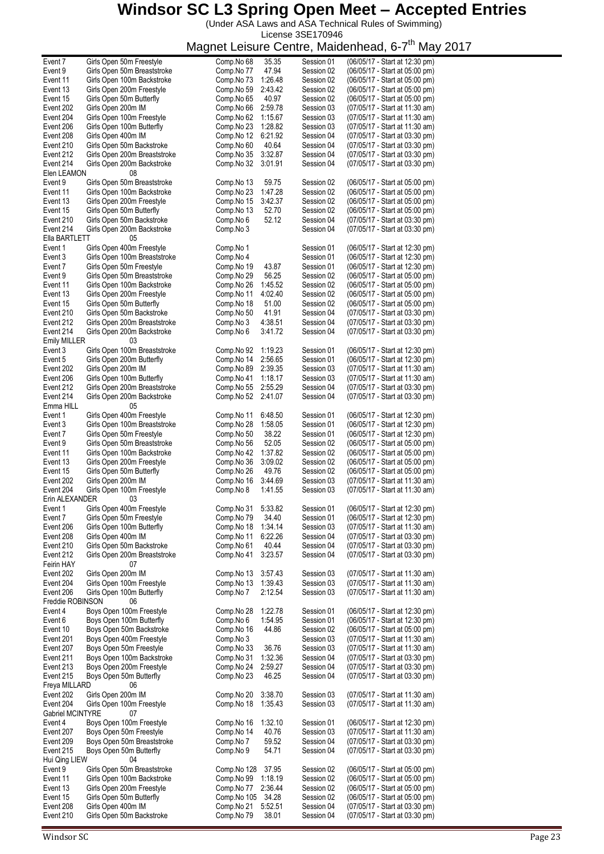(Under ASA Laws and ASA Technical Rules of Swimming) License 3SE170946

| Event 7                 | Girls Open 50m Freestyle     | Comp.No 68  | 35.35   | Session 01 | (06/05/17 - Start at 12:30 pm) |
|-------------------------|------------------------------|-------------|---------|------------|--------------------------------|
| Event 9                 | Girls Open 50m Breaststroke  | Comp.No 77  | 47.94   | Session 02 | (06/05/17 - Start at 05:00 pm) |
| Event 11                | Girls Open 100m Backstroke   | Comp.No 73  | 1:26.48 | Session 02 | (06/05/17 - Start at 05:00 pm) |
|                         |                              |             |         |            |                                |
| Event 13                | Girls Open 200m Freestyle    | Comp.No 59  | 2:43.42 | Session 02 | (06/05/17 - Start at 05:00 pm) |
| Event 15                | Girls Open 50m Butterfly     | Comp.No 65  | 40.97   | Session 02 | (06/05/17 - Start at 05:00 pm) |
| Event 202               | Girls Open 200m IM           | Comp.No 66  | 2:59.78 | Session 03 | (07/05/17 - Start at 11:30 am) |
|                         |                              |             |         |            |                                |
| Event 204               | Girls Open 100m Freestyle    | Comp.No 62  | 1:15.67 | Session 03 | (07/05/17 - Start at 11:30 am) |
| Event 206               | Girls Open 100m Butterfly    | Comp.No 23  | 1:28.82 | Session 03 | (07/05/17 - Start at 11:30 am) |
| Event 208               | Girls Open 400m IM           | Comp.No 12  | 6:21.92 | Session 04 | (07/05/17 - Start at 03:30 pm) |
|                         |                              |             |         |            |                                |
| Event 210               | Girls Open 50m Backstroke    | Comp.No 60  | 40.64   | Session 04 | (07/05/17 - Start at 03:30 pm) |
| Event 212               | Girls Open 200m Breaststroke | Comp.No 35  | 3:32.87 | Session 04 | (07/05/17 - Start at 03:30 pm) |
| Event 214               | Girls Open 200m Backstroke   | Comp.No 32  | 3:01.91 | Session 04 | (07/05/17 - Start at 03:30 pm) |
|                         |                              |             |         |            |                                |
| Elen LEAMON             | 08                           |             |         |            |                                |
| Event 9                 | Girls Open 50m Breaststroke  | Comp.No 13  | 59.75   | Session 02 | (06/05/17 - Start at 05:00 pm) |
| Event 11                | Girls Open 100m Backstroke   | Comp.No 23  | 1:47.28 | Session 02 | (06/05/17 - Start at 05:00 pm) |
|                         |                              |             |         |            |                                |
| Event 13                | Girls Open 200m Freestyle    | Comp.No 15  | 3:42.37 | Session 02 | (06/05/17 - Start at 05:00 pm) |
| Event 15                | Girls Open 50m Butterfly     | Comp.No 13  | 52.70   | Session 02 | (06/05/17 - Start at 05:00 pm) |
| Event 210               | Girls Open 50m Backstroke    | Comp.No 6   | 52.12   | Session 04 | (07/05/17 - Start at 03:30 pm) |
|                         |                              |             |         |            |                                |
| Event 214               | Girls Open 200m Backstroke   | Comp.No 3   |         | Session 04 | (07/05/17 - Start at 03:30 pm) |
| Ella BARTLETT           | 05                           |             |         |            |                                |
| Event 1                 | Girls Open 400m Freestyle    | Comp.No 1   |         | Session 01 | (06/05/17 - Start at 12:30 pm) |
|                         |                              |             |         |            |                                |
| Event 3                 | Girls Open 100m Breaststroke | Comp.No 4   |         | Session 01 | (06/05/17 - Start at 12:30 pm) |
| Event 7                 | Girls Open 50m Freestyle     | Comp.No 19  | 43.87   | Session 01 | (06/05/17 - Start at 12:30 pm) |
| Event 9                 | Girls Open 50m Breaststroke  | Comp.No 29  | 56.25   | Session 02 | (06/05/17 - Start at 05:00 pm) |
|                         |                              |             |         |            |                                |
| Event 11                | Girls Open 100m Backstroke   | Comp.No 26  | 1:45.52 | Session 02 | (06/05/17 - Start at 05:00 pm) |
| Event 13                | Girls Open 200m Freestyle    | Comp.No 11  | 4:02.40 | Session 02 | (06/05/17 - Start at 05:00 pm) |
| Event 15                | Girls Open 50m Butterfly     | Comp.No 18  | 51.00   | Session 02 | (06/05/17 - Start at 05:00 pm) |
|                         |                              |             |         |            |                                |
| Event 210               | Girls Open 50m Backstroke    | Comp.No 50  | 41.91   | Session 04 | (07/05/17 - Start at 03:30 pm) |
| Event 212               | Girls Open 200m Breaststroke | Comp.No 3   | 4:38.51 | Session 04 | (07/05/17 - Start at 03:30 pm) |
| Event 214               | Girls Open 200m Backstroke   | Comp.No 6   | 3:41.72 | Session 04 | (07/05/17 - Start at 03:30 pm) |
|                         |                              |             |         |            |                                |
| <b>Emily MILLER</b>     | 03                           |             |         |            |                                |
| Event 3                 | Girls Open 100m Breaststroke | Comp.No 92  | 1:19.23 | Session 01 | (06/05/17 - Start at 12:30 pm) |
| Event 5                 | Girls Open 200m Butterfly    | Comp.No 14  | 2:56.65 | Session 01 | (06/05/17 - Start at 12:30 pm) |
|                         |                              |             |         |            |                                |
| Event 202               | Girls Open 200m IM           | Comp.No 89  | 2:39.35 | Session 03 | (07/05/17 - Start at 11:30 am) |
| Event 206               | Girls Open 100m Butterfly    | Comp.No 41  | 1:18.17 | Session 03 | (07/05/17 - Start at 11:30 am) |
| Event 212               | Girls Open 200m Breaststroke | Comp.No 55  | 2:55.29 | Session 04 | (07/05/17 - Start at 03:30 pm) |
|                         |                              |             |         |            |                                |
| Event 214               | Girls Open 200m Backstroke   | Comp.No 52  | 2:41.07 | Session 04 | (07/05/17 - Start at 03:30 pm) |
| Emma HILL               | 05                           |             |         |            |                                |
|                         |                              |             |         |            |                                |
| Event 1                 | Girls Open 400m Freestyle    | Comp.No 11  | 6:48.50 | Session 01 | (06/05/17 - Start at 12:30 pm) |
| Event 3                 | Girls Open 100m Breaststroke | Comp.No 28  | 1:58.05 | Session 01 | (06/05/17 - Start at 12:30 pm) |
| Event 7                 | Girls Open 50m Freestyle     | Comp.No 50  | 38.22   | Session 01 | (06/05/17 - Start at 12:30 pm) |
|                         |                              |             |         |            |                                |
| Event 9                 | Girls Open 50m Breaststroke  | Comp.No 56  | 52.05   | Session 02 | (06/05/17 - Start at 05:00 pm) |
| Event 11                | Girls Open 100m Backstroke   | Comp.No 42  | 1:37.82 | Session 02 | (06/05/17 - Start at 05:00 pm) |
| Event 13                | Girls Open 200m Freestyle    | Comp.No 36  | 3:09.02 | Session 02 | (06/05/17 - Start at 05:00 pm) |
|                         |                              |             |         |            |                                |
| Event 15                | Girls Open 50m Butterfly     | Comp.No 26  | 49.76   | Session 02 | (06/05/17 - Start at 05:00 pm) |
| Event 202               | Girls Open 200m IM           | Comp.No 16  | 3:44.69 | Session 03 | (07/05/17 - Start at 11:30 am) |
| Event 204               | Girls Open 100m Freestyle    | Comp.No 8   | 1:41.55 | Session 03 | (07/05/17 - Start at 11:30 am) |
|                         |                              |             |         |            |                                |
| Erin ALEXANDER          | 03                           |             |         |            |                                |
| Event 1                 | Girls Open 400m Freestyle    | Comp.No 31  | 5:33.82 | Session 01 | (06/05/17 - Start at 12:30 pm) |
| Event 7                 | Girls Open 50m Freestyle     | Comp.No 79  | 34.40   | Session 01 | (06/05/17 - Start at 12:30 pm) |
|                         |                              |             |         |            |                                |
| Event 206               | Girls Open 100m Butterfly    | Comp.No 18  | 1:34.14 | Session 03 | (07/05/17 - Start at 11:30 am) |
| Event 208               | Girls Open 400m IM           | Comp.No 11  | 6:22.26 | Session 04 | (07/05/17 - Start at 03:30 pm) |
| Event 210               | Girls Open 50m Backstroke    | Comp.No 61  | 40.44   | Session 04 | (07/05/17 - Start at 03:30 pm) |
|                         |                              |             |         |            |                                |
| Event 212               | Girls Open 200m Breaststroke | Comp.No 41  | 3:23.57 | Session 04 | (07/05/17 - Start at 03:30 pm) |
| Feirin HAY              | 07                           |             |         |            |                                |
| Event 202               | Girls Open 200m IM           | Comp.No 13  | 3:57.43 | Session 03 | (07/05/17 - Start at 11:30 am) |
|                         |                              |             |         |            |                                |
| Event 204               | Girls Open 100m Freestyle    | Comp.No 13  | 1:39.43 | Session 03 | (07/05/17 - Start at 11:30 am) |
| Event 206               | Girls Open 100m Butterfly    | Comp.No 7   | 2:12.54 | Session 03 | (07/05/17 - Start at 11:30 am) |
| Freddie ROBINSON        | 06                           |             |         |            |                                |
|                         |                              |             |         |            |                                |
| Event 4                 | Boys Open 100m Freestyle     | Comp.No 28  | 1:22.78 | Session 01 | (06/05/17 - Start at 12:30 pm) |
| Event 6                 | Boys Open 100m Butterfly     | Comp.No 6   | 1:54.95 | Session 01 | (06/05/17 - Start at 12:30 pm) |
| Event 10                | Boys Open 50m Backstroke     | Comp.No 16  | 44.86   | Session 02 | (06/05/17 - Start at 05:00 pm) |
|                         |                              |             |         |            |                                |
| Event 201               | Boys Open 400m Freestyle     | Comp.No 3   |         | Session 03 | (07/05/17 - Start at 11:30 am) |
| Event 207               | Boys Open 50m Freestyle      | Comp.No 33  | 36.76   | Session 03 | (07/05/17 - Start at 11:30 am) |
| Event 211               | Boys Open 100m Backstroke    | Comp.No 31  | 1:32.36 | Session 04 | (07/05/17 - Start at 03:30 pm) |
|                         |                              |             |         |            |                                |
| Event 213               | Boys Open 200m Freestyle     | Comp.No 24  | 2:59.27 | Session 04 | (07/05/17 - Start at 03:30 pm) |
| Event 215               | Boys Open 50m Butterfly      | Comp.No 23  | 46.25   | Session 04 | (07/05/17 - Start at 03:30 pm) |
| Freya MILLARD           | 06                           |             |         |            |                                |
|                         |                              |             |         |            |                                |
| Event 202               | Girls Open 200m IM           | Comp.No 20  | 3:38.70 | Session 03 | (07/05/17 - Start at 11:30 am) |
| Event 204               | Girls Open 100m Freestyle    | Comp.No 18  | 1:35.43 | Session 03 | (07/05/17 - Start at 11:30 am) |
| <b>Gabriel MCINTYRE</b> | 07                           |             |         |            |                                |
|                         |                              |             |         |            |                                |
| Event 4                 | Boys Open 100m Freestyle     | Comp.No 16  | 1:32.10 | Session 01 | (06/05/17 - Start at 12:30 pm) |
| Event 207               | Boys Open 50m Freestyle      | Comp.No 14  | 40.76   | Session 03 | (07/05/17 - Start at 11:30 am) |
| Event 209               | Boys Open 50m Breaststroke   | Comp.No 7   | 59.52   | Session 04 | (07/05/17 - Start at 03:30 pm) |
|                         |                              |             |         |            |                                |
| Event 215               | Boys Open 50m Butterfly      | Comp.No 9   | 54.71   | Session 04 | (07/05/17 - Start at 03:30 pm) |
| Hui Qing LIEW           | 04                           |             |         |            |                                |
| Event 9                 | Girls Open 50m Breaststroke  | Comp.No 128 | 37.95   | Session 02 | (06/05/17 - Start at 05:00 pm) |
|                         |                              |             |         |            |                                |
| Event 11                | Girls Open 100m Backstroke   | Comp.No 99  | 1:18.19 | Session 02 | (06/05/17 - Start at 05:00 pm) |
| Event 13                | Girls Open 200m Freestyle    | Comp.No 77  | 2:36.44 | Session 02 | (06/05/17 - Start at 05:00 pm) |
| Event 15                | Girls Open 50m Butterfly     | Comp.No 105 | 34.28   | Session 02 | (06/05/17 - Start at 05:00 pm) |
|                         |                              |             |         |            |                                |
| Event 208               | Girls Open 400m IM           | Comp.No 21  | 5:52.51 | Session 04 | (07/05/17 - Start at 03:30 pm) |
| Event 210               | Girls Open 50m Backstroke    | Comp.No 79  | 38.01   | Session 04 | (07/05/17 - Start at 03:30 pm) |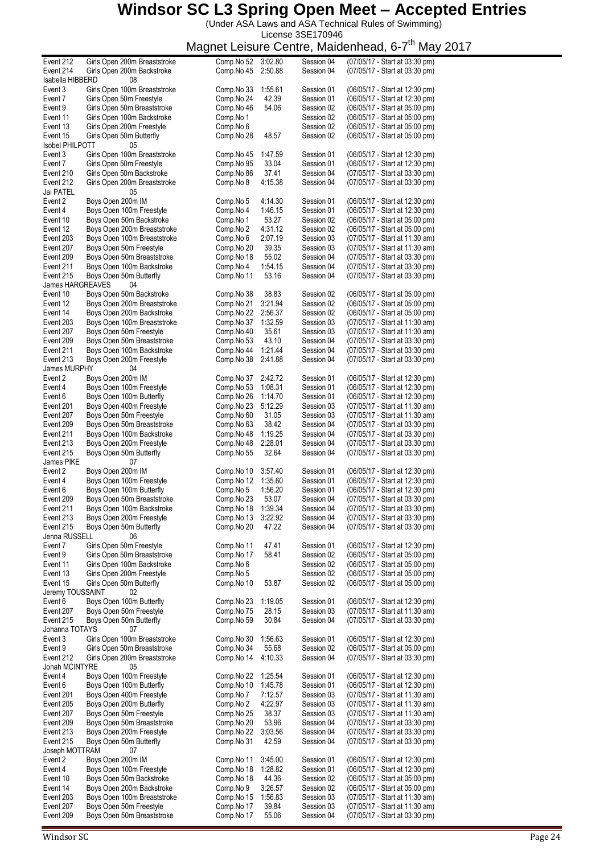(Under ASA Laws and ASA Technical Rules of Swimming) License 3SE170946

|                        |                              | magnot Loiodio |         | $\sim$     | waasuu waa,<br>$\sim$ $\cdot$<br>,,,,,, |
|------------------------|------------------------------|----------------|---------|------------|-----------------------------------------|
| Event 212              | Girls Open 200m Breaststroke | Comp.No 52     | 3:02.80 | Session 04 | (07/05/17 - Start at 03:30 pm)          |
| Event 214              |                              |                |         |            | (07/05/17 - Start at 03:30 pm)          |
|                        | Girls Open 200m Backstroke   | Comp.No 45     | 2:50.88 | Session 04 |                                         |
| Isabella HIBBERD       | 08                           |                |         |            |                                         |
| Event 3                | Girls Open 100m Breaststroke | Comp.No 33     | 1:55.61 | Session 01 | (06/05/17 - Start at 12:30 pm)          |
|                        |                              |                |         |            |                                         |
| Event 7                | Girls Open 50m Freestyle     | Comp.No 24     | 42.39   | Session 01 | (06/05/17 - Start at 12:30 pm)          |
| Event 9                | Girls Open 50m Breaststroke  | Comp.No 46     | 54.06   | Session 02 | (06/05/17 - Start at 05:00 pm)          |
| Event 11               | Girls Open 100m Backstroke   | Comp.No 1      |         | Session 02 | (06/05/17 - Start at 05:00 pm)          |
|                        |                              |                |         |            |                                         |
| Event 13               | Girls Open 200m Freestyle    | Comp.No 6      |         | Session 02 | (06/05/17 - Start at 05:00 pm)          |
| Event 15               | Girls Open 50m Butterfly     | Comp.No 28     | 48.57   | Session 02 | (06/05/17 - Start at 05:00 pm)          |
| <b>Isobel PHILPOTT</b> | 05                           |                |         |            |                                         |
|                        |                              |                |         |            |                                         |
| Event 3                | Girls Open 100m Breaststroke | Comp.No 45     | 1:47.59 | Session 01 | (06/05/17 - Start at 12:30 pm)          |
| Event 7                | Girls Open 50m Freestyle     | Comp.No 95     | 33.04   | Session 01 | (06/05/17 - Start at 12:30 pm)          |
|                        |                              |                |         |            |                                         |
| Event 210              | Girls Open 50m Backstroke    | Comp.No 86     | 37.41   | Session 04 | (07/05/17 - Start at 03:30 pm)          |
| Event 212              | Girls Open 200m Breaststroke | Comp.No 8      | 4:15.38 | Session 04 | (07/05/17 - Start at 03:30 pm)          |
| Jai PATEL              | 05                           |                |         |            |                                         |
|                        |                              |                |         |            |                                         |
| Event 2                | Boys Open 200m IM            | Comp.No 5      | 4:14.30 | Session 01 | (06/05/17 - Start at 12:30 pm)          |
| Event 4                | Boys Open 100m Freestyle     | Comp.No 4      | 1:46.15 | Session 01 | (06/05/17 - Start at 12:30 pm)          |
| Event 10               | Boys Open 50m Backstroke     | Comp.No 1      | 53.27   | Session 02 | (06/05/17 - Start at 05:00 pm)          |
|                        |                              |                |         |            |                                         |
| Event 12               | Boys Open 200m Breaststroke  | Comp.No 2      | 4:31.12 | Session 02 | (06/05/17 - Start at 05:00 pm)          |
| Event 203              | Boys Open 100m Breaststroke  | Comp.No 6      | 2:07.19 | Session 03 | (07/05/17 - Start at 11:30 am)          |
| Event 207              | Boys Open 50m Freestyle      | Comp.No 20     | 39.35   | Session 03 | (07/05/17 - Start at 11:30 am)          |
|                        |                              |                |         |            |                                         |
| Event 209              | Boys Open 50m Breaststroke   | Comp.No 18     | 55.02   | Session 04 | (07/05/17 - Start at 03:30 pm)          |
| Event 211              | Boys Open 100m Backstroke    | Comp.No 4      | 1:54.15 | Session 04 | (07/05/17 - Start at 03:30 pm)          |
|                        |                              | Comp.No 11     |         | Session 04 |                                         |
| Event 215              | Boys Open 50m Butterfly      |                | 53.16   |            | (07/05/17 - Start at 03:30 pm)          |
| James HARGREAVES       | 04                           |                |         |            |                                         |
| Event 10               | Boys Open 50m Backstroke     | Comp.No 38     | 38.83   | Session 02 | (06/05/17 - Start at 05:00 pm)          |
|                        |                              |                |         |            |                                         |
| Event 12               | Boys Open 200m Breaststroke  | Comp.No 21     | 3:21.94 | Session 02 | (06/05/17 - Start at 05:00 pm)          |
| Event 14               | Boys Open 200m Backstroke    | Comp.No 22     | 2:56.37 | Session 02 | (06/05/17 - Start at 05:00 pm)          |
| Event 203              | Boys Open 100m Breaststroke  | Comp.No 37     | 1:32.59 | Session 03 | (07/05/17 - Start at 11:30 am)          |
|                        |                              |                |         |            |                                         |
| Event 207              | Boys Open 50m Freestyle      | Comp.No 40     | 35.61   | Session 03 | (07/05/17 - Start at 11:30 am)          |
| Event 209              | Boys Open 50m Breaststroke   | Comp.No 53     | 43.10   | Session 04 | (07/05/17 - Start at 03:30 pm)          |
| Event 211              | Boys Open 100m Backstroke    | Comp.No 44     | 1:21.44 | Session 04 | (07/05/17 - Start at 03:30 pm)          |
|                        |                              |                |         |            |                                         |
| Event 213              | Boys Open 200m Freestyle     | Comp.No 38     | 2:41.88 | Session 04 | (07/05/17 - Start at 03:30 pm)          |
| James MURPHY           | 04                           |                |         |            |                                         |
|                        |                              |                |         |            |                                         |
| Event 2                | Boys Open 200m IM            | Comp.No 37     | 2:42.72 | Session 01 | (06/05/17 - Start at 12:30 pm)          |
| Event 4                | Boys Open 100m Freestyle     | Comp.No 53     | 1:08.31 | Session 01 | (06/05/17 - Start at 12:30 pm)          |
| Event 6                | Boys Open 100m Butterfly     | Comp.No 26     | 1:14.70 | Session 01 | (06/05/17 - Start at 12:30 pm)          |
|                        |                              |                |         |            |                                         |
| Event 201              | Boys Open 400m Freestyle     | Comp.No 23     | 5:12.29 | Session 03 | (07/05/17 - Start at 11:30 am)          |
| Event 207              | Boys Open 50m Freestyle      | Comp.No 60     | 31.05   | Session 03 | (07/05/17 - Start at 11:30 am)          |
| Event 209              | Boys Open 50m Breaststroke   |                | 38.42   |            | (07/05/17 - Start at 03:30 pm)          |
|                        |                              | Comp.No 63     |         | Session 04 |                                         |
| Event 211              | Boys Open 100m Backstroke    | Comp.No 48     | 1:19.25 | Session 04 | (07/05/17 - Start at 03:30 pm)          |
| Event 213              | Boys Open 200m Freestyle     | Comp.No 48     | 2:28.01 | Session 04 | (07/05/17 - Start at 03:30 pm)          |
|                        |                              |                |         |            |                                         |
| Event 215              | Boys Open 50m Butterfly      | Comp.No 55     | 32.64   | Session 04 | (07/05/17 - Start at 03:30 pm)          |
| James PIKE             | 07                           |                |         |            |                                         |
| Event 2                | Boys Open 200m IM            | Comp.No 10     | 3:57.40 | Session 01 | (06/05/17 - Start at 12:30 pm)          |
|                        |                              |                |         |            |                                         |
| Event 4                | Boys Open 100m Freestyle     | Comp.No 12     | 1:35.60 | Session 01 | (06/05/17 - Start at 12:30 pm)          |
| Event 6                | Boys Open 100m Butterfly     | Comp.No 5      | 1:56.20 | Session 01 | (06/05/17 - Start at 12:30 pm)          |
|                        |                              |                |         |            |                                         |
| Event 209              | Boys Open 50m Breaststroke   | Comp.No 23     | 53.07   | Session 04 | (07/05/17 - Start at 03:30 pm)          |
| Event 211              | Boys Open 100m Backstroke    | Comp.No 18     | 1:39.34 | Session 04 | (07/05/17 - Start at 03:30 pm)          |
| Event 213              | Boys Open 200m Freestyle     | Comp.No 13     | 3:22.92 | Session 04 | (07/05/17 - Start at 03:30 pm)          |
|                        |                              |                |         |            |                                         |
| Event 215              | Boys Open 50m Butterfly      | Comp.No 20     | 47.22   | Session 04 | (07/05/17 - Start at 03:30 pm)          |
| Jenna RUSSELL          | 06                           |                |         |            |                                         |
| Event 7                | Girls Open 50m Freestyle     | Comp.No 11     | 47.41   | Session 01 | (06/05/17 - Start at 12:30 pm)          |
|                        |                              |                |         |            |                                         |
| Event 9                | Girls Open 50m Breaststroke  | Comp.No 17     | 58.41   | Session 02 | (06/05/17 - Start at 05:00 pm)          |
| Event 11               | Girls Open 100m Backstroke   | Comp.No 6      |         | Session 02 | (06/05/17 - Start at 05:00 pm)          |
| Event 13               | Girls Open 200m Freestyle    | Comp.No 5      |         | Session 02 | (06/05/17 - Start at 05:00 pm)          |
|                        |                              |                |         |            |                                         |
| Event 15               | Girls Open 50m Butterfly     | Comp.No 10     | 53.87   | Session 02 | (06/05/17 - Start at 05:00 pm)          |
| Jeremy TOUSSAINT       | 02                           |                |         |            |                                         |
| Event 6                | Boys Open 100m Butterfly     | Comp.No 23     | 1:19.05 | Session 01 | (06/05/17 - Start at 12:30 pm)          |
|                        |                              |                |         |            |                                         |
| Event 207              | Boys Open 50m Freestyle      | Comp.No 75     | 28.15   | Session 03 | (07/05/17 - Start at 11:30 am)          |
| Event 215              | Boys Open 50m Butterfly      | Comp.No 59     | 30.84   | Session 04 | (07/05/17 - Start at 03:30 pm)          |
| Johanna TOTAYS         | 07                           |                |         |            |                                         |
|                        |                              |                |         |            |                                         |
| Event 3                | Girls Open 100m Breaststroke | Comp.No 30     | 1:56.63 | Session 01 | (06/05/17 - Start at 12:30 pm)          |
| Event 9                | Girls Open 50m Breaststroke  | Comp.No 34     | 55.68   | Session 02 | (06/05/17 - Start at 05:00 pm)          |
|                        |                              |                |         |            |                                         |
| Event 212              | Girls Open 200m Breaststroke | Comp.No 14     | 4:10.33 | Session 04 | (07/05/17 - Start at 03:30 pm)          |
| Jonah MCINTYRE         | 05                           |                |         |            |                                         |
| Event 4                | Boys Open 100m Freestyle     | Comp.No 22     | 1:25.54 | Session 01 | (06/05/17 - Start at 12:30 pm)          |
|                        |                              |                |         |            |                                         |
| Event 6                | Boys Open 100m Butterfly     | Comp.No 10     | 1:45.78 | Session 01 | (06/05/17 - Start at 12:30 pm)          |
| Event 201              | Boys Open 400m Freestyle     | Comp.No 7      | 7:12.57 | Session 03 | (07/05/17 - Start at 11:30 am)          |
| Event 205              | Boys Open 200m Butterfly     |                | 4:22.97 |            | (07/05/17 - Start at 11:30 am)          |
|                        |                              | Comp.No 2      |         | Session 03 |                                         |
| Event 207              | Boys Open 50m Freestyle      | Comp.No 25     | 38.37   | Session 03 | (07/05/17 - Start at 11:30 am)          |
| Event 209              | Boys Open 50m Breaststroke   | Comp.No 20     | 53.96   | Session 04 | (07/05/17 - Start at 03:30 pm)          |
|                        |                              |                |         |            |                                         |
| Event 213              | Boys Open 200m Freestyle     | Comp.No 22     | 3:03.56 | Session 04 | (07/05/17 - Start at 03:30 pm)          |
| Event 215              | Boys Open 50m Butterfly      | Comp.No 31     | 42.59   | Session 04 | (07/05/17 - Start at 03:30 pm)          |
| Joseph MOTTRAM         | 07                           |                |         |            |                                         |
|                        |                              |                |         |            |                                         |
| Event 2                | Boys Open 200m IM            | Comp.No 11     | 3:45.00 | Session 01 | (06/05/17 - Start at 12:30 pm)          |
| Event 4                | Boys Open 100m Freestyle     | Comp.No 18     | 1:28.82 | Session 01 | (06/05/17 - Start at 12:30 pm)          |
| Event 10               | Boys Open 50m Backstroke     | Comp.No 18     | 44.36   | Session 02 | (06/05/17 - Start at 05:00 pm)          |
|                        |                              |                |         |            |                                         |
| Event 14               | Boys Open 200m Backstroke    | Comp.No 9      | 3:26.57 | Session 02 | (06/05/17 - Start at 05:00 pm)          |
| Event 203              | Boys Open 100m Breaststroke  | Comp.No 15     | 1:56.83 | Session 03 | (07/05/17 - Start at 11:30 am)          |
| Event 207              | Boys Open 50m Freestyle      | Comp.No 17     | 39.84   |            |                                         |
|                        |                              |                |         | Session 03 | (07/05/17 - Start at 11:30 am)          |
| Event 209              | Boys Open 50m Breaststroke   | Comp.No 17     | 55.06   | Session 04 | (07/05/17 - Start at 03:30 pm)          |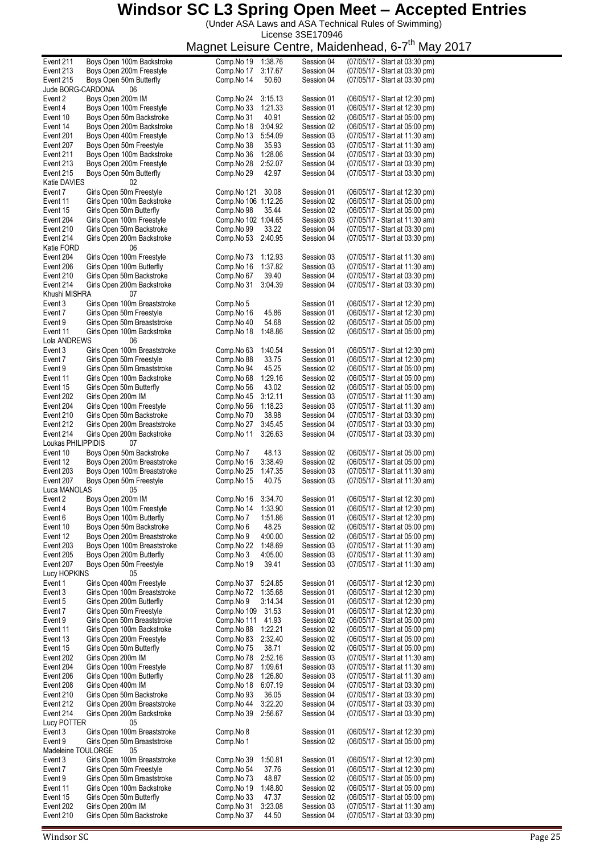(Under ASA Laws and ASA Technical Rules of Swimming) License 3SE170946

| Event 211              | Boys Open 100m Backstroke                       | Comp.No 19<br>1:38.76                        | Session 04               | (07/05/17 - Start at 03:30 pm)                                   |
|------------------------|-------------------------------------------------|----------------------------------------------|--------------------------|------------------------------------------------------------------|
| Event 213              | Boys Open 200m Freestyle                        | Comp.No 17<br>3:17.67                        | Session 04               | (07/05/17 - Start at 03:30 pm)                                   |
| Event 215              | Boys Open 50m Butterfly                         | Comp.No 14<br>50.60                          | Session 04               | (07/05/17 - Start at 03:30 pm)                                   |
| Jude BORG-CARDONA      | 06                                              |                                              |                          |                                                                  |
| Event 2                | Boys Open 200m IM                               | Comp.No 24<br>3:15.13                        | Session 01               | (06/05/17 - Start at 12:30 pm)                                   |
| Event 4                | Boys Open 100m Freestyle                        | 1:21.33<br>Comp.No 33                        | Session 01               | (06/05/17 - Start at 12:30 pm)                                   |
| Event 10               | Boys Open 50m Backstroke                        | 40.91<br>Comp.No 31                          | Session 02               | (06/05/17 - Start at 05:00 pm)                                   |
| Event 14               | Boys Open 200m Backstroke                       | Comp.No 18<br>3:04.92                        | Session 02               | (06/05/17 - Start at 05:00 pm)                                   |
| Event 201              | Boys Open 400m Freestyle                        | 5:54.09<br>Comp.No 13                        | Session 03               | (07/05/17 - Start at 11:30 am)                                   |
| Event 207              | Boys Open 50m Freestyle                         | Comp.No 38<br>35.93                          | Session 03               | (07/05/17 - Start at 11:30 am)                                   |
| Event 211              | Boys Open 100m Backstroke                       | Comp.No 36<br>1:28.06                        | Session 04               | (07/05/17 - Start at 03:30 pm)                                   |
| Event 213              | Boys Open 200m Freestyle                        | 2:52.07<br>Comp.No 28                        | Session 04               | (07/05/17 - Start at 03:30 pm)                                   |
| Event 215              | Boys Open 50m Butterfly                         | 42.97<br>Comp.No 29                          | Session 04               | (07/05/17 - Start at 03:30 pm)                                   |
| Katie DAVIES           | 02                                              |                                              |                          |                                                                  |
| Event 7                | Girls Open 50m Freestyle                        | Comp.No 121<br>30.08                         | Session 01               | (06/05/17 - Start at 12:30 pm)                                   |
| Event 11               | Girls Open 100m Backstroke                      | Comp.No 106 1:12.26                          | Session 02               | (06/05/17 - Start at 05:00 pm)                                   |
| Event 15               | Girls Open 50m Butterfly                        | Comp.No 98<br>35.44                          | Session 02               | (06/05/17 - Start at 05:00 pm)                                   |
| Event 204              | Girls Open 100m Freestyle                       | Comp.No 102 1:04.65                          | Session 03               | (07/05/17 - Start at 11:30 am)                                   |
| Event 210              | Girls Open 50m Backstroke                       | Comp.No 99<br>33.22                          | Session 04               | (07/05/17 - Start at 03:30 pm)                                   |
| Event 214              | Girls Open 200m Backstroke                      | 2:40.95<br>Comp.No 53                        | Session 04               | (07/05/17 - Start at 03:30 pm)                                   |
| Katie FORD             | 06                                              |                                              |                          |                                                                  |
| Event 204              | Girls Open 100m Freestyle                       | 1:12.93<br>Comp.No 73                        | Session 03               | (07/05/17 - Start at 11:30 am)                                   |
| Event 206              | Girls Open 100m Butterfly                       | Comp.No 16<br>1:37.82                        | Session 03               | (07/05/17 - Start at 11:30 am)                                   |
|                        |                                                 | Comp.No 67                                   | Session 04               |                                                                  |
| Event 210              | Girls Open 50m Backstroke                       | 39.40                                        |                          | (07/05/17 - Start at 03:30 pm)                                   |
| Event 214              | Girls Open 200m Backstroke                      | Comp.No 31<br>3:04.39                        | Session 04               | (07/05/17 - Start at 03:30 pm)                                   |
| Khushi MISHRA          | 07                                              |                                              |                          |                                                                  |
| Event 3                | Girls Open 100m Breaststroke                    | Comp.No 5                                    | Session 01               | (06/05/17 - Start at 12:30 pm)                                   |
| Event 7                | Girls Open 50m Freestyle                        | 45.86<br>Comp.No 16                          | Session 01               | (06/05/17 - Start at 12:30 pm)                                   |
| Event 9                | Girls Open 50m Breaststroke                     | 54.68<br>Comp.No 40                          | Session 02               | (06/05/17 - Start at 05:00 pm)                                   |
| Event 11               | Girls Open 100m Backstroke                      | Comp.No 18<br>1:48.86                        | Session 02               | (06/05/17 - Start at 05:00 pm)                                   |
| Lola ANDREWS           | 06                                              |                                              |                          |                                                                  |
| Event 3                | Girls Open 100m Breaststroke                    | Comp.No 63<br>1:40.54                        | Session 01               | (06/05/17 - Start at 12:30 pm)                                   |
| Event 7                | Girls Open 50m Freestyle                        | Comp.No 88<br>33.75                          | Session 01               | (06/05/17 - Start at 12:30 pm)                                   |
| Event 9                | Girls Open 50m Breaststroke                     | 45.25<br>Comp.No 94                          | Session 02               | (06/05/17 - Start at 05:00 pm)                                   |
| Event 11               | Girls Open 100m Backstroke                      | 1:29.16<br>Comp.No 68                        | Session 02               | (06/05/17 - Start at 05:00 pm)                                   |
| Event 15               | Girls Open 50m Butterfly                        | Comp.No 56<br>43.02                          | Session 02               | (06/05/17 - Start at 05:00 pm)                                   |
| Event 202              | Girls Open 200m IM                              | Comp.No 45<br>3:12.11                        | Session 03               | (07/05/17 - Start at 11:30 am)                                   |
| Event 204              | Girls Open 100m Freestyle                       | 1:18.23<br>Comp.No 56                        | Session 03               | (07/05/17 - Start at 11:30 am)                                   |
| Event 210              | Girls Open 50m Backstroke                       | 38.98<br>Comp.No 70                          | Session 04               | (07/05/17 - Start at 03:30 pm)                                   |
| Event 212              | Girls Open 200m Breaststroke                    | 3:45.45<br>Comp.No 27                        | Session 04               | (07/05/17 - Start at 03:30 pm)                                   |
| Event 214              | Girls Open 200m Backstroke                      | Comp.No 11<br>3:26.63                        | Session 04               | (07/05/17 - Start at 03:30 pm)                                   |
| Loukas PHILIPPIDIS     | 07                                              |                                              |                          |                                                                  |
| Event 10               | Boys Open 50m Backstroke                        | Comp.No 7<br>48.13                           | Session 02               | (06/05/17 - Start at 05:00 pm)                                   |
| Event 12               | Boys Open 200m Breaststroke                     | 3:38.49<br>Comp.No 16                        | Session 02               | (06/05/17 - Start at 05:00 pm)                                   |
| Event 203              | Boys Open 100m Breaststroke                     | Comp.No 25<br>1:47.35                        | Session 03               | (07/05/17 - Start at 11:30 am)                                   |
| Event 207              | Boys Open 50m Freestyle                         | Comp.No 15<br>40.75                          | Session 03               | (07/05/17 - Start at 11:30 am)                                   |
| Luca MANOLAS           | 05                                              |                                              |                          |                                                                  |
| Event 2                | Boys Open 200m IM                               | 3:34.70<br>Comp.No 16                        | Session 01               | (06/05/17 - Start at 12:30 pm)                                   |
| Event 4                |                                                 |                                              |                          |                                                                  |
|                        |                                                 |                                              |                          |                                                                  |
|                        | Boys Open 100m Freestyle                        | Comp No 14 1:33.90                           | Session 01               | (06/05/17 - Start at 12:30 pm)                                   |
| Event 6                | Boys Open 100m Butterfly                        | Comp.No 7<br>1:51.86                         | Session 01               | (06/05/17 - Start at 12:30 pm)                                   |
| Event 10               | Boys Open 50m Backstroke                        | Comp.No 6<br>48.25                           | Session 02               | (06/05/17 - Start at 05:00 pm)                                   |
| Event 12               | Boys Open 200m Breaststroke                     | Comp.No 9<br>4:00.00                         | Session 02               | (06/05/17 - Start at 05:00 pm)                                   |
| Event 203              | Boys Open 100m Breaststroke                     | 1:48.69<br>Comp.No 22                        | Session 03               | (07/05/17 - Start at 11:30 am)                                   |
| Event 205              | Boys Open 200m Butterfly                        | 4:05.00<br>Comp.No 3                         | Session 03               | (07/05/17 - Start at 11:30 am)                                   |
| Event 207              | Boys Open 50m Freestyle                         | 39.41<br>Comp.No 19                          | Session 03               | (07/05/17 - Start at 11:30 am)                                   |
| Lucy HOPKINS           | 05                                              |                                              |                          |                                                                  |
| Event 1                | Girls Open 400m Freestyle                       | Comp.No 37<br>5:24.85                        | Session 01               | (06/05/17 - Start at 12:30 pm)                                   |
| Event 3                | Girls Open 100m Breaststroke                    | 1:35.68<br>Comp.No 72                        | Session 01               | (06/05/17 - Start at 12:30 pm)                                   |
| Event 5                | Girls Open 200m Butterfly                       | Comp.No 9<br>3:14.34                         | Session 01               | (06/05/17 - Start at 12:30 pm)                                   |
| Event 7                | Girls Open 50m Freestyle                        | Comp.No 109<br>31.53                         | Session 01               | (06/05/17 - Start at 12:30 pm)                                   |
| Event 9                | Girls Open 50m Breaststroke                     | Comp.No 111<br>41.93                         | Session 02               | (06/05/17 - Start at 05:00 pm)                                   |
| Event 11               | Girls Open 100m Backstroke                      | 1:22.21<br>Comp.No 88                        | Session 02               | (06/05/17 - Start at 05:00 pm)                                   |
| Event 13               | Girls Open 200m Freestyle                       | 2:32.40<br>Comp.No 83                        | Session 02               | (06/05/17 - Start at 05:00 pm)                                   |
| Event 15               | Girls Open 50m Butterfly                        | Comp.No 75<br>38.71                          | Session 02               | (06/05/17 - Start at 05:00 pm)                                   |
| Event 202              | Girls Open 200m IM                              | 2:52.16<br>Comp.No 78                        | Session 03               | (07/05/17 - Start at 11:30 am)                                   |
| Event 204              |                                                 |                                              | Session 03               |                                                                  |
|                        | Girls Open 100m Freestyle                       | 1:09.61<br>Comp.No 87                        |                          | (07/05/17 - Start at 11:30 am)                                   |
| Event 206              | Girls Open 100m Butterfly                       | Comp.No 28<br>1:26.80                        | Session 03               | (07/05/17 - Start at 11:30 am)                                   |
| Event 208              | Girls Open 400m IM                              | 6:07.19<br>Comp.No 18                        | Session 04               | (07/05/17 - Start at 03:30 pm)                                   |
| Event 210              | Girls Open 50m Backstroke                       | Comp.No 93<br>36.05                          | Session 04               | (07/05/17 - Start at 03:30 pm)                                   |
| Event 212              | Girls Open 200m Breaststroke                    | Comp.No 44<br>3:22.20                        | Session 04               | (07/05/17 - Start at 03:30 pm)                                   |
| Event 214              | Girls Open 200m Backstroke                      | Comp.No 39<br>2:56.67                        | Session 04               | (07/05/17 - Start at 03:30 pm)                                   |
| Lucy POTTER            | 05                                              |                                              |                          |                                                                  |
| Event 3                | Girls Open 100m Breaststroke                    | Comp.No 8                                    | Session 01               | (06/05/17 - Start at 12:30 pm)                                   |
| Event 9                | Girls Open 50m Breaststroke                     | Comp.No 1                                    | Session 02               | (06/05/17 - Start at 05:00 pm)                                   |
| Madeleine TOULORGE     | 05                                              |                                              |                          |                                                                  |
| Event 3                | Girls Open 100m Breaststroke                    | 1:50.81<br>Comp.No 39                        | Session 01               | (06/05/17 - Start at 12:30 pm)                                   |
| Event 7                | Girls Open 50m Freestyle                        | Comp.No 54<br>37.76                          | Session 01               | (06/05/17 - Start at 12:30 pm)                                   |
| Event 9                | Girls Open 50m Breaststroke                     | Comp.No 73<br>48.87                          | Session 02               | (06/05/17 - Start at 05:00 pm)                                   |
| Event 11               | Girls Open 100m Backstroke                      | Comp.No 19<br>1:48.80                        | Session 02               | (06/05/17 - Start at 05:00 pm)                                   |
| Event 15               | Girls Open 50m Butterfly                        | Comp.No 33<br>47.37                          | Session 02               | (06/05/17 - Start at 05:00 pm)                                   |
| Event 202<br>Event 210 | Girls Open 200m IM<br>Girls Open 50m Backstroke | 3:23.08<br>Comp.No 31<br>Comp.No 37<br>44.50 | Session 03<br>Session 04 | (07/05/17 - Start at 11:30 am)<br>(07/05/17 - Start at 03:30 pm) |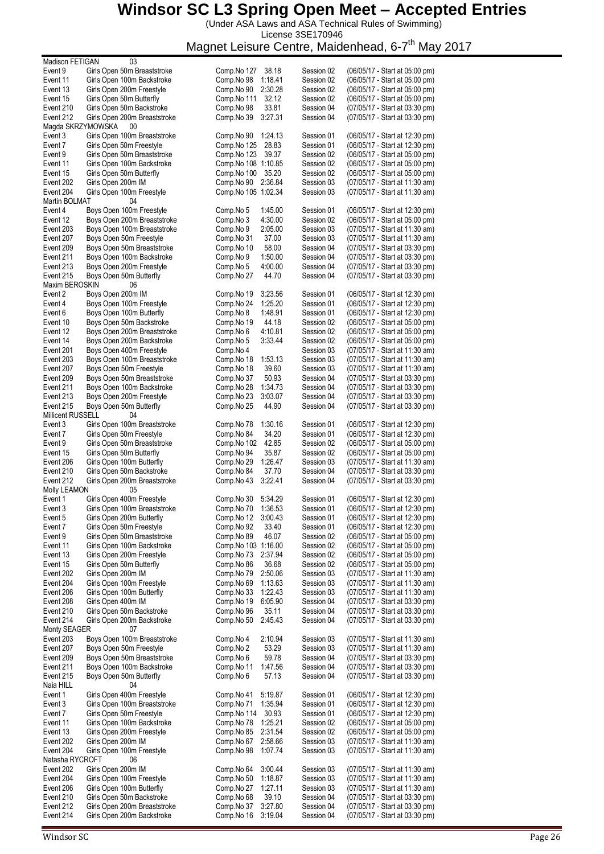(Under ASA Laws and ASA Technical Rules of Swimming) License 3SE170946

| Madison FETIGAN             | 03                                                      |                                     |            |                                                                  |
|-----------------------------|---------------------------------------------------------|-------------------------------------|------------|------------------------------------------------------------------|
| Event 9                     | Girls Open 50m Breaststroke                             | Comp.No 127<br>38.18                | Session 02 | (06/05/17 - Start at 05:00 pm)                                   |
| Event 11                    | Girls Open 100m Backstroke                              | Comp.No 98<br>1:18.41               | Session 02 | (06/05/17 - Start at 05:00 pm)                                   |
| Event 13                    | Girls Open 200m Freestyle                               | 2:30.28<br>Comp.No 90               | Session 02 | (06/05/17 - Start at 05:00 pm)                                   |
| Event 15                    | Girls Open 50m Butterfly                                | 32.12<br>Comp.No 111                | Session 02 | (06/05/17 - Start at 05:00 pm)                                   |
| Event 210                   | Girls Open 50m Backstroke                               | Comp.No 98<br>33.81                 | Session 04 | (07/05/17 - Start at 03:30 pm)                                   |
| Event 212                   | Girls Open 200m Breaststroke                            | Comp.No 39<br>3:27.31               | Session 04 | (07/05/17 - Start at 03:30 pm)                                   |
| Magda SKRZYMOWSKA           | 00                                                      |                                     | Session 01 |                                                                  |
| Event 3<br>Event 7          | Girls Open 100m Breaststroke                            | Comp.No 90<br>1:24.13<br>28.83      | Session 01 | (06/05/17 - Start at 12:30 pm)                                   |
| Event 9                     | Girls Open 50m Freestyle<br>Girls Open 50m Breaststroke | Comp.No 125<br>Comp.No 123<br>39.37 | Session 02 | (06/05/17 - Start at 12:30 pm)<br>(06/05/17 - Start at 05:00 pm) |
| Event 11                    | Girls Open 100m Backstroke                              | Comp.No 108 1:10.85                 |            | (06/05/17 - Start at 05:00 pm)                                   |
|                             |                                                         | 35.20                               | Session 02 | (06/05/17 - Start at 05:00 pm)                                   |
| Event 15                    | Girls Open 50m Butterfly                                | Comp.No 100<br>2:36.84              | Session 02 |                                                                  |
| Event 202<br>Event 204      | Girls Open 200m IM                                      | Comp.No 90<br>Comp. No 105 1:02.34  | Session 03 | (07/05/17 - Start at 11:30 am)<br>(07/05/17 - Start at 11:30 am) |
|                             | Girls Open 100m Freestyle<br>04                         |                                     | Session 03 |                                                                  |
| Martin BOLMAT<br>Event 4    | Boys Open 100m Freestyle                                | Comp.No 5<br>1:45.00                | Session 01 | (06/05/17 - Start at 12:30 pm)                                   |
| Event 12                    | Boys Open 200m Breaststroke                             | Comp.No 3<br>4:30.00                | Session 02 | (06/05/17 - Start at 05:00 pm)                                   |
| Event 203                   | Boys Open 100m Breaststroke                             | 2:05.00                             | Session 03 | (07/05/17 - Start at 11:30 am)                                   |
| Event 207                   |                                                         | Comp.No 9                           |            |                                                                  |
|                             | Boys Open 50m Freestyle                                 | 37.00<br>Comp.No 31                 | Session 03 | (07/05/17 - Start at 11:30 am)                                   |
| Event 209                   | Boys Open 50m Breaststroke                              | 58.00<br>Comp.No 10                 | Session 04 | (07/05/17 - Start at 03:30 pm)                                   |
| Event 211                   | Boys Open 100m Backstroke                               | Comp.No 9<br>1:50.00                | Session 04 | (07/05/17 - Start at 03:30 pm)                                   |
| Event 213                   | Boys Open 200m Freestyle                                | 4:00.00<br>Comp.No 5<br>44.70       | Session 04 | (07/05/17 - Start at 03:30 pm)                                   |
| Event 215<br>Maxim BEROSKIN | Boys Open 50m Butterfly<br>06                           | Comp.No 27                          | Session 04 | (07/05/17 - Start at 03:30 pm)                                   |
| Event 2                     | Boys Open 200m IM                                       | 3:23.56                             |            | (06/05/17 - Start at 12:30 pm)                                   |
|                             |                                                         | Comp.No 19                          | Session 01 |                                                                  |
| Event 4                     | Boys Open 100m Freestyle                                | Comp.No 24<br>1:25.20               | Session 01 | (06/05/17 - Start at 12:30 pm)                                   |
| Event 6                     | Boys Open 100m Butterfly                                | 1:48.91<br>Comp.No 8                | Session 01 | (06/05/17 - Start at 12:30 pm)                                   |
| Event 10                    | Boys Open 50m Backstroke                                | Comp.No 19<br>44.18                 | Session 02 | (06/05/17 - Start at 05:00 pm)                                   |
| Event 12                    | Boys Open 200m Breaststroke                             | 4:10.81<br>Comp.No 6                | Session 02 | (06/05/17 - Start at 05:00 pm)                                   |
| Event 14                    | Boys Open 200m Backstroke                               | 3:33.44<br>Comp.No 5                | Session 02 | (06/05/17 - Start at 05:00 pm)                                   |
| Event 201                   | Boys Open 400m Freestyle                                | Comp.No 4                           | Session 03 | (07/05/17 - Start at 11:30 am)                                   |
| Event 203                   | Boys Open 100m Breaststroke                             | 1:53.13<br>Comp.No 18               | Session 03 | (07/05/17 - Start at 11:30 am)                                   |
| Event 207                   | Boys Open 50m Freestyle                                 | 39.60<br>Comp.No 18                 | Session 03 | (07/05/17 - Start at 11:30 am)                                   |
| Event 209                   | Boys Open 50m Breaststroke                              | 50.93<br>Comp.No 37                 | Session 04 | (07/05/17 - Start at 03:30 pm)                                   |
| Event 211                   | Boys Open 100m Backstroke                               | 1:34.73<br>Comp.No 28               | Session 04 | (07/05/17 - Start at 03:30 pm)                                   |
| Event 213                   | Boys Open 200m Freestyle                                | 3:03.07<br>Comp.No 23               | Session 04 | (07/05/17 - Start at 03:30 pm)                                   |
| Event 215                   | Boys Open 50m Butterfly                                 | 44.90<br>Comp.No 25                 | Session 04 | (07/05/17 - Start at 03:30 pm)                                   |
| Millicent RUSSELL           | 04                                                      |                                     |            |                                                                  |
| Event 3                     | Girls Open 100m Breaststroke                            | 1:30.16<br>Comp.No 78               | Session 01 | (06/05/17 - Start at 12:30 pm)                                   |
| Event 7                     | Girls Open 50m Freestyle                                | Comp.No 84<br>34.20                 | Session 01 | (06/05/17 - Start at 12:30 pm)                                   |
| Event 9                     | Girls Open 50m Breaststroke                             | 42.85<br>Comp.No 102                | Session 02 | (06/05/17 - Start at 05:00 pm)                                   |
| Event 15                    | Girls Open 50m Butterfly                                | 35.87<br>Comp.No 94                 | Session 02 | (06/05/17 - Start at 05:00 pm)                                   |
| Event 206                   | Girls Open 100m Butterfly                               | 1:26.47<br>Comp.No 29               | Session 03 | (07/05/17 - Start at 11:30 am)                                   |
| Event 210                   | Girls Open 50m Backstroke                               | Comp.No 84<br>37.70                 | Session 04 | (07/05/17 - Start at 03:30 pm)                                   |
| Event 212                   | Girls Open 200m Breaststroke                            | 3:22.41<br>Comp.No 43               | Session 04 | (07/05/17 - Start at 03:30 pm)                                   |
| <b>Molly LEAMON</b>         | 05                                                      |                                     |            |                                                                  |
| Event 1                     | Girls Open 400m Freestyle                               | Comp.No 30<br>5:34.29               | Session 01 | (06/05/17 - Start at 12:30 pm)                                   |
| Event 3                     | Girls Open 100m Breaststroke                            | Comp.No 70<br>1:36.53               | Session 01 | (06/05/17 - Start at 12:30 pm)                                   |
| Event 5                     | Girls Open 200m Butterfly                               | Comp.No 12<br>3:00.43               | Session 01 | (06/05/17 - Start at 12:30 pm)                                   |
| Event 7                     | Girls Open 50m Freestyle                                | Comp.No 92<br>33.40                 | Session 01 | (06/05/17 - Start at 12:30 pm)                                   |
| Event 9                     | Girls Open 50m Breaststroke                             | 46.07<br>Comp.No 89                 | Session 02 | (06/05/17 - Start at 05:00 pm)                                   |
| Event 11                    | Girls Open 100m Backstroke                              | Comp. No 103 1:16.00                | Session 02 | (06/05/17 - Start at 05:00 pm)                                   |
| Event 13                    | Girls Open 200m Freestyle                               | 2:37.94<br>Comp.No 73               | Session 02 | (06/05/17 - Start at 05:00 pm)                                   |
| Event 15                    | Girls Open 50m Butterfly                                | 36.68<br>Comp.No 86                 | Session 02 | (06/05/17 - Start at 05:00 pm)                                   |
| Event 202                   | Girls Open 200m IM                                      | Comp.No 79<br>2:50.06               | Session 03 | (07/05/17 - Start at 11:30 am)                                   |
| Event 204                   | Girls Open 100m Freestyle                               | Comp.No 69<br>1:13.63               | Session 03 | (07/05/17 - Start at 11:30 am)                                   |
| Event 206                   | Girls Open 100m Butterfly                               | Comp.No 33<br>1:22.43               | Session 03 | (07/05/17 - Start at 11:30 am)                                   |
| Event 208                   | Girls Open 400m IM                                      | 6:05.90<br>Comp.No 19               | Session 04 | (07/05/17 - Start at 03:30 pm)                                   |
| Event 210                   | Girls Open 50m Backstroke                               | 35.11<br>Comp.No 96                 | Session 04 | (07/05/17 - Start at 03:30 pm)                                   |
| Event 214                   | Girls Open 200m Backstroke                              | 2:45.43<br>Comp.No 50               | Session 04 | (07/05/17 - Start at 03:30 pm)                                   |
| Monty SEAGER                | 07                                                      |                                     |            |                                                                  |
| Event 203                   | Boys Open 100m Breaststroke                             | Comp.No 4<br>2:10.94                | Session 03 | (07/05/17 - Start at 11:30 am)                                   |
| Event 207                   | Boys Open 50m Freestyle                                 | 53.29<br>Comp.No 2                  | Session 03 | (07/05/17 - Start at 11:30 am)                                   |
| Event 209                   | Boys Open 50m Breaststroke                              | 59.78<br>Comp.No 6                  | Session 04 | (07/05/17 - Start at 03:30 pm)                                   |
| Event 211                   | Boys Open 100m Backstroke                               | Comp.No 11<br>1:47.56               | Session 04 | (07/05/17 - Start at 03:30 pm)                                   |
| Event 215                   | Boys Open 50m Butterfly                                 | 57.13<br>Comp.No 6                  | Session 04 | (07/05/17 - Start at 03:30 pm)                                   |
| Naia HILL                   | 04                                                      |                                     |            |                                                                  |
| Event 1                     | Girls Open 400m Freestyle                               | Comp.No 41<br>5:19.87               | Session 01 | (06/05/17 - Start at 12:30 pm)                                   |
| Event 3                     | Girls Open 100m Breaststroke                            | 1:35.94<br>Comp.No 71               | Session 01 | (06/05/17 - Start at 12:30 pm)                                   |
| Event 7                     | Girls Open 50m Freestyle                                | 30.93<br>Comp.No 114                | Session 01 | (06/05/17 - Start at 12:30 pm)                                   |
| Event 11                    | Girls Open 100m Backstroke                              | Comp.No 78<br>1:25.21               | Session 02 | (06/05/17 - Start at 05:00 pm)                                   |
| Event 13                    | Girls Open 200m Freestyle                               | Comp.No 85<br>2:31.54               | Session 02 | (06/05/17 - Start at 05:00 pm)                                   |
| Event 202                   | Girls Open 200m IM                                      | Comp.No 67<br>2:58.66               | Session 03 | (07/05/17 - Start at 11:30 am)                                   |
| Event 204                   | Girls Open 100m Freestyle                               | Comp.No 98<br>1:07.74               | Session 03 | (07/05/17 - Start at 11:30 am)                                   |
| Natasha RYCROFT             | 06                                                      |                                     |            |                                                                  |
| Event 202                   | Girls Open 200m IM                                      | Comp.No 64<br>3:00.44               | Session 03 | (07/05/17 - Start at 11:30 am)                                   |
| Event 204                   | Girls Open 100m Freestyle                               | Comp.No 50<br>1:18.87               | Session 03 | (07/05/17 - Start at 11:30 am)                                   |
| Event 206                   | Girls Open 100m Butterfly                               | Comp.No 27<br>1:27.11               | Session 03 | (07/05/17 - Start at 11:30 am)                                   |
| Event 210                   | Girls Open 50m Backstroke                               | 39.10<br>Comp.No 68                 | Session 04 | (07/05/17 - Start at 03:30 pm)                                   |
| Event 212                   | Girls Open 200m Breaststroke                            | 3:27.80<br>Comp.No 37               | Session 04 | (07/05/17 - Start at 03:30 pm)                                   |
| Event 214                   | Girls Open 200m Backstroke                              | Comp.No 16<br>3:19.04               | Session 04 | (07/05/17 - Start at 03:30 pm)                                   |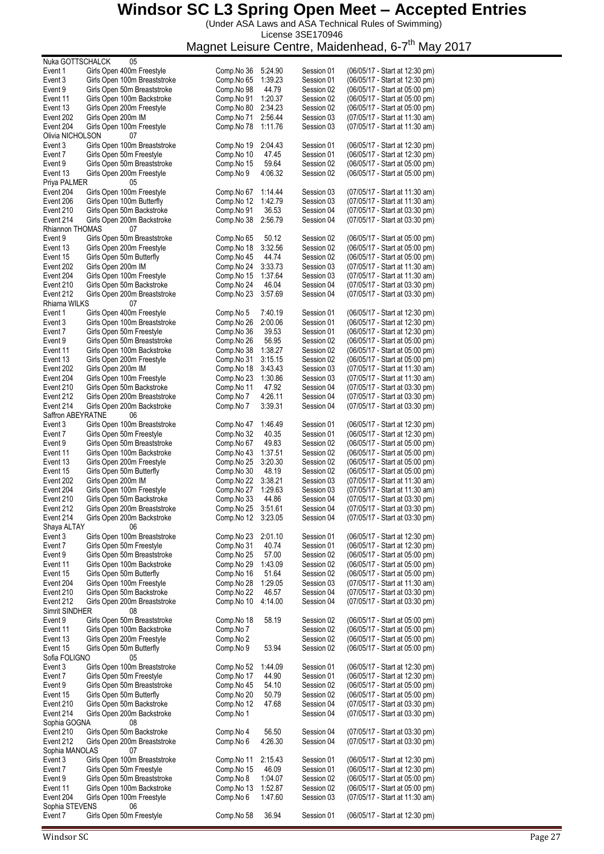(Under ASA Laws and ASA Technical Rules of Swimming) License 3SE170946

| Nuka GOTTSCHALCK      |                    | 05                                                      |                          |                    |                          |                                                                  |
|-----------------------|--------------------|---------------------------------------------------------|--------------------------|--------------------|--------------------------|------------------------------------------------------------------|
| Event 1               |                    | Girls Open 400m Freestyle                               | Comp.No 36               | 5:24.90            | Session 01               | (06/05/17 - Start at 12:30 pm)                                   |
| Event 3               |                    | Girls Open 100m Breaststroke                            | Comp.No 65               | 1:39.23            | Session 01               | (06/05/17 - Start at 12:30 pm)                                   |
| Event 9               |                    | Girls Open 50m Breaststroke                             | Comp.No 98               | 44.79              | Session 02               | (06/05/17 - Start at 05:00 pm)                                   |
| Event 11              |                    | Girls Open 100m Backstroke<br>Girls Open 200m Freestyle | Comp.No 91<br>Comp.No 80 | 1:20.37<br>2:34.23 | Session 02<br>Session 02 | (06/05/17 - Start at 05:00 pm)<br>(06/05/17 - Start at 05:00 pm) |
| Event 13<br>Event 202 | Girls Open 200m IM |                                                         | Comp.No 71               | 2:56.44            | Session 03               | (07/05/17 - Start at 11:30 am)                                   |
| Event 204             |                    | Girls Open 100m Freestyle                               | Comp.No 78               | 1:11.76            | Session 03               | (07/05/17 - Start at 11:30 am)                                   |
| Olivia NICHOLSON      |                    | 07                                                      |                          |                    |                          |                                                                  |
| Event 3               |                    | Girls Open 100m Breaststroke                            | Comp.No 19               | 2:04.43            | Session 01               | (06/05/17 - Start at 12:30 pm)                                   |
| Event 7               |                    | Girls Open 50m Freestyle                                | Comp.No 10               | 47.45              | Session 01               | (06/05/17 - Start at 12:30 pm)                                   |
| Event 9               |                    | Girls Open 50m Breaststroke                             | Comp.No 15               | 59.64              | Session 02               | (06/05/17 - Start at 05:00 pm)                                   |
| Event 13              |                    | Girls Open 200m Freestyle                               | Comp.No 9                | 4:06.32            | Session 02               | (06/05/17 - Start at 05:00 pm)                                   |
| Priya PALMER          |                    | 05                                                      |                          |                    |                          |                                                                  |
| Event 204             |                    | Girls Open 100m Freestyle                               | Comp.No 67               | 1:14.44            | Session 03               | (07/05/17 - Start at 11:30 am)                                   |
| Event 206             |                    | Girls Open 100m Butterfly                               | Comp.No 12               | 1:42.79            | Session 03               | (07/05/17 - Start at 11:30 am)                                   |
| Event 210             |                    | Girls Open 50m Backstroke                               | Comp.No 91               | 36.53              | Session 04               | (07/05/17 - Start at 03:30 pm)                                   |
| Event 214             |                    | Girls Open 200m Backstroke                              | Comp.No 38               | 2:56.79            | Session 04               | (07/05/17 - Start at 03:30 pm)                                   |
| Rhiannon THOMAS       |                    | 07                                                      |                          |                    |                          |                                                                  |
| Event 9               |                    | Girls Open 50m Breaststroke                             | Comp.No 65               | 50.12              | Session 02               | (06/05/17 - Start at 05:00 pm)                                   |
| Event 13              |                    | Girls Open 200m Freestyle                               | Comp.No 18               | 3:32.56            | Session 02               | (06/05/17 - Start at 05:00 pm)                                   |
| Event 15              |                    | Girls Open 50m Butterfly                                | Comp.No 45               | 44.74              | Session 02               | (06/05/17 - Start at 05:00 pm)                                   |
| Event 202             | Girls Open 200m IM |                                                         | Comp.No 24               | 3:33.73            | Session 03               | (07/05/17 - Start at 11:30 am)                                   |
| Event 204             |                    | Girls Open 100m Freestyle                               | Comp.No 15               | 1:37.64            | Session 03               | (07/05/17 - Start at 11:30 am)                                   |
| Event 210             |                    | Girls Open 50m Backstroke                               | Comp.No 24               | 46.04              | Session 04               | (07/05/17 - Start at 03:30 pm)                                   |
| Event 212             |                    | Girls Open 200m Breaststroke                            | Comp.No 23               | 3:57.69            | Session 04               | (07/05/17 - Start at 03:30 pm)                                   |
| Rhiarna WILKS         |                    | 07                                                      |                          |                    |                          |                                                                  |
| Event 1               |                    | Girls Open 400m Freestyle                               | Comp.No 5                | 7:40.19            | Session 01               | (06/05/17 - Start at 12:30 pm)                                   |
| Event 3               |                    | Girls Open 100m Breaststroke                            | Comp.No 26               | 2:00.06            | Session 01               | (06/05/17 - Start at 12:30 pm)                                   |
| Event 7               |                    | Girls Open 50m Freestyle                                | Comp.No 36               | 39.53              | Session 01               | (06/05/17 - Start at 12:30 pm)                                   |
| Event 9               |                    | Girls Open 50m Breaststroke                             | Comp.No 26               | 56.95              | Session 02               | (06/05/17 - Start at 05:00 pm)                                   |
| Event 11              |                    | Girls Open 100m Backstroke                              | Comp.No 38               | 1:38.27            | Session 02               | (06/05/17 - Start at 05:00 pm)                                   |
| Event 13              |                    | Girls Open 200m Freestyle                               | Comp.No 31               | 3:15.15            | Session 02               | (06/05/17 - Start at 05:00 pm)                                   |
| Event 202             | Girls Open 200m IM |                                                         | Comp.No 18               | 3:43.43            | Session 03               | (07/05/17 - Start at 11:30 am)                                   |
| Event 204             |                    | Girls Open 100m Freestyle                               | Comp.No 23               | 1:30.86            | Session 03               | (07/05/17 - Start at 11:30 am)                                   |
| Event 210             |                    | Girls Open 50m Backstroke                               | Comp.No 11               | 47.92              | Session 04               | (07/05/17 - Start at 03:30 pm)                                   |
| Event 212             |                    | Girls Open 200m Breaststroke                            | Comp.No 7                | 4:26.11            | Session 04               | (07/05/17 - Start at 03:30 pm)                                   |
| Event 214             |                    | Girls Open 200m Backstroke                              | Comp.No 7                | 3:39.31            | Session 04               | (07/05/17 - Start at 03:30 pm)                                   |
| Saffron ABEYRATNE     |                    | 06                                                      |                          |                    |                          |                                                                  |
| Event 3               |                    | Girls Open 100m Breaststroke                            | Comp.No 47               | 1:46.49            | Session 01               | (06/05/17 - Start at 12:30 pm)                                   |
| Event 7               |                    | Girls Open 50m Freestyle                                | Comp.No 32               | 40.35              | Session 01               | (06/05/17 - Start at 12:30 pm)                                   |
| Event 9               |                    | Girls Open 50m Breaststroke                             | Comp.No 67               | 49.83              | Session 02               | (06/05/17 - Start at 05:00 pm)                                   |
| Event 11              |                    | Girls Open 100m Backstroke                              | Comp.No 43               | 1:37.51            | Session 02               | (06/05/17 - Start at 05:00 pm)                                   |
| Event 13              |                    | Girls Open 200m Freestyle                               | Comp.No 25               | 3:20.30            | Session 02               | (06/05/17 - Start at 05:00 pm)                                   |
| Event 15              |                    | Girls Open 50m Butterfly                                | Comp.No 30               | 48.19              | Session 02               | (06/05/17 - Start at 05:00 pm)                                   |
| Event 202             | Girls Open 200m IM |                                                         | Comp.No 22               | 3:38.21            | Session 03               | (07/05/17 - Start at 11:30 am)                                   |
| Event 204             |                    | Girls Open 100m Freestyle                               | Comp.No 27               | 1:29.63            | Session 03               | (07/05/17 - Start at 11:30 am)                                   |
| Event 210             |                    | Girls Open 50m Backstroke                               | Comp.No 33               | 44.86              | Session 04               | (07/05/17 - Start at 03:30 pm)                                   |
| Event 212             |                    | Girls Open 200m Breaststroke                            | Comp.No 25               | 3:51.61            | Session 04               | (07/05/17 - Start at 03:30 pm)                                   |
| Event 214             |                    | Girls Open 200m Backstroke                              | Comp.No 12               | 3:23.05            | Session 04               | (07/05/17 - Start at 03:30 pm)                                   |
| Shaya ALTAY           |                    | 06                                                      |                          |                    |                          |                                                                  |
| Event 3               |                    | Girls Open 100m Breaststroke                            | Comp.No 23               | 2:01.10            | Session 01               | (06/05/17 - Start at 12:30 pm)                                   |
| Event 7               |                    | Girls Open 50m Freestyle                                | Comp.No 31               | 40.74              | Session 01               | (06/05/17 - Start at 12:30 pm)                                   |
| Event 9               |                    | Girls Open 50m Breaststroke                             | Comp.No 25               | 57.00              | Session 02               | (06/05/17 - Start at 05:00 pm)                                   |
| Event 11              |                    | Girls Open 100m Backstroke                              | Comp.No 29               | 1:43.09            | Session 02               | (06/05/17 - Start at 05:00 pm)                                   |
| Event 15              |                    | Girls Open 50m Butterfly                                | Comp.No 16               | 51.64              | Session 02               | (06/05/17 - Start at 05:00 pm)                                   |
| Event 204             |                    | Girls Open 100m Freestyle                               | Comp.No 28               | 1:29.05            | Session 03               | (07/05/17 - Start at 11:30 am)                                   |
| Event 210             |                    | Girls Open 50m Backstroke                               | Comp.No 22               | 46.57              | Session 04               | (07/05/17 - Start at 03:30 pm)                                   |
| Event 212             |                    | Girls Open 200m Breaststroke                            | Comp.No 10               | 4:14.00            | Session 04               | (07/05/17 - Start at 03:30 pm)                                   |
| Simrit SINDHER        |                    | 08                                                      |                          |                    |                          |                                                                  |
| Event 9               |                    | Girls Open 50m Breaststroke                             | Comp.No 18               | 58.19              | Session 02               | (06/05/17 - Start at 05:00 pm)                                   |
| Event 11              |                    | Girls Open 100m Backstroke                              | Comp.No 7                |                    | Session 02               | (06/05/17 - Start at 05:00 pm)                                   |
| Event 13              |                    | Girls Open 200m Freestyle                               | Comp.No 2                |                    | Session 02               | (06/05/17 - Start at 05:00 pm)                                   |
| Event 15              |                    | Girls Open 50m Butterfly                                | Comp.No 9                | 53.94              | Session 02               | (06/05/17 - Start at 05:00 pm)                                   |
| Sofia FOLIGNO         |                    | 05                                                      |                          |                    |                          |                                                                  |
| Event 3               |                    | Girls Open 100m Breaststroke                            | Comp.No 52               | 1:44.09            | Session 01               | (06/05/17 - Start at 12:30 pm)                                   |
| Event 7               |                    | Girls Open 50m Freestyle                                | Comp.No 17               | 44.90              | Session 01               | (06/05/17 - Start at 12:30 pm)                                   |
| Event 9               |                    | Girls Open 50m Breaststroke                             | Comp.No 45               | 54.10              | Session 02               | (06/05/17 - Start at 05:00 pm)                                   |
| Event 15              |                    | Girls Open 50m Butterfly                                | Comp.No 20               | 50.79              | Session 02               | (06/05/17 - Start at 05:00 pm)                                   |
| Event 210             |                    | Girls Open 50m Backstroke                               | Comp.No 12               | 47.68              | Session 04               | (07/05/17 - Start at 03:30 pm)                                   |
| Event 214             |                    | Girls Open 200m Backstroke<br>08                        | Comp.No 1                |                    | Session 04               | (07/05/17 - Start at 03:30 pm)                                   |
| Sophia GOGNA          |                    |                                                         |                          |                    |                          |                                                                  |
| Event 210             |                    | Girls Open 50m Backstroke                               | Comp.No 4                | 56.50              | Session 04               | (07/05/17 - Start at 03:30 pm)                                   |
| Event 212             |                    | Girls Open 200m Breaststroke                            | Comp.No 6                | 4:26.30            | Session 04               | (07/05/17 - Start at 03:30 pm)                                   |
| Sophia MANOLAS        |                    | 07<br>Girls Open 100m Breaststroke                      |                          |                    |                          | (06/05/17 - Start at 12:30 pm)                                   |
| Event 3               |                    | Girls Open 50m Freestyle                                | Comp.No 11<br>Comp.No 15 | 2:15.43<br>46.09   | Session 01               | (06/05/17 - Start at 12:30 pm)                                   |
| Event 7<br>Event 9    |                    | Girls Open 50m Breaststroke                             | Comp.No 8                | 1:04.07            | Session 01<br>Session 02 | (06/05/17 - Start at 05:00 pm)                                   |
| Event 11              |                    | Girls Open 100m Backstroke                              | Comp.No 13               | 1:52.87            | Session 02               | (06/05/17 - Start at 05:00 pm)                                   |
| Event 204             |                    | Girls Open 100m Freestyle                               | Comp.No 6                | 1:47.60            |                          | (07/05/17 - Start at 11:30 am)                                   |
| Sophia STEVENS        |                    | 06                                                      |                          |                    | Session 03               |                                                                  |
| Event 7               |                    | Girls Open 50m Freestyle                                | Comp.No 58               | 36.94              | Session 01               | (06/05/17 - Start at 12:30 pm)                                   |
|                       |                    |                                                         |                          |                    |                          |                                                                  |